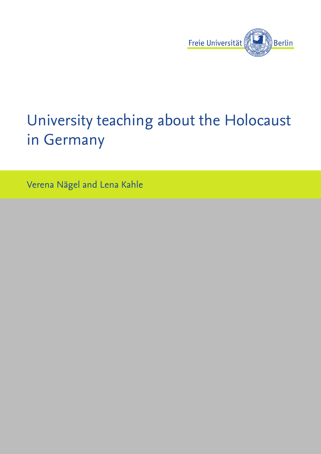

# University teaching about the Holocaust in Germany

Verena Nägel and Lena Kahle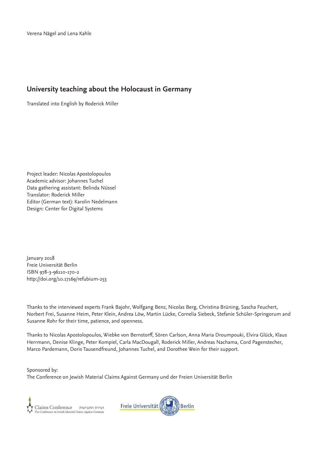# **University teaching about the Holocaust in Germany**

Translated into English by Roderick Miller

Project leader: Nicolas Apostolopoulos Academic advisor: Johannes Tuchel Data gathering assistant: Belinda Nüssel Translator: Roderick Miller Editor (German text): Karolin Nedelmann Design: Center for Digital Systems

January 2018 Freie Universität Berlin ISBN 978-3-96110-170-2 http://doi.org/10.17169/refubium-253

Thanks to the interviewed experts Frank Bajohr, Wolfgang Benz, Nicolas Berg, Christina Brüning, Sascha Feuchert, Norbert Frei, Susanne Heim, Peter Klein, Andrea Löw, Martin Lücke, Cornelia Siebeck, Stefanie Schüler-Springorum and Susanne Rohr for their time, patience, and openness.

Thanks to Nicolas Apostolopoulos, Wiebke von Bernstorff, Sören Carlson, Anna Maria Droumpouki, Elvira Glück, Klaus Herrmann, Denise Klinge, Peter Kompiel, Carla MacDougall, Roderick Miller, Andreas Nachama, Cord Pagenstecher, Marco Pardemann, Doris Tausendfreund, Johannes Tuchel, and Dorothee Wein for their support.

Sponsored by: The Conference on Jewish Material Claims Against Germany und der Freien Universität Berlin

Claims Conference<br>The Conference on Jewish Material Claims Against Germany

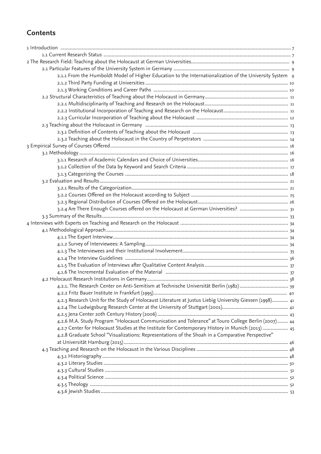# **Contents**

| 2.1.1 From the Humboldt Model of Higher Education to the Internationalization of the University System 9 |  |
|----------------------------------------------------------------------------------------------------------|--|
|                                                                                                          |  |
|                                                                                                          |  |
|                                                                                                          |  |
|                                                                                                          |  |
|                                                                                                          |  |
|                                                                                                          |  |
|                                                                                                          |  |
|                                                                                                          |  |
|                                                                                                          |  |
|                                                                                                          |  |
|                                                                                                          |  |
|                                                                                                          |  |
|                                                                                                          |  |
|                                                                                                          |  |
|                                                                                                          |  |
|                                                                                                          |  |
|                                                                                                          |  |
|                                                                                                          |  |
|                                                                                                          |  |
|                                                                                                          |  |
|                                                                                                          |  |
|                                                                                                          |  |
|                                                                                                          |  |
|                                                                                                          |  |
|                                                                                                          |  |
|                                                                                                          |  |
|                                                                                                          |  |
|                                                                                                          |  |
|                                                                                                          |  |
| 4.2.1. The Research Center on Anti-Semitism at Technische Universität Berlin (1982)  39                  |  |
|                                                                                                          |  |
| 4.2.3 Research Unit for the Study of Holocaust Literature at Justus Liebig University Giessen (1998) 41  |  |
|                                                                                                          |  |
|                                                                                                          |  |
| 4.2.6 M.A. Study Program "Holocaust Communication and Tolerance" at Touro College Berlin (2007) 44       |  |
| 4.2.7 Center for Holocaust Studies at the Institute for Contemporary History in Munich (2013)  45        |  |
| 4.2.8 Graduate School "Visualizations: Representations of the Shoah in a Comparative Perspective"        |  |
|                                                                                                          |  |
|                                                                                                          |  |
|                                                                                                          |  |
|                                                                                                          |  |
|                                                                                                          |  |
|                                                                                                          |  |
|                                                                                                          |  |
|                                                                                                          |  |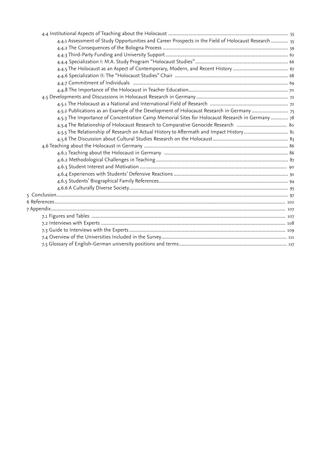| 4.4.1 Assessment of Study Opportunities and Career Prospects in the Field of Holocaust Research  55 |  |
|-----------------------------------------------------------------------------------------------------|--|
|                                                                                                     |  |
|                                                                                                     |  |
|                                                                                                     |  |
|                                                                                                     |  |
|                                                                                                     |  |
|                                                                                                     |  |
|                                                                                                     |  |
|                                                                                                     |  |
|                                                                                                     |  |
| 4.5.2 Publications as an Example of the Development of Holocaust Research in Germany                |  |
| 4.5.3 The Importance of Concentration Camp Memorial Sites for Holocaust Research in Germany  78     |  |
|                                                                                                     |  |
| 4.5.5 The Relationship of Research on Actual History to Aftermath and Impact History 81             |  |
|                                                                                                     |  |
|                                                                                                     |  |
|                                                                                                     |  |
|                                                                                                     |  |
|                                                                                                     |  |
|                                                                                                     |  |
|                                                                                                     |  |
|                                                                                                     |  |
|                                                                                                     |  |
|                                                                                                     |  |
|                                                                                                     |  |
|                                                                                                     |  |
|                                                                                                     |  |
|                                                                                                     |  |
|                                                                                                     |  |
|                                                                                                     |  |
|                                                                                                     |  |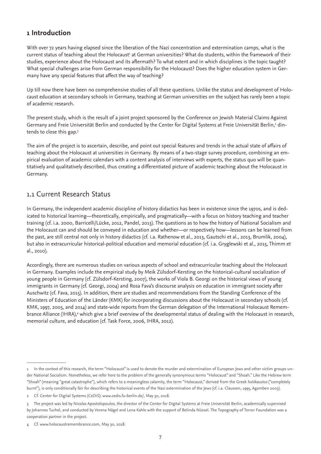# **1 Introduction**

With over 72 years having elapsed since the liberation of the Nazi concentration and extermination camps, what is the current status of teaching about the Holocaust<sup>1</sup> at German universities? What do students, within the framework of their studies, experience about the Holocaust and its aftermath? To what extent and in which disciplines is the topic taught? What special challenges arise from German responsibility for the Holocaust? Does the higher education system in Germany have any special features that affect the way of teaching?

Up till now there have been no comprehensive studies of all these questions. Unlike the status and development of Holocaust education at secondary schools in Germany, teaching at German universities on the subject has rarely been a topic of academic research.

The present study, which is the result of a joint project sponsored by the Conference on Jewish Material Claims Against Germany and Freie Universität Berlin and conducted by the Center for Digital Systems at Freie Universität Berlin,<sup>2</sup> dintends to close this gap.3

The aim of the project is to ascertain, describe, and point out special features and trends in the actual state of affairs of teaching about the Holocaust at universities in Germany. By means of a two-stage survey procedure, combining an empirical evaluation of academic calendars with a content analysis of interviews with experts, the status quo will be quantitatively and qualitatively described, thus creating a differentiated picture of academic teaching about the Holocaust in Germany.

# 1.1 Current Research Status

In Germany, the independent academic discipline of history didactics has been in existence since the 1970s, and is dedicated to historical learning—theoretically, empirically, and pragmatically—with a focus on history teaching and teacher training (cf. i.a. 2000, Barricelli/Lücke, 2012, Pandel, 2013). The questions as to how the history of National Socialism and the Holocaust can and should be conveyed in education and whether—or respectively how—lessons can be learned from the past, are still central not only in history didactics (cf. i.a. Rathenow et al., 2013, Gautschi et al., 2013, Brumlik, 2004), but also in extracurricular historical-political education and memorial education (cf. i.a. Gryglewski et al., 2015, Thimm et al., 2010).

Accordingly, there are numerous studies on various aspects of school and extracurricular teaching about the Holocaust in Germany. Examples include the empirical study by Meik Zülsdorf-Kersting on the historical-cultural socialization of young people in Germany (cf. Zülsdorf-Kersting, 2007), the works of Viola B. Georgi on the historical views of young immigrants in Germany (cf. Georgi, 2004) and Rosa Fava's discourse analysis on education in immigrant society after Auschwitz (cf. Fava, 2015). In addition, there are studies and recommendations from the Standing Conference of the Ministers of Education of the Länder (KMK) for incorporating discussions about the Holocaust in secondary schools (cf. KMK, 1997, 2005, and 2014) and state-wide reports from the German delegation of the International Holocaust Remembrance Alliance (IHRA),<sup>4</sup> which give a brief overview of the developmental status of dealing with the Holocaust in research, memorial culture, and education (cf. Task Force, 2006, IHRA, 2012).

<sup>1</sup> In the context of this research, the term "Holocaust" is used to denote the murder and extermination of European Jews and other victim groups under National Socialism. Nonetheless, we refer here to the problem of the generally synonymous terms "Holocaust" and "Shoah." Like the Hebrew term "Shoah" (meaning "great catastrophe"), which refers to a meaningless calamity, the term "Holocaust," derived from the Greek *holókaustos* ("completely burnt"), is only conditionally fair for describing the historical events of the Nazi extermination of the Jews (cf. i.a. Claussen, 1995, Agamben 2003).

<sup>2</sup> Cf. Center for Digital Systems (CeDiS): www.cedis.fu-berlin.de/, May 30, 2018.

<sup>3</sup> The project was led by Nicolas Apostolopoulos, the director of the Center for Digital Systems at Freie Universität Berlin, academically supervised by Johannes Tuchel, and conducted by Verena Nägel and Lena Kahle with the support of Belinda Nüssel. The Topography of Terror Foundation was a cooperation partner in the project.

<sup>4</sup> Cf. www.holocaustremembrance.com, May 30, 2018.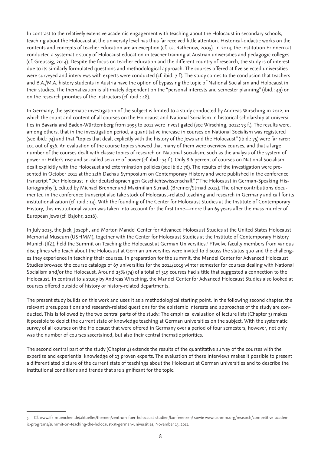In contrast to the relatively extensive academic engagement with teaching about the Holocaust in secondary schools, teaching about the Holocaust at the university level has thus far received little attention. Historical-didactic works on the contents and concepts of teacher education are an exception (cf. i.a. Rathenow, 2005). In 2014, the institution Erinnern.at conducted a systematic study of Holocaust education in teacher training at Austrian universities and pedagogic colleges (cf. Greussig, 2014). Despite the focus on teacher education and the different country of research, the study is of interest due to its similarly formulated questions and methodological approach. The courses offered at five selected universities were surveyed and interviews with experts were conducted (cf. ibid. 7 f). The study comes to the conclusion that teachers and B.A./M.A. history students in Austria have the option of bypassing the topic of National Socialism and Holocaust in their studies. The thematization is ultimately dependent on the "personal interests and semester planning" (ibid.: 49) or on the research priorities of the instructors (cf. ibid.: 48).

In Germany, the systematic investigation of the subject is limited to a study conducted by Andreas Wirsching in 2012, in which the count and content of all courses on the Holocaust and National Socialism in historical scholarship at universities in Bavaria and Baden-Württemberg from 1995 to 2011 were investigated (see Wirsching, 2012: 73 f.). The results were, among others, that in the investigation period, a quantitative increase in courses on National Socialism was registered (see ibid.: 74) and that "topics that dealt explicitly with the history of the Jews and the Holocaust" (ibid.: 75) were far rarer: 101 out of 936. An evaluation of the course topics showed that many of them were overview courses, and that a large number of the courses dealt with classic topics of research on National Socialism, such as the analysis of the system of power or Hitler's rise and so-called seizure of power (cf. ibid.: 74 f.). Only 8.6 percent of courses on National Socialism dealt explicitly with the Holocaust and extermination policies (see ibid.: 76). The results of the investigation were presented in October 2011 at the 12th Dachau Symposium on Contemporary History and were published in the conference transcript "Der Holocaust in der deutschsprachigen Geschichtswissenschaft" ("The Holocaust in German-Speaking Historiography"), edited by Michael Brenner and Maximilian Strnad. (Brenner/Strnad 2012). The other contributions documented in the conference transcript also take stock of Holocaust-related teaching and research in Germany and call for its institutionalization (cf. ibid.: 14). With the founding of the Center for Holocaust Studies at the Institute of Contemporary History, this institutionalization was taken into account for the first time—more than 65 years after the mass murder of European Jews (cf. Bajohr, 2016).

In July 2015, the Jack, Joseph, and Morton Mandel Center for Advanced Holocaust Studies at the United States Holocaust Memorial Museum (USHMM), together with the Center for Holocaust Studies at the Institute of Contemporary History Munich (IfZ), held the Summit on Teaching the Holocaust at German Universities.5 FTwelve faculty members from various disciplines who teach about the Holocaust at German universities were invited to discuss the status quo and the challenges they experience in teaching their courses. In preparation for the summit, the Mandel Center for Advanced Holocaust Studies browsed the course catalogs of 67 universities for the 2014/2015 winter semester for courses dealing with National Socialism and/or the Holocaust. Around 25% (74) of a total of 319 courses had a title that suggested a connection to the Holocaust. In contrast to a study by Andreas Wirsching, the Mandel Center for Advanced Holocaust Studies also looked at courses offered outside of history or history-related departments.

The present study builds on this work and uses it as a methodological starting point. In the following second chapter, the relevant presuppositions and research-related questions for the epistemic interests and approaches of the study are conducted. This is followed by the two central parts of the study: The empirical evaluation of lecture lists (Chapter 3) makes it possible to depict the current state of knowledge teaching at German universities on the subject. With the systematic survey of all courses on the Holocaust that were offered in Germany over a period of four semesters, however, not only was the number of courses ascertained, but also their central thematic priorities.

The second central part of the study (Chapter  $4$ ) extends the results of the quantitative survey of the courses with the expertise and experiential knowledge of 13 proven experts. The evaluation of these interviews makes it possible to present a differentiated picture of the current state of teachings about the Holocaust at German universities and to describe the institutional conditions and trends that are significant for the topic.

<sup>5</sup> Cf. www.ifz-muenchen.de/aktuelles/themen/zentrum-fuer-holocaust-studien/konferenzen/ sowie www.ushmm.org/research/competitive-academic-programs/summit-on-teaching-the-holocaust-at-german-universities, November 15, 2017.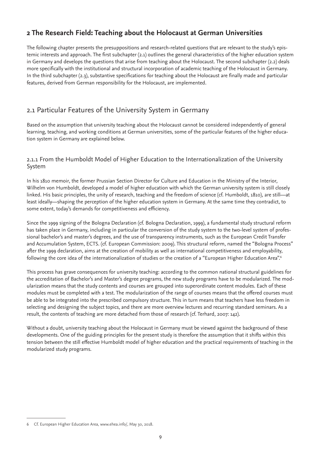# **2 The Research Field: Teaching about the Holocaust at German Universities**

The following chapter presents the presuppositions and research-related questions that are relevant to the study's epistemic interests and approach. The first subchapter (2.1) outlines the general characteristics of the higher education system in Germany and develops the questions that arise from teaching about the Holocaust. The second subchapter (2.2) deals more specifically with the institutional and structural incorporation of academic teaching of the Holocaust in Germany. In the third subchapter (2.3), substantive specifications for teaching about the Holocaust are finally made and particular features, derived from German responsibility for the Holocaust, are implemented.

# 2.1 Particular Features of the University System in Germany

Based on the assumption that university teaching about the Holocaust cannot be considered independently of general learning, teaching, and working conditions at German universities, some of the particular features of the higher education system in Germany are explained below.

## 2.1.1 From the Humboldt Model of Higher Education to the Internationalization of the University System

In his 1810 memoir, the former Prussian Section Director for Culture and Education in the Ministry of the Interior, Wilhelm von Humboldt, developed a model of higher education with which the German university system is still closely linked. His basic principles, the unity of research, teaching and the freedom of science (cf. Humboldt, 1810), are still—at least ideally—shaping the perception of the higher education system in Germany. At the same time they contradict, to some extent, today's demands for competitiveness and efficiency.

Since the 1999 signing of the Bologna Declaration (cf. Bologna Declaration, 1999), a fundamental study structural reform has taken place in Germany, including in particular the conversion of the study system to the two-level system of professional bachelor's and master's degrees, and the use of transparency instruments, such as the European Credit Transfer and Accumulation System, ECTS. (cf. European Commission: 2009). This structural reform, named the "Bologna Process" after the 1999 declaration, aims at the creation of mobility as well as international competitiveness and employability, following the core idea of the internationalization of studies or the creation of a "European Higher Education Area".<sup>6</sup>

This process has grave consequences for university teaching: according to the common national structural guidelines for the accreditation of Bachelor's and Master's degree programs, the new study programs have to be modularized. The modularization means that the study contents and courses are grouped into superordinate content modules. Each of these modules must be completed with a test. The modularization of the range of courses means that the offered courses must be able to be integrated into the prescribed compulsory structure. This in turn means that teachers have less freedom in selecting and designing the subject topics, and there are more overview lectures and recurring standard seminars. As a result, the contents of teaching are more detached from those of research (cf. Terhard, 2007: 142).

Without a doubt, university teaching about the Holocaust in Germany must be viewed against the background of these developments. One of the guiding principles for the present study is therefore the assumption that it shifts within this tension between the still effective Humboldt model of higher education and the practical requirements of teaching in the modularized study programs.

<sup>6</sup> Cf. European Higher Education Area, www.ehea.info/, May 30, 2018.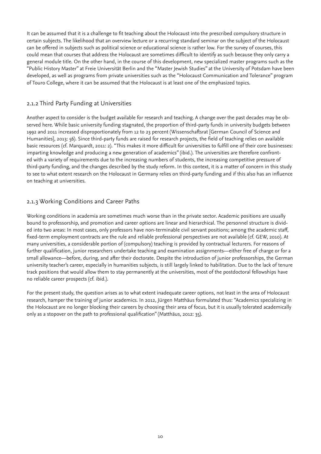It can be assumed that it is a challenge to fit teaching about the Holocaust into the prescribed compulsory structure in certain subjects. The likelihood that an overview lecture or a recurring standard seminar on the subject of the Holocaust can be offered in subjects such as political science or educational science is rather low. For the survey of courses, this could mean that courses that address the Holocaust are sometimes difficult to identify as such because they only carry a general module title. On the other hand, in the course of this development, new specialized master programs such as the "Public History Master" at Freie Universität Berlin and the "Master Jewish Studies" at the University of Potsdam have been developed, as well as programs from private universities such as the "Holocaust Communication and Tolerance" program of Touro College, where it can be assumed that the Holocaust is at least one of the emphasized topics.

## 2.1.2 Third Party Funding at Universities

Another aspect to consider is the budget available for research and teaching. A change over the past decades may be observed here. While basic university funding stagnated, the proportion of third-party funds in university budgets between 1992 and 2011 increased disproportionately from 12 to 23 percent (Wissenschaftsrat [German Council of Science and Humanities], 2013: 56). Since third-party funds are raised for research projects, the field of teaching relies on available basic resources (cf. Marquardt, 2011: 2). "This makes it more difficult for universities to fulfill one of their core businesses: imparting knowledge and producing a new generation of academics" (ibid.). The universities are therefore confronted with a variety of requirements due to the increasing numbers of students, the increasing competitive pressure of third-party funding, and the changes described by the study reform. In this context, it is a matter of concern in this study to see to what extent research on the Holocaust in Germany relies on third-party funding and if this also has an influence on teaching at universities.

## 2.1.3 Working Conditions and Career Paths

Working conditions in academia are sometimes much worse than in the private sector. Academic positions are usually bound to professorship, and promotion and career options are linear and hierarchical. The personnel structure is divided into two areas: In most cases, only professors have non-terminable civil servant positions; among the academic staff, fixed-term employment contracts are the rule and reliable professional perspectives are not available (cf. GEW, 2010). At many universities, a considerable portion of (compulsory) teaching is provided by contractual lecturers. For reasons of further qualification, junior researchers undertake teaching and examination assignments—either free of charge or for a small allowance—before, during, and after their doctorate. Despite the introduction of junior professorships, the German university teacher's career, especially in humanities subjects, is still largely linked to habilitation. Due to the lack of tenure track positions that would allow them to stay permanently at the universities, most of the postdoctoral fellowships have no reliable career prospects (cf. ibid.).

For the present study, the question arises as to what extent inadequate career options, not least in the area of Holocaust research, hamper the training of junior academics. In 2012, Jürgen Matthäus formulated thus: "Academics specializing in the Holocaust are no longer blocking their careers by choosing their area of focus, but it is usually tolerated academically only as a stopover on the path to professional qualification" (Matthäus, 2012: 35).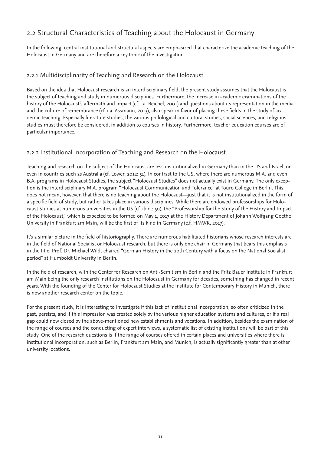# 2.2 Structural Characteristics of Teaching about the Holocaust in Germany

In the following, central institutional and structural aspects are emphasized that characterize the academic teaching of the Holocaust in Germany and are therefore a key topic of the investigation.

## 2.2.1 Multidisciplinarity of Teaching and Research on the Holocaust

Based on the idea that Holocaust research is an interdisciplinary field, the present study assumes that the Holocaust is the subject of teaching and study in numerous disciplines. Furthermore, the increase in academic examinations of the history of the Holocaust's aftermath and impact (cf. i.a. Reichel, 2001) and questions about its representation in the media and the culture of remembrance (cf. i.a. Assmann, 2013), also speak in favor of placing these fields in the study of academic teaching. Especially literature studies, the various philological and cultural studies, social sciences, and religious studies must therefore be considered, in addition to courses in history. Furthermore, teacher education courses are of particular importance.

## 2.2.2 Institutional Incorporation of Teaching and Research on the Holocaust

Teaching and research on the subject of the Holocaust are less institutionalized in Germany than in the US and Israel, or even in countries such as Australia (cf. Lower, 2012: 51). In contrast to the US, where there are numerous M.A. and even B.A. programs in Holocaust Studies, the subject "Holocaust Studies" does not actually exist in Germany. The only exception is the interdisciplinary M.A. program "Holocaust Communication and Tolerance" at Touro College in Berlin. This does not mean, however, that there is no teaching about the Holocaust—just that it is not institutionalized in the form of a specific field of study, but rather takes place in various disciplines. While there are endowed professorships for Holocaust Studies at numerous universities in the US (cf. ibid.: 50), the "Professorship for the Study of the History and Impact of the Holocaust," which is expected to be formed on May 1, 2017 at the History Department of Johann Wolfgang Goethe University in Frankfurt am Main, will be the first of its kind in Germany (c.f. HMWK, 2017).

It's a similar picture in the field of historiography. There are numerous habilitated historians whose research interests are in the field of National Socialist or Holocaust research, but there is only one chair in Germany that bears this emphasis in the title: Prof. Dr. Michael Wildt chaired "German History in the 20th Century with a focus on the National Socialist period" at Humboldt University in Berlin.

In the field of research, with the Center for Research on Anti-Semitism in Berlin and the Fritz Bauer Institute in Frankfurt am Main being the only research institutions on the Holocaust in Germany for decades, something has changed in recent years. With the founding of the Center for Holocaust Studies at the Institute for Contemporary History in Munich, there is now another research center on the topic.

For the present study, it is interesting to investigate if this lack of institutional incorporation, so often criticized in the past, persists, and if this impression was created solely by the various higher education systems and cultures, or if a real gap could now closed by the above-mentioned new establishments and vocations. In addition, besides the examination of the range of courses and the conducting of expert interviews, a systematic list of existing institutions will be part of this study. One of the research questions is if the range of courses offered in certain places and universities where there is institutional incorporation, such as Berlin, Frankfurt am Main, and Munich, is actually significantly greater than at other university locations.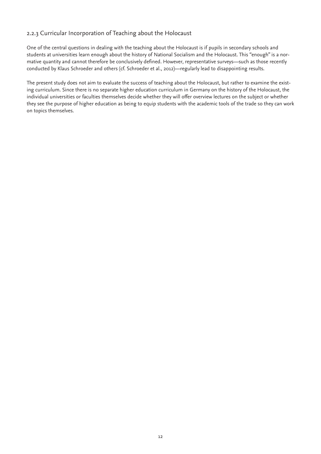## 2.2.3 Curricular Incorporation of Teaching about the Holocaust

One of the central questions in dealing with the teaching about the Holocaust is if pupils in secondary schools and students at universities learn enough about the history of National Socialism and the Holocaust. This "enough" is a normative quantity and cannot therefore be conclusively defined. However, representative surveys—such as those recently conducted by Klaus Schroeder and others (cf. Schroeder et al., 2012)—regularly lead to disappointing results.

The present study does not aim to evaluate the success of teaching about the Holocaust, but rather to examine the existing curriculum. Since there is no separate higher education curriculum in Germany on the history of the Holocaust, the individual universities or faculties themselves decide whether they will offer overview lectures on the subject or whether they see the purpose of higher education as being to equip students with the academic tools of the trade so they can work on topics themselves.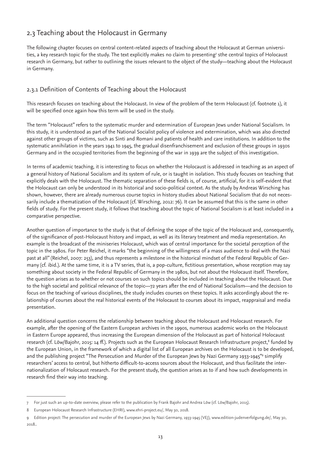# 2.3 Teaching about the Holocaust in Germany

The following chapter focuses on central content-related aspects of teaching about the Holocaust at German universities, a key research topic for the study. The text explicitly makes no claim to presenting<sup>7</sup> sthe central topics of Holocaust research in Germany, but rather to outlining the issues relevant to the object of the study—teaching about the Holocaust in Germany.

# 2.3.1 Definition of Contents of Teaching about the Holocaust

This research focuses on teaching about the Holocaust. In view of the problem of the term Holocaust (cf. footnote 1), it will be specified once again how this term will be used in the study.

The term "Holocaust" refers to the systematic murder and extermination of European Jews under National Socialism. In this study, it is understood as part of the National Socialist policy of violence and extermination, which was also directed against other groups of victims, such as Sinti and Romani and patients of health and care institutions. In addition to the systematic annihilation in the years 1941 to 1945, the gradual disenfranchisement and exclusion of these groups in 1930s Germany and in the occupied territories from the beginning of the war in 1939 are the subject of this investigation.

In terms of academic teaching, it is interesting to focus on whether the Holocaust is addressed in teaching as an aspect of a general history of National Socialism and its system of rule, or is taught in isolation. This study focuses on teaching that explicitly deals with the Holocaust. The thematic separation of these fields is, of course, artificial, for it is self-evident that the Holocaust can only be understood in its historical and socio-political context. As the study by Andreas Wirsching has shown, however, there are already numerous course topics in history studies about National Socialism that do not necessarily include a thematization of the Holocaust (cf. Wirsching, 2012: 76). It can be assumed that this is the same in other fields of study. For the present study, it follows that teaching about the topic of National Socialism is at least included in a comparative perspective.

Another question of importance to the study is that of defining the scope of the topic of the Holocaust and, consequently, of the significance of post-Holocaust history and impact, as well as its literary treatment and media representation. An example is the broadcast of the miniseries Holocaust, which was of central importance for the societal perception of the topic in the 1980s. For Peter Reichel, it marks "the beginning of the willingness of a mass audience to deal with the Nazi past at all" (Reichel, 2007: 253), and thus represents a milestone in the historical mindset of the Federal Republic of Germany (cf. ibid.). At the same time, it is a TV series, that is, a pop-culture, fictitious presentation, whose reception may say something about society in the Federal Republic of Germany in the 1980s, but not about the Holocaust itself. Therefore, the question arises as to whether or not courses on such topics should be included in teaching about the Holocaust. Due to the high societal and political relevance of the topic—72 years after the end of National Socialism—and the decision to focus on the teaching of various disciplines, the study includes courses on these topics. It asks accordingly about the relationship of courses about the real historical events of the Holocaust to courses about its impact, reappraisal and media presentation.

An additional question concerns the relationship between teaching about the Holocaust and Holocaust research. For example, after the opening of the Eastern European archives in the 1990s, numerous academic works on the Holocaust in Eastern Europe appeared, thus increasing the European dimension of the Holocaust as part of historical Holocaust research (cf. Löw/Bajohr, 2015: 14 ff.). Projects such as the European Holocaust Research Infrastructure project, $^{\text{s}}$  funded by the European Union, in the framework of which a digital list of all European archives on the Holocaust is to be developed, and the publishing project "The Persecution and Murder of the European Jews by Nazi Germany 1933-1945"<sup>,</sup> simplify researchers' access to central, but hitherto difficult-to-access sources about the Holocaust, and thus facilitate the internationalization of Holocaust research. For the present study, the question arises as to if and how such developments in research find their way into teaching.

<sup>7</sup> For just such an up-to-date overview, please refer to the publication by Frank Bajohr and Andrea Löw (cf. Löw/Bajohr, 2015).

<sup>8</sup> European Holocaust Research Infrastructure (EHRI), www.ehri-project.eu/, May 30, 2018.

<sup>9</sup> Edition project: The persecution and murder of the European Jews by Nazi Germany, 1933-1945 (VEJ), www.edition-judenverfolgung.de/, May 30, 2018..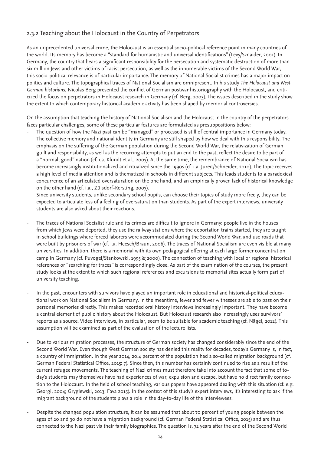# 2.3.2 Teaching about the Holocaust in the Country of Perpetrators

As an unprecedented universal crime, the Holocaust is an essential socio-political reference point in many countries of the world. Its memory has become a "standard for humanistic and universal identifications" (Levy/Sznaider, 2001). In Germany, the country that bears a significant responsibility for the persecution and systematic destruction of more than six million Jews and other victims of racist persecution, as well as the innumerable victims of the Second World War, this socio-political relevance is of particular importance. The memory of National Socialist crimes has a major impact on politics and culture. The topographical traces of National Socialism are omnipresent. In his study *The Holocaust and West German historians*, Nicolas Berg presented the conflict of German postwar historiography with the Holocaust, and criticized the focus on perpetrators in Holocaust research in Germany (cf. Berg, 2003). The issues described in the study show the extent to which contemporary historical academic activity has been shaped by memorial controversies.

On the assumption that teaching the history of National Socialism and the Holocaust in the country of the perpetrators faces particular challenges, some of these particular features are formulated as presuppositions below:

The question of how the Nazi past can be "managed" or processed is still of central importance in Germany today. The collective memory and national identity in Germany are still shaped by how we deal with this responsibility. The emphasis on the suffering of the German population during the Second World War, the relativization of German guilt and responsibility, as well as the recurring attempts to put an end to the past, reflect the desire to be part of a "normal, good" nation (cf. i.a. Klundt et al., 2007). At the same time, the remembrance of National Socialism has become increasingly institutionalized and ritualized since the 1990s (cf. i.a. Jureit/Schneider, 2010). The topic receives a high level of media attention and is thematized in schools in different subjects. This leads students to a paradoxical concurrence of an articulated oversaturation on the one hand, and an empirically proven lack of historical knowledge on the other hand (cf. i.a., Zülsdorf-Kersting, 2007).

Since university students, unlike secondary school pupils, can choose their topics of study more freely, they can be expected to articulate less of a feeling of oversaturation than students. As part of the expert interviews, university students are also asked about their reactions.

- The traces of National Socialist rule and its crimes are difficult to ignore in Germany: people live in the houses from which Jews were deported, they use the railway stations where the deportation trains started, they are taught in school buildings where forced laborers were accommodated during the Second World War, and use roads that were built by prisoners of war (cf. i.a. Heesch/Braun, 2006). The traces of National Socialism are even visible at many universities. In addition, there is a memorial with its own pedagogical offering at each large former concentration camp in Germany (cf. Puvogel/Stankowski, 1995 & 2000). The connection of teaching with local or regional historical references or "searching for traces" is correspondingly close. As part of the examination of the courses, the present study looks at the extent to which such regional references and excursions to memorial sites actually form part of university teaching.
- In the past, encounters with survivors have played an important role in educational and historical-political educational work on National Socialism in Germany. In the meantime, fewer and fewer witnesses are able to pass on their personal memories directly. This makes recorded oral history interviews increasingly important. They have become a central element of public history about the Holocaust. But Holocaust research also increasingly uses survivors' reports as a source. Video interviews, in particular, seem to be suitable for academic teaching (cf. Nägel, 2012). This assumption will be examined as part of the evaluation of the lecture lists.
- Due to various migration processes, the structure of German society has changed considerably since the end of the Second World War. Even though West German society has denied this reality for decades, today's Germany is, in fact, a country of immigration. In the year 2014, 20.4 percent of the population had a so-called migration background (cf. German Federal Statistical Office, 2015: 7). Since then, this number has certainly continued to rise as a result of the current refugee movements. The teaching of Nazi crimes must therefore take into account the fact that some of today's students may themselves have had experiences of war, expulsion and escape, but have no direct family connection to the Holocaust. In the field of school teaching, various papers have appeared dealing with this situation (cf. e.g. Georgi, 2004; Gryglewski, 2013; Fava 2015). In the context of this study's expert interviews, it's interesting to ask if the migrant background of the students plays a role in the day-to-day life of the interviewees.
- Despite the changed population structure, it can be assumed that about 70 percent of young people between the ages of 20 and 30 do not have a migration background (cf. German Federal Statistical Office, 2015) and are thus connected to the Nazi past via their family biographies. The question is, 72 years after the end of the Second World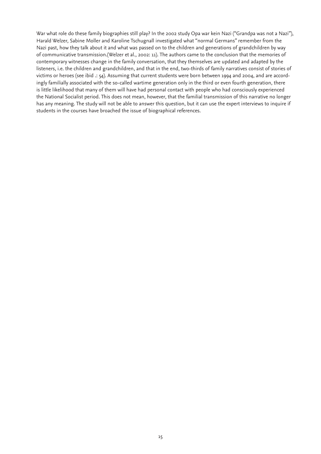War what role do these family biographies still play? In the 2002 study Opa war kein Nazi ("Grandpa was not a Nazi"), Harald Welzer, Sabine Moller and Karoline Tschugnall investigated what "normal Germans" remember from the Nazi past, how they talk about it and what was passed on to the children and generations of grandchildren by way of communicative transmission.(Welzer et al., 2002: 11). The authors came to the conclusion that the memories of contemporary witnesses change in the family conversation, that they themselves are updated and adapted by the listeners, i.e. the children and grandchildren, and that in the end, two-thirds of family narratives consist of stories of victims or heroes (see ibid .: 54). Assuming that current students were born between 1994 and 2004, and are accordingly familially associated with the so-called wartime generation only in the third or even fourth generation, there is little likelihood that many of them will have had personal contact with people who had consciously experienced the National Socialist period. This does not mean, however, that the familial transmission of this narrative no longer has any meaning. The study will not be able to answer this question, but it can use the expert interviews to inquire if students in the courses have broached the issue of biographical references.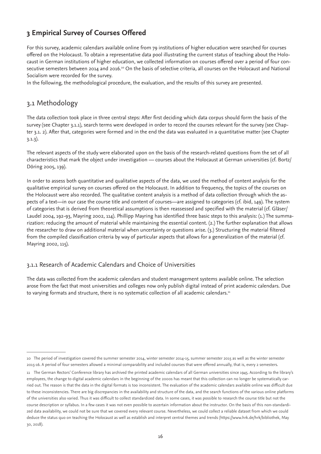# **3 Empirical Survey of Courses Offered**

For this survey, academic calendars available online from 79 institutions of higher education were searched for courses offered on the Holocaust. To obtain a representative data pool illustrating the current status of teaching about the Holocaust in German institutions of higher education, we collected information on courses offered over a period of four consecutive semesters between 2014 and 2016.10 On the basis of selective criteria, all courses on the Holocaust and National Socialism were recorded for the survey.

In the following, the methodological procedure, the evaluation, and the results of this survey are presented.

# 3.1 Methodology

The data collection took place in three central steps: After first deciding which data corpus should form the basis of the survey (see Chapter 3.1.1), search terms were developed in order to record the courses relevant for the survey (see Chapter 3.1. 2). After that, categories were formed and in the end the data was evaluated in a quantitative matter (see Chapter 3.1.3).

The relevant aspects of the study were elaborated upon on the basis of the research-related questions from the set of all characteristics that mark the object under investigation — courses about the Holocaust at German universities (cf. Bortz/ Döring 2005, 139).

In order to assess both quantitative and qualitative aspects of the data, we used the method of content analysis for the qualitative empirical survey on courses offered on the Holocaust. In addition to frequency, the topics of the courses on the Holocaust were also recorded. The qualitative content analysis is a method of data collection through which the aspects of a text—in our case the course title and content of courses—are assigned to categories (cf. ibid, 149). The system of categories that is derived from theoretical assumptions is then reassessed and specified with the material (cf. Gläser/ Laudel 2004, 192-93, Mayring 2002, 114). Phillipp Mayring has identified three basic steps to this analysis: (1.) The summarization: reducing the amount of material while maintaining the essential content. (2.) The further explanation that allows the researcher to draw on additional material when uncertainty or questions arise. (3.) Structuring the material filtered from the compiled classification criteria by way of particular aspects that allows for a generalization of the material (cf. Mayring 2002, 115).

## 3.1.1 Research of Academic Calendars and Choice of Universities

The data was collected from the academic calendars and student management systems available online. The selection arose from the fact that most universities and colleges now only publish digital instead of print academic calendars. Due to varying formats and structure, there is no systematic collection of all academic calendars.<sup>11</sup>

<sup>10</sup> The period of investigation covered the summer semester 2014, winter semester 2014-15, summer semester 2015 as well as the winter semester 2015-16. A period of four semesters allowed a minimal comparability and included courses that were offered annually, that is, every 2 semesters.

<sup>11</sup> The German Rectors' Conference library has archived the printed academic calendars of all German universities since 1945. According to the library's employees, the change to digital academic calendars in the beginning of the 2000s has meant that this collection can no longer be systematically carried out. The reason is that the data in the digital formats is too inconsistent. The evaluation of the academic calendars available online was difficult due to these inconsistencies. There are big discrepancies in the availability and structure of the data, and the search functions of the various online platforms of the universities also varied. Thus it was difficult to collect standardized data. In some cases, it was possible to research the course title but not the course description or syllabus. In a few cases it was not even possible to ascertain information about the instructor. On the basis of this non-standardized data availability, we could not be sure that we covered every relevant course. Nevertheless, we could collect a reliable dataset from which we could deduce the status quo on teaching the Holocaust as well as establish and interpret central themes and trends (https://www.hrk.de/hrk/bibliothek, May 30, 2018).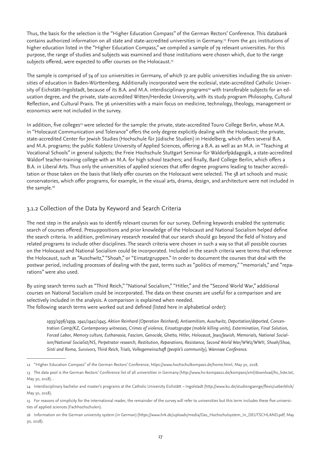Thus, the basis for the selection is the "Higher Education Compass" of the German Rectors' Conference. This databank contains authorized information on all state and state-accredited universities in Germany.12 From the 401 institutions of higher education listed in the "Higher Education Compass," we compiled a sample of 79 relevant universities. For this purpose, the range of studies and subjects was examined and those institutions were chosen which, due to the range subjects offered, were expected to offer courses on the Holocaust.<sup>13</sup>

The sample is comprised of 74 of 110 universities in Germany, of which 72 are public universities including the six universities of education in Baden-Württemberg. Additionally incorporated were the ecclesial, state-accredited Catholic University of Eichstätt-Ingolstadt, because of its B.A. and M.A. interdisciplinary programs<sup>14</sup> with transferable subjects for an education degree, and the private, state-accredited Witten/Herdecke University, with its study program Philosophy, Cultural Reflection, and Cultural Praxis. The 36 universities with a main focus on medicine, technology, theology, management or economics were not included in the survey.

In addition, five colleges<sup>15</sup> were selected for the sample: the private, state-accredited Touro College Berlin, whose M.A. in "Holocaust Communication and Tolerance" offers the only degree explicitly dealing with the Holocaust; the private, state-accredited Center for Jewish Studies (Hochschule für Jüdische Studien) in Heidelberg, which offers several B.A. and M.A. programs; the public Koblenz University of Applied Sciences, offering a B.A. as well as an M.A. in "Teaching at Vocational Schools" in general subjects; the Freie Hochschule Stuttgart Seminar für Waldorfpädagogik, a state-accredited Waldorf teacher-training college with an M.A. for high school teachers; and finally, Bard College Berlin, which offers a B.A. in Liberal Arts. Thus only the universities of applied sciences that offer degree programs leading to teacher accreditation or those taken on the basis that likely offer courses on the Holocaust were selected. The 58 art schools and music conservatories, which offer programs, for example, in the visual arts, drama, design, and architecture were not included in the sample.<sup>16</sup>

## 3.1.2 Collection of the Data by Keyword and Search Criteria

The next step in the analysis was to identify relevant courses for our survey. Defining keywords enabled the systematic search of courses offered. Presuppositions and prior knowledge of the Holocaust and National Socialism helped define the search criteria. In addition, preliminary research revealed that our search should go beyond the field of history and related programs to include other disciplines. The search criteria were chosen in such a way so that all possible courses on the Holocaust and National Socialism could be incorporated. Included in the search criteria were terms that reference the Holocaust, such as "Auschwitz," "Shoah," or "Einsatzgruppen." In order to document the courses that deal with the postwar period, including processes of dealing with the past, terms such as "politics of memory," "memorials," and "reparations" were also used.

By using search terms such as "Third Reich," "National Socialism," "Hitler," and the "Second World War," additional courses on National Socialism could be incorporated. The data on these courses are useful for a comparison and are selectively included in the analysis. A comparison is explained when needed. The following search terms were worked out and defined (listed here in alphabetical order):

*1933/1936/1939, 1941/1942/1945, Aktion Reinhard (Operation Reinhard), Antisemitism, Auschwitz, Deportation/deported, Concentration Camp/KZ, Contemporary witnesses, Crimes of violence, Einsatzgruppe (mobile killing units), Extermination, Final Solution, Forced Labor, Memory culture, Euthanasia, Fascism, Genocide, Ghetto, Hitler, Holocaust, Jews/Jewish, Memorials, National Socialism/National Socialist/NS, Perpetrator research, Restitution, Reparations, Resistance, Second World War/WW2/WWII, Shoah/Shoa, Sinti and Roma, Survivors, Third Reich, Trials, Volksgemeinschaft (people's community), Wannsee Conference.*

<sup>12 &</sup>quot;Higher Education Compass" of the German Rectors' Conference, https://www.hochschulkompass.de/home.html, May 30, 2018.

<sup>13</sup> The data pool is the German Rectors' Conference list of all universities in Germany (http://www.hs-kompass2.de/kompass/xml/download/hs\_liste.txt, May 30, 2018). .

<sup>14</sup> Interdisciplinary bachelor and master's programs at the Catholic University Eichstätt – Ingolstadt (http://www.ku.de/studiengaenge/flexis/ueberblick/ May 30, 2018).

<sup>15</sup> For reasons of simplicity for the international reader, the remainder of the survey will refer to universities but this term includes these five universities of applied sciences (Fachhochschulen).

<sup>16</sup> Information on the German university system (in German) (https://www.hrk.de/uploads/media/Das\_Hochschulsystem\_In\_DEUTSCHLAND.pdf, May 30, 2018).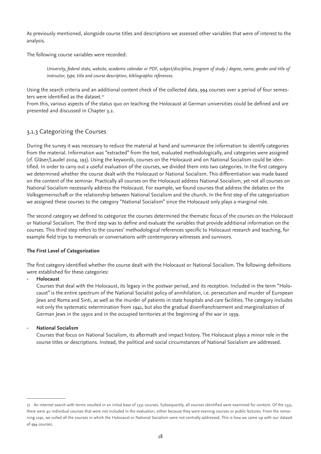As previously mentioned, alongside course titles and descriptions we assessed other variables that were of interest to the analysis.

The following course variables were recorded:

*University, federal state, website, academic calendar or PDF, subject/discipline, program of study / degree, name, gender and title of instructor, type, title and course description, bibliographic references.*

Using the search criteria and an additional content check of the collected data, 994 courses over a period of four semesters were identified as the dataset.<sup>17</sup>

From this, various aspects of the status quo on teaching the Holocaust at German universities could be defined and are presented and discussed in Chapter 3.2.

# 3.1.3 Categorizing the Courses

During the survey it was necessary to reduce the material at hand and summarize the information to identify categories from the material. Information was "extracted" from the text, evaluated methodologically, and categories were assigned (cf. Gläser/Laudel 2004, 193). Using the keywords, courses on the Holocaust and on National Socialism could be identified. In order to carry out a useful evaluation of the courses, we divided them into two categories. In the first category we determined whether the course dealt with the Holocaust or National Socialism. This differentiation was made based on the content of the seminar. Practically all courses on the Holocaust address National Socialism, yet not all courses on National Socialism necessarily address the Holocaust. For example, we found courses that address the debates on the Volksgemeinschaft or the relationship between National Socialism and the church. In the first step of the categorization we assigned these courses to the category "National Socialism" since the Holocaust only plays a marginal role.

The second category we defined to categorize the courses determined the thematic focus of the courses on the Holocaust or National Socialism. The third step was to define and evaluate the variables that provide additional information on the courses. This third step refers to the courses' methodological references specific to Holocaust research and teaching, for example field trips to memorials or conversations with contemporary witnesses and survivors.

#### **The First Level of Categorization**

The first category identified whether the course dealt with the Holocaust or National Socialism. The following definitions were established for these categories:

#### - **Holocaust**

Courses that deal with the Holocaust, its legacy in the postwar period, and its reception. Included in the term "Holocaust" is the entire spectrum of the National Socialist policy of annihilation, i.e. persecution and murder of European Jews and Roma and Sinti, as well as the murder of patients in state hospitals and care facilities. The category includes not only the systematic extermination from 1941, but also the gradual disenfranchisement and marginalization of German Jews in the 1930s and in the occupied territories at the beginning of the war in 1939.

#### - **National Socialism**

Courses that focus on National Socialism, its aftermath and impact history. The Holocaust plays a minor role in the course titles or descriptions. Instead, the political and social circumstances of National Socialism are addressed.

<sup>17</sup> An internet search with terms resulted in an initial base of 1331 courses. Subsequently, all courses identified were examined for content. Of the 1331, there were 40 individual courses that were not included in the evaluation, either because they were evening courses or public lectures. From the remaining 1291, we culled all the courses in which the Holocaust or National Socialism were not centrally addressed. This is how we came up with our dataset of 994 courses.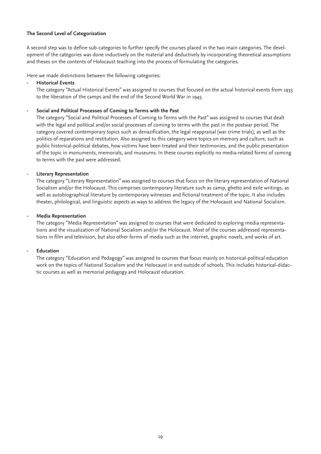#### **The Second Level of Categorization**

A second step was to define sub-categories to further specify the courses placed in the two main categories. The development of the categories was done inductively on the material and deductively by incorporating theoretical assumptions and theses on the contents of Holocaust teaching into the process of formulating the categories.

Here we made distinctions between the following categories:

#### - **Historical Events**

The category "Actual Historical Events" was assigned to courses that focused on the actual historical events from 1933 to the liberation of the camps and the end of the Second World War in 1945.

#### - **Social and Political Processes of Coming to Terms with the Past**

The category "Social and Political Processes of Coming to Terms with the Past" was assigned to courses that dealt with the legal and political and/or social processes of coming to terms with the past in the postwar period. The category covered contemporary topics such as denazification, the legal reappraisal (war crime trials), as well as the politics of reparations and restitution. Also assigned to this category were topics on memory and culture, such as public historical-political debates, how victims have been treated and their testimonies, and the public presentation of the topic in monuments, memorials, and museums. In these courses explicitly no media-related forms of coming to terms with the past were addressed.

#### - **Literary Representation**

The category "Literary Representation" was assigned to courses that focus on the literary representation of National Socialism and/or the Holocaust. This comprises contemporary literature such as camp, ghetto and exile writings, as well as autobiographical literature by contemporary witnesses and fictional treatment of the topic. It also includes theater, philological, and linguistic aspects as ways to address the legacy of the Holocaust and National Socialism.

#### - **Media Representation**

The category "Media Representation" was assigned to courses that were dedicated to exploring media representations and the visualization of National Socialism and/or the Holocaust. Most of the courses addressed representations in film and television, but also other forms of media such as the internet, graphic novels, and works of art.

#### - **Education**

The category "Education and Pedagogy" was assigned to courses that focus mainly on historical-political education work on the topics of National Socialism and the Holocaust in and outside of schools. This includes historical-didactic courses as well as memorial pedagogy and Holocaust education.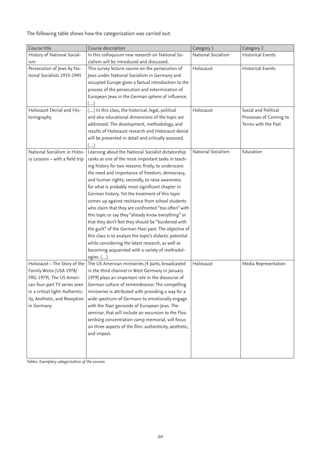The following table shows how the categorization was carried out:

| Course title                    | Course description                                      | Category 1         | Category 2               |
|---------------------------------|---------------------------------------------------------|--------------------|--------------------------|
| History of National Social-     | In this colloquium new research on National So-         | National Socialism | <b>Historical Events</b> |
| ism                             | cialism will be introduced and discussed.               |                    |                          |
| Persecution of Jews by Na-      | This survey lecture course on the persecution of        | Holocaust          | <b>Historical Events</b> |
| tional Socialists 1933-1945     | Jews under National Socialism in Germany and            |                    |                          |
|                                 | occupied Europe gives a factual introduction to the     |                    |                          |
|                                 | process of the persecution and extermination of         |                    |                          |
|                                 | European Jews in the German sphere of influence.        |                    |                          |
|                                 | ()                                                      |                    |                          |
| Holocaust Denial and His-       | () In this class, the historical, legal, political      | Holocaust          | Social and Political     |
| toriography                     | and also educational dimensions of the topic are        |                    | Processes of Coming to   |
|                                 | addressed. The development, methodology, and            |                    | Terms with the Past      |
|                                 | results of Holocaust research and Holocaust denial      |                    |                          |
|                                 | will be presented in detail and critically assessed.    |                    |                          |
|                                 | ()                                                      |                    |                          |
| National Socialism in Histo-    | Learning about the National Socialist dictatorship      | National Socialism | Education                |
| ry Lessons - with a field trip  | ranks as one of the most important tasks in teach-      |                    |                          |
|                                 | ing history for two reasons: firstly, to underscore     |                    |                          |
|                                 | the need and importance of freedom, democracy,          |                    |                          |
|                                 | and human rights; secondly, to raise awareness          |                    |                          |
|                                 | for what is probably most significant chapter in        |                    |                          |
|                                 | German history. Yet the treatment of this topic         |                    |                          |
|                                 | comes up against resistance from school students        |                    |                          |
|                                 | who claim that they are confronted "too often" with     |                    |                          |
|                                 | this topic or say they "already know everything" or     |                    |                          |
|                                 | that they don't feel they should be "burdened with      |                    |                          |
|                                 | the guilt" of the German Nazi past. The objective of    |                    |                          |
|                                 | this class is to analyze the topic's didactic potential |                    |                          |
|                                 | while considering the latest research, as well as       |                    |                          |
|                                 | becoming acquainted with a variety of methodol-         |                    |                          |
|                                 | ogies. ()                                               |                    |                          |
| Holocaust - The Story of the    | The US American miniseries (4 parts, broadcasted        | Holocaust          | Media Representation     |
| Family Weiss (USA 1978/         | in the third channel in West Germany in January         |                    |                          |
| FRG 1979). The US Ameri-        | 1979) plays an important role in the discourse of       |                    |                          |
| can four-part TV series seen    | German culture of remembrance: The compelling           |                    |                          |
| in a critical light: Authentic- | miniseries is attributed with providing a way for a     |                    |                          |
| ity, Aesthetic, and Reception   | wide spectrum of Germans to emotionally engage          |                    |                          |
| in Germany                      | with the Nazi genocide of European Jews. The            |                    |                          |
|                                 | seminar, that will include an excursion to the Flos-    |                    |                          |
|                                 | senbürg concentration camp memorial, will focus         |                    |                          |
|                                 | on three aspects of the film: authenticity, aesthetic,  |                    |                          |
|                                 | and impact.                                             |                    |                          |
|                                 |                                                         |                    |                          |
|                                 |                                                         |                    |                          |
|                                 |                                                         |                    |                          |

*Table1: Exemplary categorization of the courses*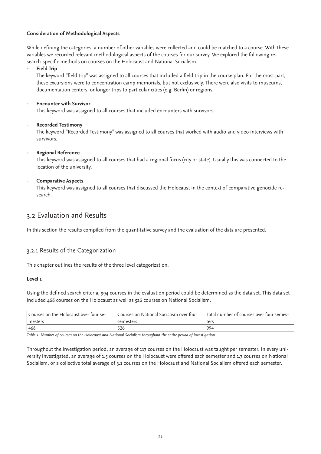#### **Consideration of Methodological Aspects**

While defining the categories, a number of other variables were collected and could be matched to a course. With these variables we recorded relevant methodological aspects of the courses for our survey. We explored the following research-specific methods on courses on the Holocaust and National Socialism.

#### - **Field Trip**

The keyword "field trip" was assigned to all courses that included a field trip in the course plan. For the most part, these excursions were to concentration camp memorials, but not exclusively. There were also visits to museums, documentation centers, or longer trips to particular cities (e.g. Berlin) or regions.

#### - **Encounter with Survivor**

This keyword was assigned to all courses that included encounters with survivors.

#### - **Recorded Testimony**

The keyword "Recorded Testimony" was assigned to all courses that worked with audio and video interviews with survivors.

#### - **Regional Reference**

This keyword was assigned to all courses that had a regional focus (city or state). Usually this was connected to the location of the university.

#### - **Comparative Aspects**

This keyword was assigned to all courses that discussed the Holocaust in the context of comparative genocide research.

# 3.2 Evaluation and Results

In this section the results compiled from the quantitative survey and the evaluation of the data are presented.

## 3.2.1 Results of the Categorization

This chapter outlines the results of the three level categorization.

#### **Level 1**

Using the defined search criteria, 994 courses in the evaluation period could be determined as the data set. This data set included 468 courses on the Holocaust as well as 526 courses on National Socialism.

| Courses on the Holocaust over four se- | Courses on National Socialism over four | -Total number of courses over four semes |  |
|----------------------------------------|-----------------------------------------|------------------------------------------|--|
| mesters                                | I semesters                             | ters                                     |  |
| 468                                    | 526                                     | 994                                      |  |

*Table 2: Number of courses on the Holocaust and National Socialism throughout the entire period of investigation.*

Throughout the investigation period, an average of 117 courses on the Holocaust was taught per semester. In every university investigated, an average of 1.5 courses on the Holocaust were offered each semester and 1.7 courses on National Socialism, or a collective total average of 3.1 courses on the Holocaust and National Socialism offered each semester.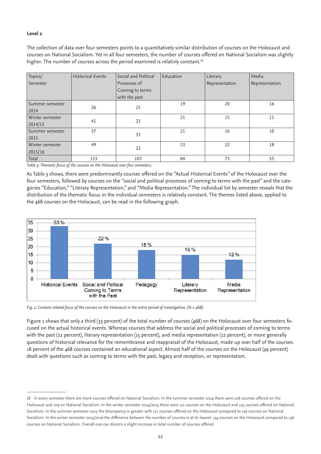#### **Level 2**

The collection of data over four semesters points to a quantitatively similar distribution of courses on the Holocaust and courses on National Socialism. Yet in all four semesters, the number of courses offered on National Socialism was slightly higher. The number of courses across the period examined is relativly constant.<sup>18</sup>

| Topics/         | <b>Historical Events</b> | Social and Political | Education | Literary       | Media          |
|-----------------|--------------------------|----------------------|-----------|----------------|----------------|
| Semester        |                          | Processes of         |           | Representation | Representation |
|                 |                          | Coming to terms      |           |                |                |
|                 |                          | with the past        |           |                |                |
| Summer semester | 26                       | 25                   | 19        | 20             | 16             |
| 2014            |                          |                      |           |                |                |
| Winter semester | 41                       | 23                   | 21        | 15             | 11             |
| 2014/15         |                          |                      |           |                |                |
| Summer semester | 37                       | 33                   | 21        | 16             | 10             |
| 2015            |                          |                      |           |                |                |
| Winter semester | 49                       | 22                   | 23        | 22             | 18             |
| 2015/16         |                          |                      |           |                |                |
| Total           | 153                      | 103                  | 84        | 73             | 55             |

*Table 3: Thematic focus of the courses on the Holocaust over four semesters.*

As Table 3 shows, there were predominantly courses offered on the "Actual Historical Events" of the Holocaust over the four semesters, followed by courses on the "social and political processes of coming to terms with the past" and the categories "Education," "Literary Representation," and "Media Representation." The individual list by semester reveals that the distribution of the thematic focus in the individual semesters is relatively constant. The themes listed above, applied to the 468 courses on the Holocaust, can be read in the following graph.



*Fig. 1: Content-related focus of the courses on the Holocaust in the entire period of investigation. (N = 468).*

Figure 1 shows that only a third (33 percent) of the total number of courses (468) on the Holocaust over four semesters focused on the actual historical events. Whereas courses that address the social and political processes of coming to terms with the past (22 percent), literary representation (15 percent), and media representation (12 percent), or more generally questions of historical relevance for the remembrance and reappraisal of the Holocaust, made up over half of the courses. 18 percent of the 468 courses contained an educational aspect. Almost half of the courses on the Holocaust (49 percent) dealt with questions such as coming to terms with the past, legacy and reception, or representation.

<sup>18</sup> In every semester there are more courses offered on National Socialism. In the summer semester 2014 there were 106 courses offered on the Holocaust and 109 on National Socialism. In the winter semester 2014/2015 there were 111 courses on the Holocaust and 125 courses offered on National Socialism. In the summer semester 2015 the discrepancy is greater with 117 courses offered on the Holocaust compared to 156 courses on National Socialism. In the winter semester 2015/2016 the difference between the number of courses is at its lowest: 134 courses on the Holocaust compared to 136 courses on National Socialism. Overall one can discern a slight increase in total number of courses offered.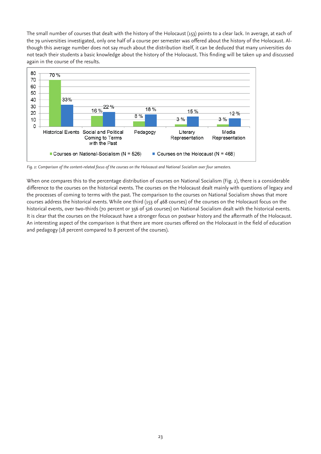The small number of courses that dealt with the history of the Holocaust (153) points to a clear lack. In average, at each of the 79 universities investigated, only one half of a course per semester was offered about the history of the Holocaust. Although this average number does not say much about the distribution itself, it can be deduced that many universities do not teach their students a basic knowledge about the history of the Holocaust. This finding will be taken up and discussed again in the course of the results.



*Fig. 2: Comparison of the content-related focus of the courses on the Holocaust and National Socialism over four semesters.*

When one compares this to the percentage distribution of courses on National Socialism (Fig. 2), there is a considerable difference to the courses on the historical events. The courses on the Holocaust dealt mainly with questions of legacy and the processes of coming to terms with the past. The comparison to the courses on National Socialism shows that more courses address the historical events. While one third (153 of 468 courses) of the courses on the Holocaust focus on the historical events, over two-thirds (70 percent or 356 of 526 courses) on National Socialism dealt with the historical events. It is clear that the courses on the Holocaust have a stronger focus on postwar history and the aftermath of the Holocaust. An interesting aspect of the comparison is that there are more courses offered on the Holocaust in the field of education and pedagogy (18 percent compared to 8 percent of the courses).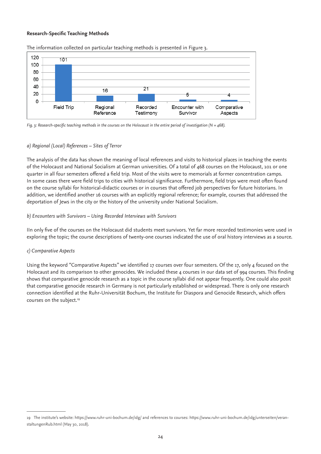#### **Research-Specific Teaching Methods**



The information collected on particular teaching methods is presented in Figure 3.

*Fig. 3: Research-specific teaching methods in the courses on the Holocaust in the entire period of investigation (N = 468).*

#### *a) Regional (Local) References – Sites of Terror*

The analysis of the data has shown the meaning of local references and visits to historical places in teaching the events of the Holocaust and National Socialism at German universities. Of a total of 468 courses on the Holocaust, 101 or one quarter in all four semesters offered a field trip. Most of the visits were to memorials at former concentration camps. In some cases there were field trips to cities with historical significance. Furthermore, field trips were most often found on the course syllabi for historical-didactic courses or in courses that offered job perspectives for future historians. In addition, we identified another 16 courses with an explicitly regional reference; for example, courses that addressed the deportation of Jews in the city or the history of the university under National Socialism.

#### *b) Encounters with Survivors – Using Recorded Interviews with Survivors*

IIn only five of the courses on the Holocaust did students meet survivors. Yet far more recorded testimonies were used in exploring the topic; the course descriptions of twenty-one courses indicated the use of oral history interviews as a source.

#### *c) Comparative Aspects*

Using the keyword "Comparative Aspects" we identified 17 courses over four semesters. Of the 17, only 4 focused on the Holocaust and its comparison to other genocides. We included these 4 courses in our data set of 994 courses. This finding shows that comparative genocide research as a topic in the course syllabi did not appear frequently. One could also posit that comparative genocide research in Germany is not particularly established or widespread. There is only one research connection identified at the Ruhr-Universität Bochum, the Institute for Diaspora and Genocide Research, which offers courses on the subject.<sup>19</sup>

<sup>19</sup> The institute's website: https://www.ruhr-uni-bochum.de/idg/ and references to courses: https://www.ruhr-uni-bochum.de/idg/unterseiten/veranstaltungenRub.html (May 30, 2018).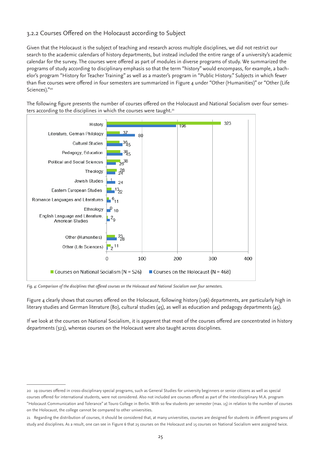## 3.2.2 Courses Offered on the Holocaust according to Subject

Given that the Holocaust is the subject of teaching and research across multiple disciplines, we did not restrict our search to the academic calendars of history departments, but instead included the entire range of a university's academic calendar for the survey. The courses were offered as part of modules in diverse programs of study. We summarized the programs of study according to disciplinary emphasis so that the term "history" would encompass, for example, a bachelor's program "History for Teacher Training" as well as a master's program in "Public History." Subjects in which fewer than five courses were offered in four semesters are summarized in Figure 4 under "Other (Humanities)" or "Other (Life Sciences)."*<sup>20</sup>*

The following figure presents the number of courses offered on the Holocaust and National Socialism over four semesters according to the disciplines in which the courses were taught.*<sup>21</sup>*



*Fig. 4: Comparison of the disciplines that offered courses on the Holocaust and National Socialism over four semesters.*

Figure 4 clearly shows that courses offered on the Holocaust, following history (196) departments, are particularly high in literary studies and German literature (80), cultural studies (45), as well as education and pedagogy departments (45).

If we look at the courses on National Socialism, it is apparent that most of the courses offered are concentrated in history departments (323), whereas courses on the Holocaust were also taught across disciplines.

<sup>20 19</sup> courses offered in cross-disciplinary special programs, such as General Studies for university beginners or senior citizens as well as special courses offered for international students, were not considered. Also not included are courses offered as part of the interdisciplinary M.A. program "Holocaust Communication and Tolerance" at Touro College in Berlin. With so few students per semester (max. 15) in relation to the number of courses on the Holocaust, the college cannot be compared to other universities.

<sup>21</sup> Regarding the distribution of courses, it should be considered that, at many universities, courses are designed for students in different programs of study and disciplines. As a result, one can see in Figure 6 that 25 courses on the Holocaust and 15 courses on National Socialism were assigned twice.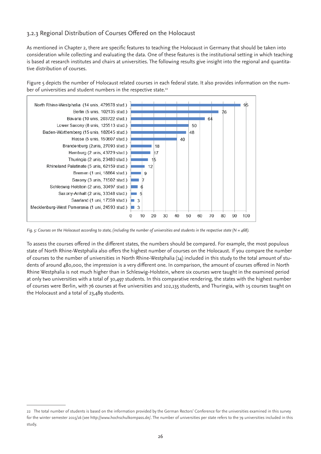## 3.2.3 Regional Distribution of Courses Offered on the Holocaust

As mentioned in Chapter 2, there are specific features to teaching the Holocaust in Germany that should be taken into consideration while collecting and evaluating the data. One of these features is the institutional setting in which teaching is based at research institutes and chairs at universities. The following results give insight into the regional and quantitative distribution of courses.

Figure 5 depicts the number of Holocaust related courses in each federal state. It also provides information on the number of universities and student numbers in the respective state.<sup>22</sup>



*Fig. 5: Courses on the Holocaust according to state, (including the number of universities and students in the respective state (N = 468).*

To assess the courses offered in the different states, the numbers should be compared. For example, the most populous state of North Rhine-Westphalia also offers the highest number of courses on the Holocaust. If you compare the number of courses to the number of universities in North Rhine-Westphalia (14) included in this study to the total amount of students of around 480,000, the impression is a very different one. In comparison, the amount of courses offered in North Rhine Westphalia is not much higher than in Schleswig-Holstein, where six courses were taught in the examined period at only two universities with a total of 30,497 students. In this comparative rendering, the states with the highest number of courses were Berlin, with 76 courses at five universities and 102,135 students, and Thuringia, with 15 courses taught on the Holocaust and a total of 23,489 students.

<sup>22</sup> The total number of students is based on the information provided by the German Rectors' Conference for the universities examined in this survey for the winter semester 2015/16 (see http://www.hochschulkompass.de/. The number of universities per state refers to the 79 universities included in this study.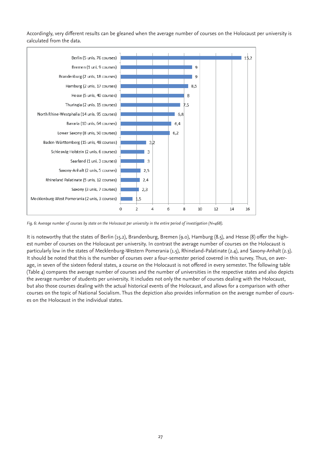Accordingly, very different results can be gleaned when the average number of courses on the Holocaust per university is calculated from the data.



*Fig. 6: Average number of courses by state on the Holocaust per university in the entire period of investigation (N=468).*

It is noteworthy that the states of Berlin (15.2), Brandenburg, Bremen (9.0), Hamburg (8.5), and Hesse (8) offer the highest number of courses on the Holocaust per university. In contrast the average number of courses on the Holocaust is particularly low in the states of Mecklenburg-Western Pomerania (1.5), Rhineland-Palatinate (2.4), and Saxony-Anhalt (2.3). It should be noted that this is the number of courses over a four-semester period covered in this survey. Thus, on average, in seven of the sixteen federal states, a course on the Holocaust is not offered in every semester. The following table (Table 4) compares the average number of courses and the number of universities in the respective states and also depicts the average number of students per university. It includes not only the number of courses dealing with the Holocaust, but also those courses dealing with the actual historical events of the Holocaust, and allows for a comparison with other courses on the topic of National Socialism. Thus the depiction also provides information on the average number of courses on the Holocaust in the individual states.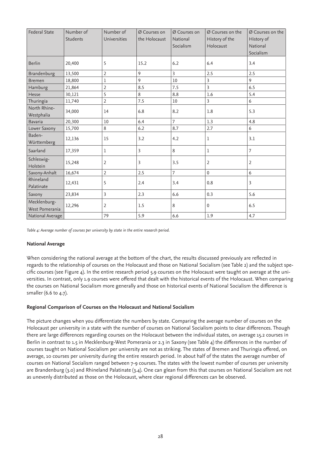| Federal State                  | Number of<br>Students | Number of<br>Universities | Ø Courses on<br>the Holocaust | Ø Courses on<br>National<br>Socialism | Ø Courses on the<br>History of the<br>Holocaust | Ø Courses on the<br>History of<br>National<br>Socialism |
|--------------------------------|-----------------------|---------------------------|-------------------------------|---------------------------------------|-------------------------------------------------|---------------------------------------------------------|
| <b>Berlin</b>                  | 20,400                | 5                         | 15.2                          | 6.2                                   | 6.4                                             | 3.4                                                     |
| Brandenburg                    | 13,500                | $\overline{2}$            | 9                             | 3                                     | 2.5                                             | 2.5                                                     |
| <b>Bremen</b>                  | 18,800                | $\!1$                     | 9                             | 10                                    | 3                                               | 9                                                       |
| Hamburg                        | 21,864                | $\overline{2}$            | 8.5                           | 7.5                                   | $\overline{3}$                                  | 6.5                                                     |
| Hesse                          | 30,121                | 5                         | 8                             | 8.8                                   | 1.6                                             | 5.4                                                     |
| Thuringia                      | 11,740                | $\overline{2}$            | 7.5                           | 10                                    | 3                                               | 6                                                       |
| North Rhine-<br>Westphalia     | 34,000                | 14                        | 6.8                           | 8.2                                   | 1.8                                             | 5.3                                                     |
| <b>Bavaria</b>                 | 20,300                | 10                        | 6.4                           | 7                                     | 1.3                                             | 4.8                                                     |
| Lower Saxony                   | 15,700                | 8                         | 6.2                           | 8.7                                   | 2.7                                             | 6                                                       |
| Baden-<br>Württemberg          | 12,136                | 15                        | 3.2                           | 4.2                                   | 1                                               | 3.1                                                     |
| Saarland                       | 17,359                | 1                         | 3                             | 8                                     | 1                                               | 7                                                       |
| Schleswig-<br>Holstein         | 15,248                | $\overline{2}$            | $\overline{3}$                | 3.5                                   | $\overline{2}$                                  | 2                                                       |
| Saxony-Anhalt                  | 16,674                | $\overline{2}$            | 2.5                           | 7                                     | $\mathbf{0}$                                    | 6                                                       |
| Rhineland<br>Palatinate        | 12,431                | 5                         | 2.4                           | 3.4                                   | 0.8                                             | 3                                                       |
| Saxony                         | 23,834                | 3                         | 2.3                           | 6.6                                   | 0.3                                             | 5.6                                                     |
| Mecklenburg-<br>West Pomerania | 12,296                | $\overline{2}$            | 1.5                           | 8                                     | $\mathbf{0}$                                    | 6.5                                                     |
| National Average               |                       | 79                        | 5.9                           | 6.6                                   | 1.9                                             | 4.7                                                     |

*Table 4: Average number of courses per university by state in the entire research period.* 

#### **National Average**

When considering the national average at the bottom of the chart, the results discussed previously are reflected in regards to the relationship of courses on the Holocaust and those on National Socialism (see Table 2) and the subject specific courses (see Figure 4). In the entire research period 5.9 courses on the Holocaust were taught on average at the universities. In contrast, only 1.9 courses were offered that dealt with the historical events of the Holocaust. When comparing the courses on National Socialism more generally and those on historical events of National Socialism the difference is smaller (6.6 to 4.7).

#### **Regional Comparison of Courses on the Holocaust and National Socialism**

The picture changes when you differentiate the numbers by state. Comparing the average number of courses on the Holocaust per university in a state with the number of courses on National Socialism points to clear differences. Though there are large differences regarding courses on the Holocaust between the individual states, on average 15.2 courses in Berlin in contrast to 1.5 in Mecklenburg-West Pomerania or 2.3 in Saxony (see Table 4) the differences in the number of courses taught on National Socialism per university are not as striking. The states of Bremen and Thuringia offered, on average, 10 courses per university during the entire research period. In about half of the states the average number of courses on National Socialism ranged between 7-9 courses. The states with the lowest number of courses per university are Brandenburg (3.0) and Rhineland Palatinate (3.4). One can glean from this that courses on National Socialism are not as unevenly distributed as those on the Holocaust, where clear regional differences can be observed.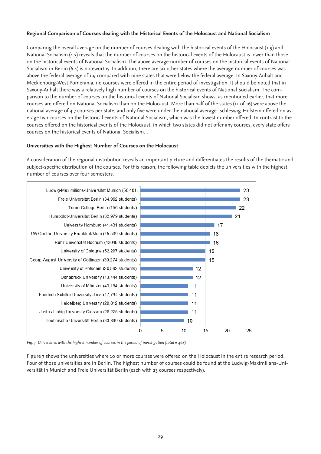#### **Regional Comparison of Courses dealing with the Historical Events of the Holocaust and National Socialism**

Comparing the overall average on the number of courses dealing with the historical events of the Holocaust (1.9) and National Socialism (4.7) reveals that the number of courses on the historical events of the Holocaust is lower than those on the historical events of National Socialism. The above average number of courses on the historical events of National Socialism in Berlin (6.4) is noteworthy. In addition, there are six other states where the average number of courses was above the federal average of 1.9 compared with nine states that were below the federal average. In Saxony-Anhalt and Mecklenburg-West Pomerania, no courses were offered in the entire period of investigation. It should be noted that in Saxony-Anhalt there was a relatively high number of courses on the historical events of National Socialism. The comparison to the number of courses on the historical events of National Socialism shows, as mentioned earlier, that more courses are offered on National Socialism than on the Holocaust. More than half of the states (11 of 16) were above the national average of 4.7 courses per state, and only five were under the national average. Schleswig-Holstein offered on average two courses on the historical events of National Socialism, which was the lowest number offered. In contrast to the courses offered on the historical events of the Holocaust, in which two states did not offer any courses, every state offers courses on the historical events of National Socialism. .

#### **Universities with the Highest Number of Courses on the Holocaust**

A consideration of the regional distribution reveals an important picture and differentiates the results of the thematic and subject-specific distribution of the courses. For this reason, the following table depicts the universities with the highest number of courses over four semesters.



*Fig. 7: Universities with the highest number of courses in the period of investigation (total = 468).*

Figure 7 shows the universities where 10 or more courses were offered on the Holocaust in the entire research period. Four of those universities are in Berlin. The highest number of courses could be found at the Ludwig-Maximilians-Universität in Munich and Freie Universität Berlin (each with 23 courses respectively).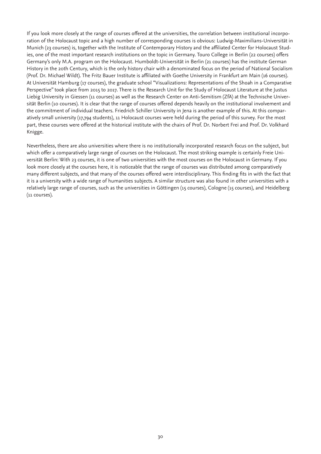If you look more closely at the range of courses offered at the universities, the correlation between institutional incorporation of the Holocaust topic and a high number of corresponding courses is obvious: Ludwig-Maximilians-Universität in Munich (23 courses) is, together with the Institute of Contemporary History and the affiliated Center for Holocaust Studies, one of the most important research institutions on the topic in Germany. Touro College in Berlin (22 courses) offers Germany's only M.A. program on the Holocaust. Humboldt-Universität in Berlin (21 courses) has the institute German History in the 20th Century, which is the only history chair with a denominated focus on the period of National Socialism (Prof. Dr. Michael Wildt). The Fritz Bauer Institute is affiliated with Goethe University in Frankfurt am Main (16 courses). At Universität Hamburg (17 courses), the graduate school "Visualizations: Representations of the Shoah in a Comparative Perspective" took place from 2015 to 2017. There is the Research Unit for the Study of Holocaust Literature at the Justus Liebig University in Giessen (11 courses) as well as the Research Center on Anti-Semitism (ZfA) at the Technische Universität Berlin (10 courses). It is clear that the range of courses offered depends heavily on the institutional involvement and the commitment of individual teachers. Friedrich Schiller University in Jena is another example of this. At this comparatively small university (17,794 students), 11 Holocaust courses were held during the period of this survey. For the most part, these courses were offered at the historical institute with the chairs of Prof. Dr. Norbert Frei and Prof. Dr. Volkhard Knigge.

Nevertheless, there are also universities where there is no institutionally incorporated research focus on the subject, but which offer a comparatively large range of courses on the Holocaust. The most striking example is certainly Freie Universität Berlin: With 23 courses, it is one of two universities with the most courses on the Holocaust in Germany. If you look more closely at the courses here, it is noticeable that the range of courses was distributed among comparatively many different subjects, and that many of the courses offered were interdisciplinary. This finding fits in with the fact that it is a university with a wide range of humanities subjects. A similar structure was also found in other universities with a relatively large range of courses, such as the universities in Göttingen (15 courses), Cologne (15 courses), and Heidelberg (11 courses).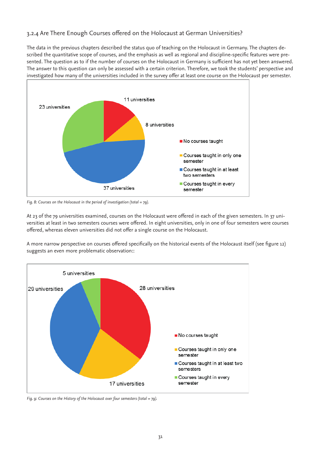# 3.2.4 Are There Enough Courses offered on the Holocaust at German Universities?

The data in the previous chapters described the status quo of teaching on the Holocaust in Germany. The chapters described the quantitative scope of courses, and the emphasis as well as regional and discipline-specific features were presented. The question as to if the number of courses on the Holocaust in Germany is sufficient has not yet been answered. The answer to this question can only be assessed with a certain criterion. Therefore, we took the students' perspective and investigated how many of the universities included in the survey offer at least one course on the Holocaust per semester.



*Fig. 8: Courses on the Holocaust in the period of investigation (total = 79).*

At 23 of the 79 universities examined, courses on the Holocaust were offered in each of the given semesters. In 37 universities at least in two semesters courses were offered. In eight universities, only in one of four semesters were courses offered, whereas eleven universities did not offer a single course on the Holocaust.

A more narrow perspective on courses offered specifically on the historical events of the Holocaust itself (see figure 12) suggests an even more problematic observation::



*Fig. 9: Courses on the History of the Holocaust over four semesters (total = 79).*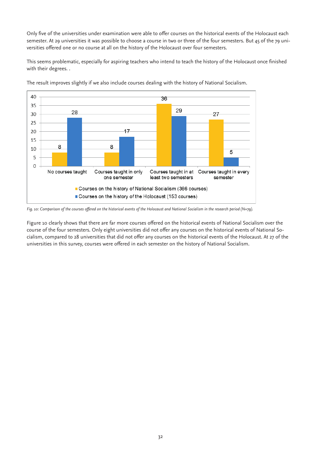Only five of the universities under examination were able to offer courses on the historical events of the Holocaust each semester. At 29 universities it was possible to choose a course in two or three of the four semesters. But 45 of the 79 universities offered one or no course at all on the history of the Holocaust over four semesters.

This seems problematic, especially for aspiring teachers who intend to teach the history of the Holocaust once finished with their degrees. .



The result improves slightly if we also include courses dealing with the history of National Socialism.

*Fig. 10: Comparison of the courses offered on the historical events of the Holocaust and National Socialism in the research period (N=79).*

Figure 10 clearly shows that there are far more courses offered on the historical events of National Socialism over the course of the four semesters. Only eight universities did not offer any courses on the historical events of National Socialism, compared to 28 universities that did not offer any courses on the historical events of the Holocaust. At 27 of the universities in this survey, courses were offered in each semester on the history of National Socialism.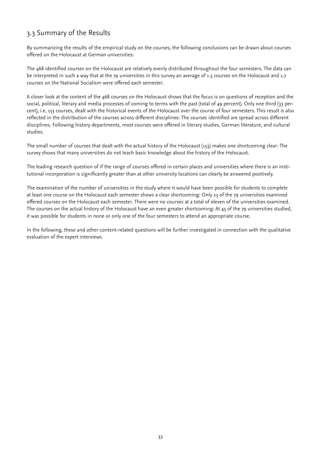# 3.3 Summary of the Results

By summarizing the results of the empirical study on the courses, the following conclusions can be drawn about courses offered on the Holocaust at German universities:

The 468 identified courses on the Holocaust are relatively evenly distributed throughout the four semesters. The data can be interpreted in such a way that at the 79 universities in this survey an average of 1.5 courses on the Holocaust and 1.7 courses on the National Socialism were offered each semester.

A closer look at the content of the 468 courses on the Holocaust shows that the focus is on questions of reception and the social, political, literary and media processes of coming to terms with the past (total of 49 percent). Only one third (33 percent), i.e. 153 courses, dealt with the historical events of the Holocaust over the course of four semesters. This result is also reflected in the distribution of the courses across different disciplines: The courses identified are spread across different disciplines. Following history departments, most courses were offered in literary studies, German literature, and cultural studies.

The small number of courses that dealt with the actual history of the Holocaust (153) makes one shortcoming clear: The survey shows that many universities do not teach basic knowledge about the history of the Holocaust.

The leading research question of if the range of courses offered in certain places and universities where there is an institutional incorporation is significantly greater than at other university locations can clearly be answered positively.

The examination of the number of universities in the study where it would have been possible for students to complete at least one course on the Holocaust each semester shows a clear shortcoming: Only 23 of the 79 universities examined offered courses on the Holocaust each semester. There were no courses at a total of eleven of the universities examined. The courses on the actual history of the Holocaust have an even greater shortcoming: At 45 of the 79 universities studied, it was possible for students in none or only one of the four semesters to attend an appropriate course.

In the following, these and other content-related questions will be further investigated in connection with the qualitative evaluation of the expert interviews.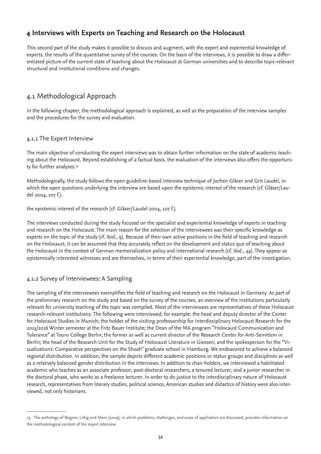# **4 Interviews with Experts on Teaching and Research on the Holocaust**

This second part of the study makes it possible to discuss and augment, with the expert and experiential knowledge of experts, the results of the quantitative survey of the courses. On the basis of the interviews, it is possible to draw a differentiated picture of the current state of teaching about the Holocaust at German universities and to describe topic-relevant structural and institutional conditions and changes.

# 4.1 Methodological Approach

In the following chapter, the methodological approach is explained, as well as the preparation of the interview samples and the procedures for the survey and evaluation.

## 4.1.1 The Expert Interview

The main objective of conducting the expert interviews was to obtain further information on the state of academic teaching about the Holocaust. Beyond establishing of a factual basis, the evaluation of the interviews also offers the opportunity for further analyses.<sup>23</sup>

Methodologically, the study follows the open guideline-based interview technique of Jochen Gläser and Grit Laudel, in which the open questions underlying the interview are based upon the epistemic interest of the research (cf. Gläser/Laudel 2004, 107 f.).

the epistemic interest of the research (cf. Gläser/Laudel 2004, 107 f.).

The interviews conducted during the study focused on the specialist and experiential knowledge of experts in teaching and research on the Holocaust. The main reason for the selection of the interviewees was their specific knowledge as experts on the topic of the study (cf. ibid., 9). Because of their own active positions in the field of teaching and research on the Holocaust, it can be assumed that they accurately reflect on the development and status quo of teaching about the Holocaust in the context of German memorialization policy and international research (cf. ibid., 44). They appear as epistemically interested witnesses and are themselves, in terms of their experiential knowledge, part of the investigation.

# 4.1.2 Survey of Interviewees: A Sampling

The sampling of the interviewees exemplifies the field of teaching and research on the Holocaust in Germany. As part of the preliminary research on the study and based on the survey of the courses, an overview of the institutions particularly relevant for university teaching of the topic was compiled. Most of the interviewees are representatives of these Holocaust research-relevant institutions. The following were interviewed, for example: the head and deputy director of the Center for Holocaust Studies in Munich; the holder of the visiting professorship for Interdisciplinary Holocaust Research for the 2015/2016 Winter semester at the Fritz Bauer Institute; the Dean of the MA program "Holocaust Communication and Tolerance" at Touro College Berlin; the former as well as current director of the Research Center for Anti-Semitism in Berlin; the head of the Research Unit for the Study of Holocaust Literature in Giessen; and the spokesperson for the "Visualizations: Comparative perspectives on the Shoah" graduate school in Hamburg. We endeavored to achieve a balanced regional distribution. In addition, the sample depicts different academic positions or status groups and disciplines as well as a relatively balanced gender distribution in the interviews. In addition to chair holders, we interviewed a habilitated academic who teaches as an associate professor, post-doctoral researchers, a tenured lecturer, and a junior researcher in the doctoral phase, who works as a freelance lecturer. In order to do justice to the interdisciplinary nature of Holocaust research, representatives from literary studies, political science, American studies and didactics of history were also interviewed, not only historians.

<sup>23</sup> The anthology of Bogner, Littig and Menz (2009), in which problems, challenges, and areas of application are discussed, provides information on the methodological content of the expert interview.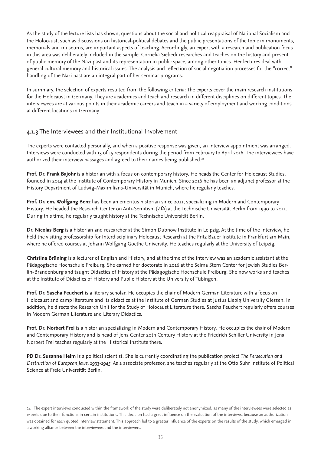As the study of the lecture lists has shown, questions about the social and political reappraisal of National Socialism and the Holocaust, such as discussions on historical-political debates and the public presentations of the topic in monuments, memorials and museums, are important aspects of teaching. Accordingly, an expert with a research and publication focus in this area was deliberately included in the sample. Cornelia Siebeck researches and teaches on the history and present of public memory of the Nazi past and its representation in public space, among other topics. Her lectures deal with general cultural memory and historical issues. The analysis and reflection of social negotiation processes for the "correct" handling of the Nazi past are an integral part of her seminar programs.

In summary, the selection of experts resulted from the following criteria: The experts cover the main research institutions for the Holocaust in Germany. They are academics and teach and research in different disciplines on different topics. The interviewees are at various points in their academic careers and teach in a variety of employment and working conditions at different locations in Germany.

## 4.1.3 The Interviewees and their Institutional Involvement

The experts were contacted personally, and when a positive response was given, an interview appointment was arranged. Interviews were conducted with 13 of 15 respondents during the period from February to April 2016. The interviewees have authorized their interview passages and agreed to their names being published.<sup>24</sup>

**Prof. Dr. Frank Bajohr** is a historian with a focus on contemporary history. He heads the Center for Holocaust Studies, founded in 2014 at the Institute of Contemporary History in Munich. Since 2016 he has been an adjunct professor at the History Department of Ludwig-Maximilians-Universität in Munich, where he regularly teaches.

**Prof. Dr. em. Wolfgang Benz** has been an emeritus historian since 2011, specializing in Modern and Contemporary History. He headed the Research Center on Anti-Semitism (ZfA) at the Technische Universität Berlin from 1990 to 2011. During this time, he regularly taught history at the Technische Universität Berlin.

**Dr. Nicolas Berg** is a historian and researcher at the Simon Dubnow Institute in Leipzig. At the time of the interview, he held the visiting professorship for Interdisciplinary Holocaust Research at the Fritz Bauer Institute in Frankfurt am Main, where he offered courses at Johann Wolfgang Goethe University. He teaches regularly at the University of Leipzig.

**Christina Brüning** is a lecturer of English and History, and at the time of the interview was an academic assistant at the Pädagogische Hochschule Freiburg. She earned her doctorate in 2016 at the Selma Stern Center for Jewish Studies Berlin-Brandenburg and taught Didactics of History at the Pädagogische Hochschule Freiburg. She now works and teaches at the Institute of Didactics of History and Public History at the University of Tübingen.

**Prof. Dr. Sascha Feuchert** is a literary scholar. He occupies the chair of Modern German Literature with a focus on Holocaust and camp literature and its didactics at the Institute of German Studies at Justus Liebig University Giessen. In addition, he directs the Research Unit for the Study of Holocaust Literature there. Sascha Feuchert regularly offers courses in Modern German Literature and Literary Didactics.

**Prof. Dr. Norbert Frei** is a historian specializing in Modern and Contemporary History. He occupies the chair of Modern and Contemporary History and is head of Jena Center 20th Century History at the Friedrich Schiller University in Jena. Norbert Frei teaches regularly at the Historical Institute there.

**PD Dr. Susanne Heim** is a political scientist. She is currently coordinating the publication project *The Persecution and Destruction of European Jews, 1933-1945*. As a associate professor, she teaches regularly at the Otto Suhr Institute of Political Science at Freie Universität Berlin.

<sup>24</sup> The expert interviews conducted within the framework of the study were deliberately not anonymized, as many of the interviewees were selected as experts due to their functions in certain institutions. This decision had a great influence on the evaluation of the interviews, because an authorization was obtained for each quoted interview statement. This approach led to a greater influence of the experts on the results of the study, which emerged in a working alliance between the interviewees and the interviewers.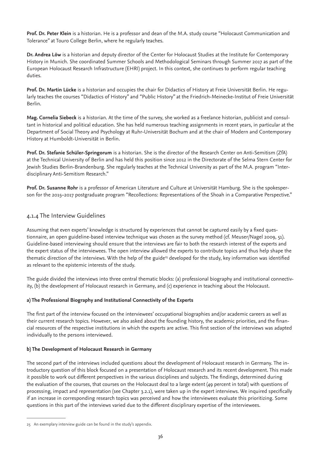**Prof. Dr. Peter Klein** is a historian. He is a professor and dean of the M.A. study course "Holocaust Communication and Tolerance" at Touro College Berlin, where he regularly teaches.

**Dr. Andrea Löw** is a historian and deputy director of the Center for Holocaust Studies at the Institute for Contemporary History in Munich. She coordinated Summer Schools and Methodological Seminars through Summer 2017 as part of the European Holocaust Research Infrastructure (EHRI) project. In this context, she continues to perform regular teaching duties.

**Prof. Dr. Martin Lücke** is a historian and occupies the chair for Didactics of History at Freie Universität Berlin. He regularly teaches the courses "Didactics of History" and "Public History" at the Friedrich-Meinecke-Institut of Freie Universität Berlin.

**Mag. Cornelia Siebeck** is a historian. At the time of the survey, she worked as a freelance historian, publicist and consultant in historical and political education. She has held numerous teaching assignments in recent years, in particular at the Department of Social Theory and Psychology at Ruhr-Universität Bochum and at the chair of Modern and Contemporary History at Humboldt-Universität in Berlin.

**Prof. Dr. Stefanie Schüler-Springorum** is a historian. She is the director of the Research Center on Anti-Semitism (ZfA) at the Technical University of Berlin and has held this position since 2012 in the Directorate of the Selma Stern Center for Jewish Studies Berlin-Brandenburg. She regularly teaches at the Technical University as part of the M.A. program "Interdisciplinary Anti-Semitism Research."

**Prof. Dr. Susanne Rohr** is a professor of American Literature and Culture at Universität Hamburg. She is the spokesperson for the 2015–2017 postgraduate program "Recollections: Representations of the Shoah in a Comparative Perspective."

## 4.1.4 The Interview Guidelines

Assuming that even experts' knowledge is structured by experiences that cannot be captured easily by a fixed questionnaire, an open guideline-based interview technique was chosen as the survey method (cf. Meuser/Nagel 2009, 51). Guideline-based interviewing should ensure that the interviews are fair to both the research interest of the experts and the expert status of the interviewees. The open interview allowed the experts to contribute topics and thus help shape the thematic direction of the interviews. With the help of the guide<sup>25</sup> developed for the study, key information was identified as relevant to the epistemic interests of the study.

The guide divided the interviews into three central thematic blocks: (a) professional biography and institutional connectivity, (b) the development of Holocaust research in Germany, and (c) experience in teaching about the Holocaust.

#### **a) The Professional Biography and Institutional Connectivity of the Experts**

The first part of the interview focused on the interviewees' occupational biographies and/or academic careers as well as their current research topics. However, we also asked about the founding history, the academic priorities, and the financial resources of the respective institutions in which the experts are active. This first section of the interviews was adapted individually to the persons interviewed.

## **b) The Development of Holocaust Research in Germany**

The second part of the interviews included questions about the development of Holocaust research in Germany. The introductory question of this block focused on a presentation of Holocaust research and its recent development. This made it possible to work out different perspectives in the various disciplines and subjects. The findings, determined during the evaluation of the courses, that courses on the Holocaust deal to a large extent (49 percent in total) with questions of processing, impact and representation (see Chapter 3.2.1), were taken up in the expert interviews. We inquired specifically if an increase in corresponding research topics was perceived and how the interviewees evaluate this prioritizing. Some questions in this part of the interviews varied due to the different disciplinary expertise of the interviewees.

<sup>25</sup> An exemplary interview guide can be found in the study's appendix.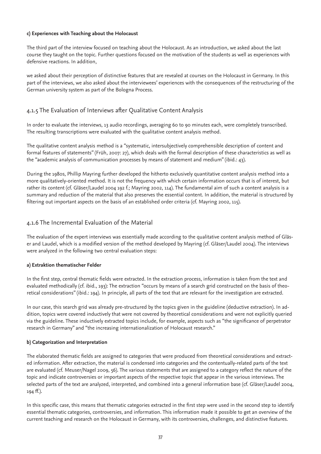#### **c) Experiences with Teaching about the Holocaust**

The third part of the interview focused on teaching about the Holocaust. As an introduction, we asked about the last course they taught on the topic. Further questions focused on the motivation of the students as well as experiences with defensive reactions. In addition,

we asked about their perception of distinctive features that are revealed at courses on the Holocaust in Germany. In this part of the interviews, we also asked about the interviewees' experiences with the consequences of the restructuring of the German university system as part of the Bologna Process.

# 4.1.5 The Evaluation of Interviews after Qualitative Content Analysis

In order to evaluate the interviews, 13 audio recordings, averaging 60 to 90 minutes each, were completely transcribed. The resulting transcriptions were evaluated with the qualitative content analysis method.

The qualitative content analysis method is a "systematic, intersubjectively comprehensible description of content and formal features of statements" (Früh, 2007: 27), which deals with the formal description of these characteristics as well as the "academic analysis of communication processes by means of statement and medium" (ibid.: 43).

During the 1980s, Phillip Mayring further developed the hitherto exclusively quantitative content analysis method into a more qualitatively-oriented method. It is not the frequency with which certain information occurs that is of interest, but rather its content (cf. Gläser/Laudel 2004 192 f.; Mayring 2002, 114). The fundamental aim of such a content analysis is a summary and reduction of the material that also preserves the essential content. In addition, the material is structured by filtering out important aspects on the basis of an established order criteria (cf. Mayring 2002, 115).

### 4.1.6 The Incremental Evaluation of the Material

The evaluation of the expert interviews was essentially made according to the qualitative content analysis method of Gläser and Laudel, which is a modified version of the method developed by Mayring (cf. Gläser/Laudel 2004). The interviews were analyzed in the following two central evaluation steps:

#### **a) Extraktion thematischer Felder**

In the first step, central thematic fields were extracted. In the extraction process, information is taken from the text and evaluated methodically (cf. ibid., 193): The extraction "occurs by means of a search grid constructed on the basis of theoretical considerations" (ibid.: 194). In principle, all parts of the text that are relevant for the investigation are extracted.

In our case, this search grid was already pre-structured by the topics given in the guideline (deductive extraction). In addition, topics were covered inductively that were not covered by theoretical considerations and were not explicitly queried via the guideline. These inductively extracted topics include, for example, aspects such as "the significance of perpetrator research in Germany" and "the increasing internationalization of Holocaust research."

#### **b) Categorization and Interpretation**

The elaborated thematic fields are assigned to categories that were produced from theoretical considerations and extracted information. After extraction, the material is condensed into categories and the contentually-related parts of the text are evaluated (cf. Meuser/Nagel 2009, 56). The various statements that are assigned to a category reflect the nature of the topic and indicate controversies or important aspects of the respective topic that appear in the various interviews. The selected parts of the text are analyzed, interpreted, and combined into a general information base (cf. Gläser/Laudel 2004, 194 ff.).

In this specific case, this means that thematic categories extracted in the first step were used in the second step to identify essential thematic categories, controversies, and information. This information made it possible to get an overview of the current teaching and research on the Holocaust in Germany, with its controversies, challenges, and distinctive features.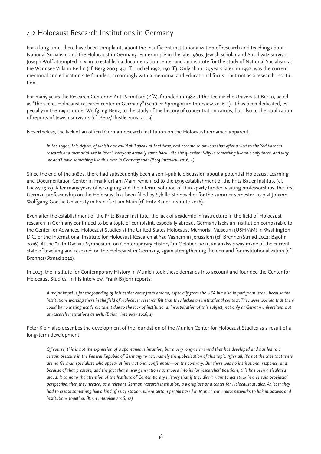# 4.2 Holocaust Research Institutions in Germany

For a long time, there have been complaints about the insufficient institutionalization of research and teaching about National Socialism and the Holocaust in Germany. For example in the late 1960s, Jewish scholar and Auschwitz survivor Joseph Wulf attempted in vain to establish a documentation center and an institute for the study of National Socialism at the Wannsee Villa in Berlin (cf. Berg 2003, 451 ff.; Tuchel 1992, 150 ff.). Only about 25 years later, in 1992, was the current memorial and education site founded, accordingly with a memorial and educational focus—but not as a research institution.

For many years the Research Center on Anti-Semitism (ZfA), founded in 1982 at the Technische Universität Berlin, acted as "the secret Holocaust research center in Germany" (Schüler-Springorum Interview 2016, 1). It has been dedicated, especially in the 1990s under Wolfgang Benz, to the study of the history of concentration camps, but also to the publication of reports of Jewish survivors (cf. Benz/Thistle 2005-2009).

Nevertheless, the lack of an official German research institution on the Holocaust remained apparent.

*In the 1990s, this deficit, of which one could still speak at that time, had become so obvious that after a visit to the Yad Vashem research and memorial site in Israel, everyone actually came back with the question: Why is something like this only there, and why we don't have something like this here in Germany too? (Berg Interview 2016, 4)*

Since the end of the 1980s, there had subsequently been a semi-public discussion about a potential Holocaust Learning and Documentation Center in Frankfurt am Main, which led to the 1995 establishment of the Fritz Bauer Institute (cf. Loewy 1992). After many years of wrangling and the interim solution of third-party funded visiting professorships, the first German professorship on the Holocaust has been filled by Sybille Steinbacher for the summer semester 2017 at Johann Wolfgang Goethe University in Frankfurt am Main (cf. Fritz Bauer Institute 2016).

Even after the establishment of the Fritz Bauer Institute, the lack of academic infrastructure in the field of Holocaust research in Germany continued to be a topic of complaint, especially abroad. Germany lacks an institution comparable to the Center for Advanced Holocaust Studies at the United States Holocaust Memorial Museum (USHMM) in Washington D.C. or the International Institute for Holocaust Research at Yad Vashem in Jerusalem (cf. Brenner/Strnad 2012; Bajohr 2016). At the "12th Dachau Symposium on Contemporary History" in October, 2011, an analysis was made of the current state of teaching and research on the Holocaust in Germany, again strengthening the demand for institutionalization (cf. Brenner/Strnad 2012).

In 2013, the Institute for Contemporary History in Munich took these demands into account and founded the Center for Holocaust Studies. In his interview, Frank Bajohr reports:

*A major impetus for the founding of this center came from abroad, especially from the USA but also in part from Israel, because the institutions working there in the field of Holocaust research felt that they lacked an institutional contact. They were worried that there could be no lasting academic talent due to the lack of institutional incorporation of this subject, not only at German universities, but at research institutions as well. (Bajohr Interview 2016, 1)*

Peter Klein also describes the development of the foundation of the Munich Center for Holocaust Studies as a result of a long-term development

*Of course, this is not the expression of a spontaneous intuition, but a very long-term trend that has developed and has led to a certain pressure in the Federal Republic of Germany to act, namely the globalization of this topic. After all, it's not the case that there are no German specialists who appear at international conferences—on the contrary. But there was no institutional response, and because of that pressure, and the fact that a new generation has moved into junior researcher' positions, this has been articulated aloud. It came to the attention of the Institute of Contemporary History that if they didn't want to get stuck in a certain provincial perspective, then they needed, as a relevant German research institution, a workplace or a center for Holocaust studies. At least they had to create something like a kind of relay station, where certain people based in Munich can create networks to link initiatives and institutions together. (Klein Interview 2016, 12)*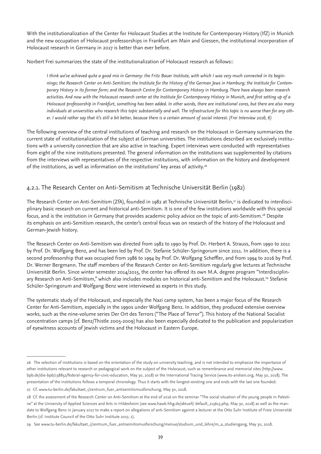With the institutionalization of the Center for Holocaust Studies at the Institute for Contemporary History (IfZ) in Munich and the new occupation of Holocaust professorships in Frankfurt am Main and Giessen, the institutional incorporation of Holocaust research in Germany in 2017 is better than ever before.

Norbert Frei summarizes the state of the institutionalization of Holocaust research as follows::

*I think we've achieved quite a good mix in Germany: the Fritz Bauer Institute, with which I was very much connected in its beginnings; the Research Center on Anti-Semitism; the Institute for the History of the German Jews in Hamburg; the Institute for Contemporary History in its former form; and the Research Centre for Contemporary History in Hamburg. There have always been research activities. And now with the Holocaust research center at the Institute for Contemporary History in Munich, and first setting up of a Holocaust professorship in Frankfurt, something has been added. In other words, there are institutional cores, but there are also many individuals at universities who research this topic substantially and well. The infrastructure for this topic is no worse than for any other. I would rather say that it's still a bit better, because there is a certain amount of social interest. (Frei Interview 2016, 6)*

The following overview of the central institutions of teaching and research on the Holocaust in Germany summarizes the current state of institutionalization of the subject at German universities. The institutions described are exclusively institutions with a university connection that are also active in teaching. Expert interviews were conducted with representatives from eight of the nine institutions presented. The general information on the institutions was supplemented by citations from the interviews with representatives of the respective institutions, with information on the history and development of the institutions, as well as information on the institutions' key areas of activity.<sup>26</sup>

# 4.2.1. The Research Center on Anti-Semitism at Technische Universität Berlin (1982)

The Research Center on Anti-Semitism (ZfA), founded in 1982 at Technische Universität Berlin,<sup>27</sup> is dedicated to interdisciplinary basic research on current and historical anti-Semitism. It is one of the few institutions worldwide with this special focus, and is the institution in Germany that provides academic policy advice on the topic of anti-Semitism.28 Despite its emphasis on anti-Semitism research, the center's central focus was on research of the history of the Holocaust and German-Jewish history.

The Research Center on Anti-Semitism was directed from 1982 to 1990 by Prof. Dr. Herbert A. Strauss, from 1990 to 2011 by Prof. Dr. Wolfgang Benz, and has been led by Prof. Dr. Stefanie Schüler-Springorum since 2011. In addition, there is a second professorship that was occupied from 1986 to 1994 by Prof. Dr. Wolfgang Scheffler, and from 1994 to 2016 by Prof. Dr. Werner Bergmann. The staff members of the Research Center on Anti-Semitism regularly give lectures at Technische Universität Berlin. Since winter semester 2014/2015, the center has offered its own M.A. degree program "Interdisciplinary Research on Anti-Semitism," which also includes modules on historical anti-Semitism and the Holocaust.<sup>29</sup> Stefanie Schüler-Springorum and Wolfgang Benz were interviewed as experts in this study.

The systematic study of the Holocaust, and especially the Nazi camp system, has been a major focus of the Research Center for Anti-Semitism, especially in the 1990s under Wolfgang Benz. In addition, they produced extensive overview works, such as the nine-volume series Der Ort des Terrors ("The Place of Terror"). This history of the National Socialist concentration camps (cf. Benz/Thistle 2005-2009) has also been especially dedicated to the publication and popularization of eyewitness accounts of Jewish victims and the Holocaust in Eastern Europe.

<sup>26</sup> The selection of institutions is based on the orientation of the study on university teaching, and is not intended to emphasize the importance of other institutions relevant to research or pedagogical work on the subject of the Holocaust, such as remembrance and memorial sites (http://www. bpb.de/die-bpb/138852/federal-agency-for-civic-education, May 30, 2018) or the International Tracing Service (www.its-arolsen.org, May 30, 2018). The presentation of the institutions follows a temporal chronology. Thus it starts with the longest-existing one and ends with the last one founded.

<sup>27</sup> Cf. www.tu-berlin.de/fakultaet\_i/zentrum\_fuer\_antisemitismusforschung, May 30, 2018.

<sup>28</sup> Cf. the assessment of the Research Center on Anti-Semitism at the end of 2016 on the seminar "The social situation of the young people in Palestine" at the University of Applied Sciences and Arts in Hildesheim (see www.hawk-hhg.de/aktuell/ default\_215613.php, May 30, 2018) as well as the mandate to Wolfgang Benz in January 2017 to make a report on allegations of anti-Semitism against a lecturer at the Otto Suhr Institute of Freie Universität Berlin (cf. Institute Council of the Otto Suhr Institute 2017, 2).

<sup>29</sup> See www.tu-berlin.de/fakultaet\_i/zentrum\_fuer\_antisemitismusforschung/menue/studium\_und\_lehre/m\_a\_studiengang, May 30, 2018.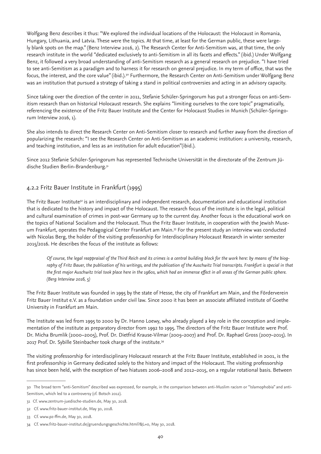Wolfgang Benz describes it thus: "We explored the individual locations of the Holocaust: the Holocaust in Romania, Hungary, Lithuania, and Latvia. These were the topics. At that time, at least for the German public, these were largely blank spots on the map." (Benz Interview 2016, 2). The Research Center for Anti-Semitism was, at that time, the only research institute in the world "dedicated exclusively to anti-Semitism in all its facets and effects." (ibid.) Under Wolfgang Benz, it followed a very broad understanding of anti-Semitism research as a general research on prejudice. "I have tried to see anti-Semitism as a paradigm and to harness it for research on general prejudice. In my term of office, that was the focus, the interest, and the core value" (ibid.).<sup>30</sup> Furthermore, the Research Center on Anti-Semitism under Wolfgang Benz was an institution that pursued a strategy of taking a stand in political controversies and acting in an advisory capacity.

Since taking over the direction of the center in 2011, Stefanie Schüler-Springorum has put a stronger focus on anti-Semitism research than on historical Holocaust research. She explains "limiting ourselves to the core topic" pragmatically, referencing the existence of the Fritz Bauer Institute and the Center for Holocaust Studies in Munich (Schüler-Springorum Interview 2016, 1).

She also intends to direct the Research Center on Anti-Semitism closer to research and further away from the direction of popularizing the research: "I see the Research Center on Anti-Semitism as an academic institution: a university, research, and teaching institution, and less as an institution for adult education"(ibid.).

Since 2012 Stefanie Schüler-Springorum has represented Technische Universität in the directorate of the Zentrum Jüdische Studien Berlin-Brandenburg.<sup>31</sup>

# 4.2.2 Fritz Bauer Institute in Frankfurt (1995)

The Fritz Bauer Institute*32* is an interdisciplinary and independent research, documentation and educational institution that is dedicated to the history and impact of the Holocaust. The research focus of the institute is in the legal, political and cultural examination of crimes in post-war Germany up to the current day. Another focus is the educational work on the topics of National Socialism and the Holocaust. Thus the Fritz Bauer Institute, in cooperation with the Jewish Museum Frankfurt, operates the Pedagogical Center Frankfurt am Main.33 For the present study an interview was conducted with Nicolas Berg, the holder of the visiting professorship for Interdisciplinary Holocaust Research in winter semester 2015/2016. He describes the focus of the institute as follows:

*Of course, the legal reappraisal of the Third Reich and its crimes is a central building block for the work here: by means of the biography of Fritz Bauer, the publication of his writings, and the publication of the Auschwitz Trial transcripts. Frankfurt is special in that the first major Auschwitz trial took place here in the 1960s, which had an immense effect in all areas of the German public sphere. (Berg Interview 2016, 5)* 

The Fritz Bauer Institute was founded in 1995 by the state of Hesse, the city of Frankfurt am Main, and the Förderverein Fritz Bauer Institut e.V. as a foundation under civil law. Since 2000 it has been an associate affiliated institute of Goethe University in Frankfurt am Main.

The Institute was led from 1995 to 2000 by Dr. Hanno Loewy, who already played a key role in the conception and implementation of the institute as preparatory director from 1992 to 1995. The directors of the Fritz Bauer Institute were Prof. Dr. Micha Brumlik (2000–2005), Prof. Dr. Dietfrid Krause-Vilmar (2005–2007) and Prof. Dr. Raphael Gross (2007–2015). In 2017 Prof. Dr. Sybille Steinbacher took charge of the institute.<sup>34</sup>

The visiting professorship for interdisciplinary Holocaust research at the Fritz Bauer Institute, established in 2001, is the first professorship in Germany dedicated solely to the history and impact of the Holocaust. The visiting professorship has since been held, with the exception of two hiatuses 2006–2008 and 2012–2015, on a regular rotational basis. Between

<sup>30</sup> The broad term "anti-Semitism" described was expressed, for example, in the comparison between anti-Muslim racism or "Islamophobia" and anti-Semitism, which led to a controversy (cf. Botsch 2012).

<sup>31</sup> Cf. www.zentrum-juedische-studien.de, May 30, 2018.

<sup>32</sup> Cf. www.fritz-bauer-institut.de, May 30, 2018.

<sup>33</sup> Cf. www.pz-ffm.de, May 30, 2018.

<sup>34</sup> Cf. www.fritz-bauer-institut.de/gruendungsgeschichte.html?&L=0, May 30, 2018.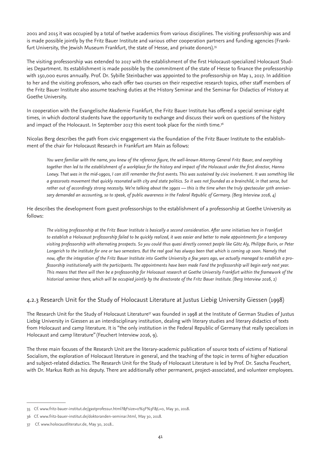2001 and 2015 it was occupied by a total of twelve academics from various disciplines. The visiting professorship was and is made possible jointly by the Fritz Bauer Institute and various other cooperation partners and funding agencies (Frankfurt University, the Jewish Museum Frankfurt, the state of Hesse, and private donors).<sup>35</sup>

The visiting professorship was extended to 2017 with the establishment of the first Holocaust-specialized Holocaust Studies Department. Its establishment is made possible by the commitment of the state of Hesse to finance the professorship with 150,000 euros annually. Prof. Dr. Sybille Steinbacher was appointed to the professorship on May 1, 2017. In addition to her and the visiting professors, who each offer two courses on their respective research topics, other staff members of the Fritz Bauer Institute also assume teaching duties at the History Seminar and the Seminar for Didactics of History at Goethe University.

In cooperation with the Evangelische Akademie Frankfurt, the Fritz Bauer Institute has offered a special seminar eight times, in which doctoral students have the opportunity to exchange and discuss their work on questions of the history and impact of the Holocaust. In September 2017 this event took place for the ninth time.<sup>36</sup>

Nicolas Berg describes the path from civic engagement via the foundation of the Fritz Bauer Institute to the establishment of the chair for Holocaust Research in Frankfurt am Main as follows:

*You were familiar with the name, you knew of the reference figure, the well-known Attorney General Fritz Bauer, and everything together then led to the establishment of a workplace for the history and impact of the Holocaust under the first director, Hanno Loewy. That was in the mid-1990s, I can still remember the first events. This was sustained by civic involvement. It was something like a grassroots movement that quickly resonated with city and state politics. So it was not founded as a brainchild, in that sense, but*  rather out of accordingly strong necessity. We're talking about the 1990s — this is the time when the truly spectacular 50th anniver*sary demanded an accounting, so to speak, of public awareness in the Federal Republic of Germany. (Berg Interview 2016, 4)*

He describes the development from guest professorships to the establishment of a professorship at Goethe University as follows:

*The visiting professorship at the Fritz Bauer Institute is basically a second consideration. After some initiatives here in Frankfurt to establish a Holocaust professorship failed to be quickly realized, it was easier and better to make appointments for a temporary visiting professorship with alternating prospects. So you could thus quasi directly connect people like Götz Aly, Philippe Burin, or Peter Longerich to the institute for one or two semesters. But the real goal has always been that which is coming up soon. Namely that now, after the integration of the Fritz Bauer Institute into Goethe University a few years ago, we actually managed to establish a professorship institutionally with the participants. The appointments have been made Fand the professorship will begin early next year. This means that there will then be a professorship for Holocaust research at Goethe University Frankfurt within the framework of the historical seminar there, which will be occupied jointly by the directorate of the Fritz Bauer Institute. (Berg Interview 2016, 2)*

### 4.2.3 Research Unit for the Study of Holocaust Literature at Justus Liebig University Giessen (1998)

The Research Unit for the Study of Holocaust Literature<sup>37</sup> was founded in 1998 at the Institute of German Studies of Justus Liebig University in Giessen as an interdisciplinary institution, dealing with literary studies and literary didactics of texts from Holocaust and camp literature. It is "the only institution in the Federal Republic of Germany that really specializes in Holocaust and camp literature" (Feuchert Interview 2016, 9).

The three main focuses of the Research Unit are the literary-academic publication of source texts of victims of National Socialism, the exploration of Holocaust literature in general, and the teaching of the topic in terms of higher education and subject-related didactics. The Research Unit for the Study of Holocaust Literature is led by Prof. Dr. Sascha Feuchert, with Dr. Markus Roth as his deputy. There are additionally other permanent, project-associated, and volunteer employees.

<sup>35</sup> Cf. www.fritz-bauer-institut.de/gastprofessur.html?&Fsize=0%3F%3F&L=0, May 30, 2018.

<sup>36</sup> Cf. www.fritz-bauer-institut.de/doktoranden-seminar.html, May 30, 2018.

<sup>37</sup> Cf. www.holocaustliteratur.de, May 30, 2018..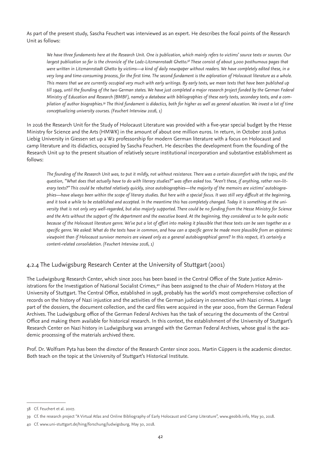As part of the present study, Sascha Feuchert was interviewed as an expert. He describes the focal points of the Research Unit as follows:

*We have three fundaments here at the Research Unit. One is publication, which mainly refers to victims' source texts or sources. Our largest publication so far is the chronicle of the Lodz-Litzmannstadt Ghetto.38 These consist of about 3,000 posthumous pages that were written in Litzmannstadt Ghetto by victims—a kind of daily newspaper without readers. We have completely edited these, in a very long and time-consuming process, for the first time. The second fundament is the exploration of Holocaust literature as a whole. This means that we are currently occupied very much with early writings. By early texts, we mean texts that have been published up till 1949, until the founding of the two German states. We have just completed a major research project funded by the German Federal Ministry of Education and Research (BMBF), namely a database with bibliographies of these early texts, secondary texts, and a compilation of author biographies.39 The third fundament is didactics, both for higher as well as general education. We invest a lot of time conceptualizing university courses. (Feuchert Interview 2016, 1)* 

In 2016 the Research Unit for the Study of Holocaust Literature was provided with a five-year special budget by the Hesse Ministry for Science and the Arts (HMWK) in the amount of about one million euros. In return, in October 2016 Justus Liebig University in Giessen set up a W2 professorship for modern German literature with a focus on Holocaust and camp literature and its didactics, occupied by Sascha Feuchert. He describes the development from the founding of the Research Unit up to the present situation of relatively secure institutional incorporation and substantive establishment as follows:

*The founding of the Research Unit was, to put it mildly, not without resistance. There was a certain discomfort with the topic, and the question, "What does that actually have to do with literary studies?" was often asked too. "Aren't these, if anything, rather non-literary texts?" This could be rebutted relatively quickly, since autobiographies—the majority of the memoirs are victims' autobiographies—have always been within the scope of literary studies. But here with a special focus. It was still very difficult at the beginning, and it took a while to be established and accepted. In the meantime this has completely changed. Today it is something at the university that is not only very well-regarded, but also majorly supported. There could be no funding from the Hesse Ministry for Science and the Arts without the support of the department and the executive board. At the beginning, they considered us to be quite exotic because of the Holocaust literature genre. We've put a lot of effort into making it plausible that these texts can be seen together as a specific genre. We asked: What do the texts have in common, and how can a specific genre be made more plausible from an epistemic viewpoint than if Holocaust survivor memoirs are viewed only as a general autobiographical genre? In this respect, it's certainly a content-related consolidation. (Feuchert Interview 2016, 1)*

# 4.2.4 The Ludwigsburg Research Center at the University of Stuttgart (2001)

The Ludwigsburg Research Center, which since 2001 has been based in the Central Office of the State Justice Administrations for the Investigation of National Socialist Crimes,<sup>40</sup> ihas been assigned to the chair of Modern History at the University of Stuttgart. The Central Office, established in 1958, probably has the world's most comprehensive collection of records on the history of Nazi injustice and the activities of the German judiciary in connection with Nazi crimes. A large part of the dossiers, the document collection, and the card files were acquired in the year 2000, from the German Federal Archives. The Ludwigsburg office of the German Federal Archives has the task of securing the documents of the Central Office and making them available for historical research. In this context, the establishment of the University of Stuttgart's Research Center on Nazi history in Ludwigsburg was arranged with the German Federal Archives, whose goal is the academic processing of the materials archived there.

Prof. Dr. Wolfram Pyta has been the director of the Research Center since 2001. Martin Cüppers is the academic director. Both teach on the topic at the University of Stuttgart's Historical Institute.

<sup>38</sup> Cf. Feuchert et al. 2007.

<sup>39</sup> Cf. the research project "A Virtual Atlas and Online Bibliography of Early Holocaust and Camp Literature", www.geobib.info, May 30, 2018.

<sup>40</sup> Cf. www.uni-stuttgart.de/hing/forschung/ludwigsburg, May 30, 2018.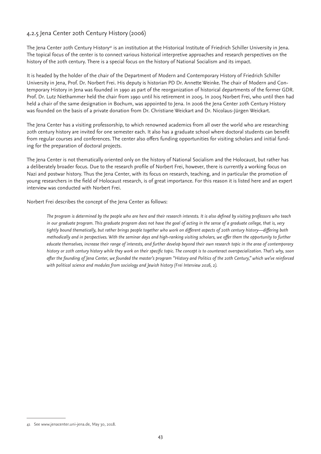### 4.2.5 Jena Center 20th Century History (2006)

The Jena Center 20th Century History<sup>41</sup> is an institution at the Historical Institute of Friedrich Schiller University in Jena. The topical focus of the center is to connect various historical interpretive approaches and research perspectives on the history of the 20th century. There is a special focus on the history of National Socialism and its impact.

It is headed by the holder of the chair of the Department of Modern and Contemporary History of Friedrich Schiller University in Jena, Prof. Dr. Norbert Frei. His deputy is historian PD Dr. Annette Weinke. The chair of Modern and Contemporary History in Jena was founded in 1990 as part of the reorganization of historical departments of the former GDR. Prof. Dr. Lutz Niethammer held the chair from 1990 until his retirement in 2005. In 2005 Norbert Frei, who until then had held a chair of the same designation in Bochum, was appointed to Jena. In 2006 the Jena Center 20th Century History was founded on the basis of a private donation from Dr. Christiane Weickart and Dr. Nicolaus-Jürgen Weickart.

The Jena Center has a visiting professorship, to which renowned academics from all over the world who are researching 20th century history are invited for one semester each. It also has a graduate school where doctoral students can benefit from regular courses and conferences. The center also offers funding opportunities for visiting scholars and initial funding for the preparation of doctoral projects.

The Jena Center is not thematically oriented only on the history of National Socialism and the Holocaust, but rather has a deliberately broader focus. Due to the research profile of Norbert Frei, however, there is currently a working focus on Nazi and postwar history. Thus the Jena Center, with its focus on research, teaching, and in particular the promotion of young researchers in the field of Holocaust research, is of great importance. For this reason it is listed here and an expert interview was conducted with Norbert Frei.

Norbert Frei describes the concept of the Jena Center as follows:

*The program is determined by the people who are here and their research interests. It is also defined by visiting professors who teach in our graduate program. This graduate program does not have the goal of acting in the sense of a graduate college, that is, very tightly bound thematically, but rather brings people together who work on different aspects of 20th century history—differing both methodically and in perspectives. With the seminar days and high-ranking visiting scholars, we offer them the opportunity to further educate themselves, increase their range of interests, and further develop beyond their own research topic in the area of contemporary history or 20th century history while they work on their specific topic. The concept is to counteract overspecialization. That's why, soon after the founding of Jena Center, we founded the master's program "History and Politics of the 20th Century," which we've reinforced with political science and modules from sociology and Jewish history (Frei Interview 2016, 2).*

<sup>41</sup> See www.jenacenter.uni-jena.de, May 30, 2018.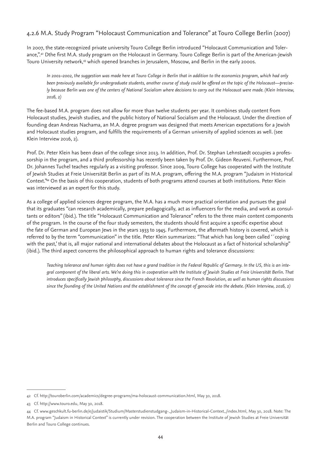# 4.2.6 M.A. Study Program "Holocaust Communication and Tolerance" at Touro College Berlin (2007)

In 2007, the state-recognized private university Touro College Berlin introduced "Holocaust Communication and Tolerance,".<sup>42</sup> Dthe first M.A. study program on the Holocaust in Germany. Touro College Berlin is part of the American-Jewish Touro University network,43 which opened branches in Jerusalem, Moscow, and Berlin in the early 2000s.

*In 2001–2002, the suggestion was made here at Touro College in Berlin that in addition to the economics program, which had only been previously available for undergraduate students, another course of study could be offered on the topic of the Holocaust—precisely because Berlin was one of the centers of National Socialism where decisions to carry out the Holocaust were made. (Klein Interview, 2016, 2)*

The fee-based M.A. program does not allow for more than twelve students per year. It combines study content from Holocaust studies, Jewish studies, and the public history of National Socialism and the Holocaust. Under the direction of founding dean Andreas Nachama, an M.A. degree program was designed that meets American expectations for a Jewish and Holocaust studies program, and fulfills the requirements of a German university of applied sciences as well. (see Klein Interview 2016, 2).

Prof. Dr. Peter Klein has been dean of the college since 2013. In addition, Prof. Dr. Stephan Lehnstaedt occupies a professorship in the program, and a third professorship has recently been taken by Prof. Dr. Gideon Reuveni. Furthermore, Prof. Dr. Johannes Tuchel teaches regularly as a visiting professor. Since 2009, Touro College has cooperated with the Institute of Jewish Studies at Freie Universität Berlin as part of its M.A. program, offering the M.A. program "Judaism in Historical Context."44 On the basis of this cooperation, students of both programs attend courses at both institutions. Peter Klein was interviewed as an expert for this study.

As a college of applied sciences degree program, the M.A. has a much more practical orientation and pursues the goal that its graduates "can research academically, prepare pedagogically, act as influencers for the media, and work as consultants or editors" (ibid.). The title "Holocaust Communication and Tolerance" refers to the three main content components of the program. In the course of the four study semesters, the students should first acquire a specific expertise about the fate of German and European Jews in the years 1933 to 1945. Furthermore, the aftermath history is covered, which is referred to by the term "communication" in the title. Peter Klein summarizes: "That which has long been called '´coping with the past,' that is, all major national and international debates about the Holocaust as a fact of historical scholarship" (ibid.). The third aspect concerns the philosophical approach to human rights and tolerance discussions:

*Teaching tolerance and human rights does not have a grand tradition in the Federal Republic of Germany. In the US, this is an integral component of the liberal arts. We're doing this in cooperation with the Institute of Jewish Studies at Freie Universität Berlin. That introduces specifically Jewish philosophy, discussions about tolerance since the French Revolution, as well as human rights discussions since the founding of the United Nations and the establishment of the concept of genocide into the debate. (Klein Interview, 2016, 2)*

<sup>42</sup> Cf. http://touroberlin.com/academics/degree-programs/ma-holocaust-communication.html, May 30, 2018.

<sup>43</sup> Cf. http://www.touro.edu, May 30, 2018.

<sup>44</sup> Cf. www.geschkult.fu-berlin.de/e/judaistik/Studium/Masterstudienstudgang-\_Judaism-in-Historical-Context\_/index.html, May 30, 2018. Note: The M.A. program "Judaism in Historical Context" is currently under revision. The cooperation between the Institute of Jewish Studies at Freie Universität Berlin and Touro College continues.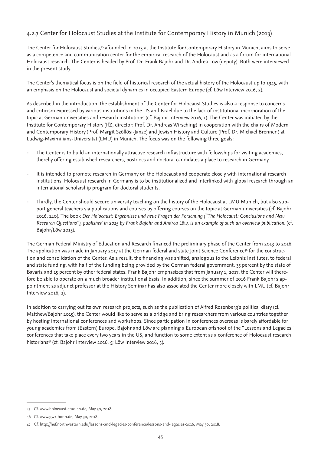# 4.2.7 Center for Holocaust Studies at the Institute for Contemporary History in Munich (2013)

The Center for Holocaust Studies,45 afounded in 2013 at the Institute for Contemporary History in Munich, aims to serve as a competence and communication center for the empirical research of the Holocaust and as a forum for international Holocaust research. The Center is headed by Prof. Dr. Frank Bajohr and Dr. Andrea Löw (deputy). Both were interviewed in the present study.

The Center's thematical focus is on the field of historical research of the actual history of the Holocaust up to 1945, with an emphasis on the Holocaust and societal dynamics in occupied Eastern Europe (cf. Löw Interview 2016, 2).

As described in the introduction, the establishment of the Center for Holocaust Studies is also a response to concerns and criticism expressed by various institutions in the US and Israel due to the lack of institutional incorporation of the topic at German universities and research institutions (cf. Bajohr Interview 2016, 1). The Center was initiated by the Institute for Contemporary History (IfZ, director: Prof. Dr. Andreas Wirsching) in cooperation with the chairs of Modern and Contemporary History (Prof. Margit Szöllösi-Janze) and Jewish History and Culture (Prof. Dr. Michael Brenner ) at Ludwig-Maximilians-Universität (LMU) in Munich. The focus was on the following three goals:

- The Center is to build an internationally attractive research infrastructure with fellowships for visiting academics, thereby offering established researchers, postdocs and doctoral candidates a place to research in Germany.
- It is intended to promote research in Germany on the Holocaust and cooperate closely with international research institutions. Holocaust research in Germany is to be institutionalized and interlinked with global research through an international scholarship program for doctoral students.
- Thirdly, the Center should secure university teaching on the history of the Holocaust at LMU Munich, but also support general teachers via publications and courses by offering courses on the topic at German universities (cf. Bajohr 2016, 140). The book *Der Holocaust: Ergebnisse und neue Fragen der Forschung ("The Holocaust: Conclusions and New Research Questions"), published in 2015 by Frank Bajohr and Andrea Löw, is an example of such an overview publication.* (cf. Bajohr/Löw 2015).

The German Federal Ministry of Education and Research financed the preliminary phase of the Center from 2013 to 2016. The application was made in January 2017 at the German federal and state Joint Science Conference<sup>46</sup> for the construction and consolidation of the Center. As a result, the financing was shifted, analogous to the Leibniz Institutes, to federal and state funding, with half of the funding being provided by the German federal government, 35 percent by the state of Bavaria and 15 percent by other federal states. Frank Bajohr emphasizes that from January 1, 2017, the Center will therefore be able to operate on a much broader institutional basis. In addition, since the summer of 2016 Frank Bajohr's appointment as adjunct professor at the History Seminar has also associated the Center more closely with LMU (cf. Bajohr Interview 2016, 2).

In addition to carrying out its own research projects, such as the publication of Alfred Rosenberg's political diary (cf. Matthew/Bajohr 2015), the Center would like to serve as a bridge and bring researchers from various countries together by hosting international conferences and workshops. Since participation in conferences overseas is barely affordable for young academics from (Eastern) Europe, Bajohr and Löw are planning a European offshoot of the "Lessons and Legacies" conferences that take place every two years in the US, and function to some extent as a conference of Holocaust research historians<sup>47</sup> (cf. Bajohr Interview 2016, 5; Löw Interview 2016, 3).

<sup>45</sup> Cf. www.holocaust-studien.de, May 30, 2018.

<sup>46</sup> Cf. www.gwk-bonn.de, May 30, 2018..

<sup>47</sup> Cf. http://hef.northwestern.edu/lessons-and-legacies-conference/lessons-and-legacies-2016, May 30, 2018.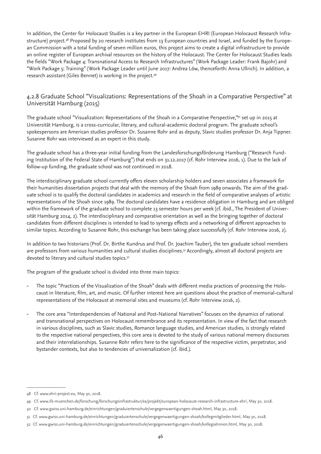In addition, the Center for Holocaust Studies is a key partner in the European EHRI (European Holocaust Research Infrastructure) project.<sup>48</sup> Proposed by 20 research institutes from 13 European countries and Israel, and funded by the European Commission with a total funding of seven million euros, this project aims to create a digital infrastructure to provide an online register of European archival resources on the history of the Holocaust. The Center for Holocaust Studies leads the fields "Work Package 4: Transnational Access to Research Infrastructures" (Work Package Leader: Frank Bajohr) and "Work Package 5: Training" (Work Package Leader until June 2017: Andrea Löw, thenceforth: Anna Ullrich). In addition, a research assistant (Giles Bennet) is working in the project.49

# 4.2.8 Graduate School "Visualizations: Representations of the Shoah in a Comparative Perspective" at Universität Hamburg (2015)

The graduate school "Visualization: Representations of the Shoah in a Comparative Perspective,"<sup>50</sup> set up in 2015 at Universität Hamburg, is a cross-curricular, literary, and cultural-academic doctoral program. The graduate school's spokespersons are American studies professor Dr. Susanne Rohr and as deputy, Slavic studies professor Dr. Anja Tippner. Susanne Rohr was interviewed as an expert in this study.

The graduate school has a three-year initial funding from the Landesforschungsförderung Hamburg ("Research Funding Institution of the Federal State of Hamburg") that ends on 31.12.2017 (cf. Rohr Interview 2016, 1). Due to the lack of follow-up funding, the graduate school was not continued in 2018.

The interdisciplinary graduate school currently offers eleven scholarship holders and seven associates a framework for their humanities dissertation projects that deal with the memory of the Shoah from 1989 onwards. The aim of the graduate school is to qualify the doctoral candidates in academics and research in the field of comparative analyses of artistic representations of the Shoah since 1989. The doctoral candidates have a residence obligation in Hamburg and are obliged within the framework of the graduate school to complete 13 semester hours per week (cf. ibid., The President of Universität Hamburg 2014, 2). The interdisciplinary and comparative orientation as well as the bringing together of doctoral candidates from different disciplines is intended to lead to synergy effects and a networking of different approaches to similar topics. According to Susanne Rohr, this exchange has been taking place successfully (cf. Rohr Interview 2016, 2).

In addition to two historians (Prof. Dr. Birthe Kundrus and Prof. Dr. Joachim Tauber), the ten graduate school members are professors from various humanities and cultural studies disciplines.<sup>51</sup> Accordingly, almost all doctoral projects are devoted to literary and cultural studies topics.<sup>52</sup>

The program of the graduate school is divided into three main topics:

- The topic "Practices of the Visualization of the Shoah" deals with different media practices of processing the Holocaust in literature, film, art, and music. Of further interest here are questions about the practice of memorial-cultural representations of the Holocaust at memorial sites and museums (cf. Rohr Interview 2016, 2).
- The core area "Interdependencies of National and Post-National Narratives" focuses on the dynamics of national and transnational perspectives on Holocaust remembrance and its representation. In view of the fact that research in various disciplines, such as Slavic studies, Romance language studies, and American studies, is strongly related to the respective national perspectives, this core area is devoted to the study of various national memory discourses and their interrelationships. Susanne Rohr refers here to the significance of the respective victim, perpetrator, and bystander contexts, but also to tendencies of universalization (cf. ibid.).

<sup>48</sup> Cf. www.ehri-project.eu, May 30, 2018.

<sup>49</sup> Cf. www.ifz-muenchen.de/forschung/forschungsinfrastruktur/ea/projekt/european-holocaust-research-infrastructure-ehri, May 30, 2018.

<sup>50</sup> Cf. www.gwiss.uni-hamburg.de/einrichtungen/graduiertenschule/vergegenwaertigungen-shoah.html, May 30, 2018.

<sup>51</sup> Cf. www.gwiss.uni-hamburg.de/einrichtungen/graduiertenschule/vergegenwaertigungen-shoah/kollegmitglieder.html, May 30, 2018.

<sup>52</sup> Cf. www.gwiss.uni-hamburg.de/einrichtungen/graduiertenschule/vergegenwaertigungen-shoah/kollegiatinnen.html, May 30, 2018.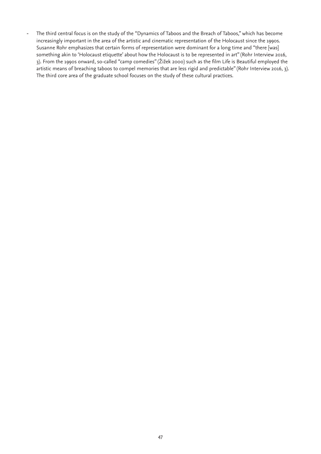- The third central focus is on the study of the "Dynamics of Taboos and the Breach of Taboos," which has become increasingly important in the area of the artistic and cinematic representation of the Holocaust since the 1990s. Susanne Rohr emphasizes that certain forms of representation were dominant for a long time and "there [was] something akin to 'Holocaust etiquette' about how the Holocaust is to be represented in art" (Rohr Interview 2016, 3). From the 1990s onward, so-called "camp comedies" (Žižek 2000) such as the film Life is Beautiful employed the artistic means of breaching taboos to compel memories that are less rigid and predictable" (Rohr Interview 2016, 3). The third core area of the graduate school focuses on the study of these cultural practices.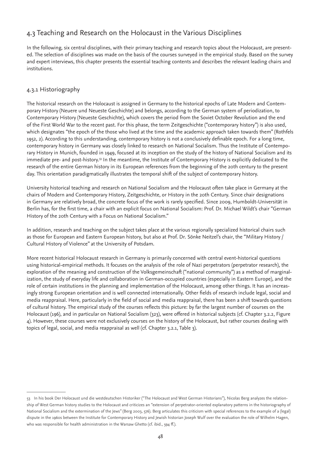# 4.3 Teaching and Research on the Holocaust in the Various Disciplines

In the following, six central disciplines, with their primary teaching and research topics about the Holocaust, are presented. The selection of disciplines was made on the basis of the courses surveyed in the empirical study. Based on the survey and expert interviews, this chapter presents the essential teaching contents and describes the relevant leading chairs and institutions.

# 4.3.1 Historiography

The historical research on the Holocaust is assigned in Germany to the historical epochs of Late Modern and Contemporary History (Neuere und Neueste Geschichte) and belongs, according to the German system of periodization, to Contemporary History (Neueste Geschichte), which covers the period from the Soviet October Revolution and the end of the First World War to the recent past. For this phase, the term Zeitgeschichte ("contemporary history") is also used, which designates "the epoch of the those who lived at the time and the academic approach taken towards them" (Rothfels 1952, 2). According to this understanding, contemporary history is not a conclusively definable epoch. For a long time, contemporary history in Germany was closely linked to research on National Socialism. Thus the Institute of Contemporary History in Munich, founded in 1949, focused at its inception on the study of the history of National Socialism and its immediate pre- and post-history.<sup>53</sup> In the meantime, the Institute of Contemporary History is explicitly dedicated to the research of the entire German history in its European references from the beginning of the 20th century to the present day. This orientation paradigmatically illustrates the temporal shift of the subject of contemporary history.

University historical teaching and research on National Socialism and the Holocaust often take place in Germany at the chairs of Modern and Contemporary History, Zeitgeschichte, or History in the 20th Century. Since chair designations in Germany are relatively broad, the concrete focus of the work is rarely specified. Since 2009, Humboldt-Universität in Berlin has, for the first time, a chair with an explicit focus on National Socialism: Prof. Dr. Michael Wildt's chair "German History of the 20th Century with a Focus on National Socialism."

In addition, research and teaching on the subject takes place at the various regionally specialized historical chairs such as those for European and Eastern European history, but also at Prof. Dr. Sönke Neitzel's chair, the "Military History / Cultural History of Violence" at the University of Potsdam.

More recent historical Holocaust research in Germany is primarily concerned with central event-historical questions using historical-empirical methods. It focuses on the analysis of the role of Nazi perpetrators (perpetrator research), the exploration of the meaning and construction of the Volksgemeinschaft ("national community") as a method of marginalization, the study of everyday life and collaboration in German-occupied countries (especially in Eastern Europe), and the role of certain institutions in the planning and implementation of the Holocaust, among other things. It has an increasingly strong European orientation and is well connected internationally. Other fields of research include legal, social and media reappraisal. Here, particularly in the field of social and media reappraisal, there has been a shift towards questions of cultural history. The empirical study of the courses reflects this picture: by far the largest number of courses on the Holocaust (196), and in particular on National Socialism (323), were offered in historical subjects (cf. Chapter 3.2.2, Figure 4). However, these courses were not exclusively courses on the history of the Holocaust, but rather courses dealing with topics of legal, social, and media reappraisal as well (cf. Chapter 3.2.1, Table 3).

<sup>53</sup> In his book Der Holocaust und die westdeutschen Historiker ("The Holocaust and West German Historians"), Nicolas Berg analyzes the relationship of West German history studies to the Holocaust and criticizes an "extension of perpetrator-oriented explanatory patterns in the historiography of National Socialism and the extermination of the Jews" (Berg 2003, 576). Berg articulates this criticism with special references to the example of a (legal) dispute in the 1960s between the Institute for Contemporary History and Jewish historian Joseph Wulf over the evaluation the role of Wilhelm Hagen, who was responsible for health administration in the Warsaw Ghetto (cf. ibid., 594 ff.).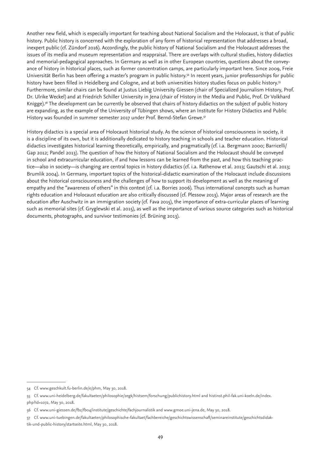Another new field, which is especially important for teaching about National Socialism and the Holocaust, is that of public history. Public history is concerned with the exploration of any form of historical representation that addresses a broad, inexpert public (cf. Zündorf 2016). Accordingly, the public history of National Socialism and the Holocaust addresses the issues of its media and museum representation and reappraisal. There are overlaps with cultural studies, history didactics and memorial-pedagogical approaches. In Germany as well as in other European countries, questions about the conveyance of history in historical places, such as former concentration camps, are particularly important here. Since 2009, Freie Universität Berlin has been offering a master's program in public history.<sup>54</sup> In recent years, junior professorships for public history have been filled in Heidelberg and Cologne, and at both universities history studies focus on public history.<sup>55</sup> Furthermore, similar chairs can be found at Justus Liebig University Giessen (chair of Specialized Journalism History, Prof. Dr. Ulrike Weckel) and at Friedrich Schiller University in Jena (chair of History in the Media and Public, Prof. Dr Volkhard Knigge).<sup>56</sup> The development can be currently be observed that chairs of history didactics on the subject of public history are expanding, as the example of the University of Tübingen shows, where an Institute for History Didactics and Public History was founded in summer semester 2017 under Prof. Bernd-Stefan Grewe.<sup>57</sup>

History didactics is a special area of Holocaust historical study. As the science of historical consciousness in society, it is a discipline of its own, but it is additionally dedicated to history teaching in schools and teacher education. Historical didactics investigates historical learning theoretically, empirically, and pragmatically (cf. i.a. Bergmann 2000; Barricelli/ Gap 2012; Pandel 2013). The question of how the history of National Socialism and the Holocaust should be conveyed in school and extracurricular education, if and how lessons can be learned from the past, and how this teaching practice—also in society—is changing are central topics in history didactics (cf. i.a. Rathenow et al. 2013; Gautschi et al. 2013; Brumlik 2004). In Germany, important topics of the historical-didactic examination of the Holocaust include discussions about the historical consciousness and the challenges of how to support its development as well as the meaning of empathy and the "awareness of others" in this context (cf. i.a. Borries 2006). Thus international concepts such as human rights education and Holocaust education are also critically discussed (cf. Plessow 2013). Major areas of research are the education after Auschwitz in an immigration society (cf. Fava 2015), the importance of extra-curricular places of learning such as memorial sites (cf. Gryglewski et al. 2015), as well as the importance of various source categories such as historical documents, photographs, and survivor testimonies (cf. Brüning 2013).

<sup>54</sup> Cf. www.geschkult.fu-berlin.de/e/phm, May 30, 2018.

<sup>55</sup> Cf. www.uni-heidelberg.de/fakultaeten/philosophie/zegk/histsem/forschung/publichistory.html and histinst.phil-fak.uni-koeln.de/index. php?id=1072, May 30, 2018.

<sup>56</sup> Cf. www.uni-giessen.de/fbz/fb04/institute/geschichte/fachjournalistik and www.gmoe.uni-jena.de, May 30, 2018.

<sup>57</sup> Cf. www.uni-tuebingen.de/fakultaeten/philosophische-fakultaet/fachbereiche/geschichtswissenschaft/seminareinstitute/geschichtsdidaktik-und-public-history/startseite.html, May 30, 2018.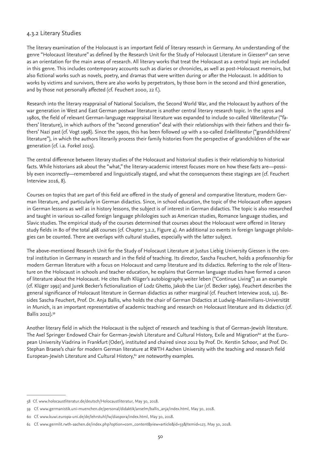### 4.3.2 Literary Studies

The literary examination of the Holocaust is an important field of literary research in Germany. An understanding of the genre "Holocaust literature" as defined by the Research Unit for the Study of Holocaust Literature in Giessen<sup>58</sup> can serve as an orientation for the main areas of research. All literary works that treat the Holocaust as a central topic are included in this genre. This includes contemporary accounts such as diaries or chronicles, as well as post-Holocaust memoirs, but also fictional works such as novels, poetry, and dramas that were written during or after the Holocaust. In addition to works by victims and survivors, there are also works by perpetrators, by those born in the second and third generation, and by those not personally affected (cf. Feuchert 2000, 22 f.).

Research into the literary reappraisal of National Socialism, the Second World War, and the Holocaust by authors of the war generation in West and East German postwar literature is another central literary research topic. In the 1970s and 1980s, the field of relevant German-language reappraisal literature was expanded to include so-called *Väterliteratur* ("fathers' literature), in which authors of the "second generation" deal with their relationships with their fathers and their fathers' Nazi past (cf. Vogt 1998). Since the 1990s, this has been followed up with a so-called *Enkelliteratur* ("grandchildrens' literature"), in which the authors literarily process their family histories from the perspective of grandchildren of the war generation (cf. i.a. Forkel 2015).

The central difference between literary studies of the Holocaust and historical studies is their relationship to historical facts. While historians ask about the "what," the literary-academic interest focuses more on how these facts are—possibly even incorrectly—remembered and linguistically staged, and what the consequences these stagings are (cf. Feuchert Interview 2016, 8).

Courses on topics that are part of this field are offered in the study of general and comparative literature, modern German literature, and particularly in German didactics. Since, in school education, the topic of the Holocaust often appears in German lessons as well as in history lessons, the subject is of interest in German didactics. The topic is also researched and taught in various so-called foreign language philologies such as American studies, Romance language studies, and Slavic studies. The empirical study of the courses determined that courses about the Holocaust were offered in literary study fields in 80 of the total 468 courses (cf. Chapter 3.2.2, Figure 4). An additional 20 events in foreign language philologies can be counted. There are overlaps with cultural studies, especially with the latter subject.

The above-mentioned Research Unit for the Study of Holocaust Literature at Justus Liebig University Giessen is the central institution in Germany in research and in the field of teaching. Its director, Sascha Feuchert, holds a professorship for modern German literature with a focus on Holocaust and camp literature and its didactics. Referring to the role of literature on the Holocaust in schools and teacher education, he explains that German language studies have formed a canon of literature about the Holocaust. He cites Ruth Klüger's autobiography weiter leben ("Continue Living") as an example (cf. Klüger 1992) and Jurek Becker's fictionalization of Lodz Ghetto, Jakob the Liar (cf. Becker 1969). Feuchert describes the general significance of Holocaust literature in German didactics as rather marginal (cf. Feuchert Interview 2016, 12). Besides Sascha Feuchert, Prof. Dr. Anja Ballis, who holds the chair of German Didactics at Ludwig-Maximilians-Universität in Munich, is an important representative of academic teaching and research on Holocaust literature and its didactics (cf. Ballis 2012).59

Another literary field in which the Holocaust is the subject of research and teaching is that of German-Jewish literature. The Axel Springer Endowed Chair for German-Jewish Literature and Cultural History, Exile and Migration<sup>60</sup> at the European University Viadrina in Frankfurt (Oder), instituted and chaired since 2012 by Prof. Dr. Kerstin Schoor, and Prof. Dr. Stephan Braese's chair for modern German literature at RWTH Aachen University with the teaching and research field European-Jewish Literature and Cultural History,<sup>61</sup> are noteworthy examples.

<sup>58</sup> Cf. www.holocaustliteratur.de/deutsch/Holocaustliteratur, May 30, 2018.

<sup>59</sup> Cf. www.germanistik.uni-muenchen.de/personal/didaktik/anselm/ballis\_anja/index.html, May 30, 2018.

<sup>60</sup> Cf. www.kuwi.europa-uni.de/de/lehrstuhl/lw/diaspora/index.html, May 30, 2018.

<sup>61</sup> Cf. www.germlit.rwth-aachen.de/index.php?option=com\_content&view=article&id=33&Itemid=127, May 30, 2018.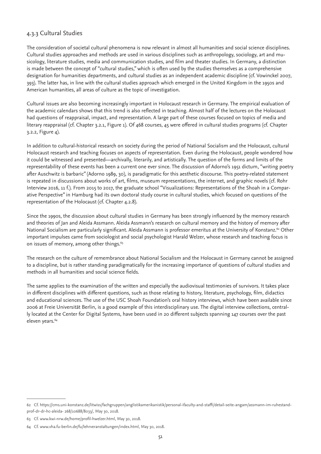# 4.3.3 Cultural Studies

The consideration of societal cultural phenomena is now relevant in almost all humanities and social science disciplines. Cultural studies approaches and methods are used in various disciplines such as anthropology, sociology, art and musicology, literature studies, media and communication studies, and film and theater studies. In Germany, a distinction is made between the concept of "cultural studies," which is often used by the studies themselves as a comprehensive designation for humanities departments, and cultural studies as an independent academic discipline (cf. Vowinckel 2007, 393). The latter has, in line with the cultural studies approach which emerged in the United Kingdom in the 1950s and American humanities, all areas of culture as the topic of investigation.

Cultural issues are also becoming increasingly important in Holocaust research in Germany. The empirical evaluation of the academic calendars shows that this trend is also reflected in teaching. Almost half of the lectures on the Holocaust had questions of reappraisal, impact, and representation. A large part of these courses focused on topics of media and literary reappraisal (cf. Chapter 3.2.1, Figure 1). Of 468 courses, 45 were offered in cultural studies programs (cf. Chapter 3.2.2, Figure 4).

In addition to cultural-historical research on society during the period of National Socialism and the Holocaust, cultural Holocaust research and teaching focuses on aspects of representation. Even during the Holocaust, people wondered how it could be witnessed and presented—archivally, literarily, and artistically. The question of the forms and limits of the representability of these events has been a current one ever since. The discussion of Adorno's 1951 dictum, "writing poetry after Auschwitz is barbaric" (Adorno 1989, 30), is paradigmatic for this aesthetic discourse. This poetry-related statement is repeated in discussions about works of art, films, museum representations, the internet, and graphic novels (cf. Rohr Interview 2016, 11 f.). From 2015 to 2017, the graduate school "Visualizations: Representations of the Shoah in a Comparative Perspective" in Hamburg had its own doctoral study course in cultural studies, which focused on questions of the representation of the Holocaust (cf. Chapter 4.2.8).

Since the 1990s, the discussion about cultural studies in Germany has been strongly influenced by the memory research and theories of Jan and Aleida Assmann. Aleida Assmann's research on cultural memory and the history of memory after National Socialism are particularly significant. Aleida Assmann is professor emeritus at the University of Konstanz.<sup>62</sup> Other important impulses came from sociologist and social psychologist Harald Welzer, whose research and teaching focus is on issues of memory, among other things.<sup>63</sup>

The research on the culture of remembrance about National Socialism and the Holocaust in Germany cannot be assigned to a discipline, but is rather standing paradigmatically for the increasing importance of questions of cultural studies and methods in all humanities and social science fields.

The same applies to the examination of the written and especially the audiovisual testimonies of survivors. It takes place in different disciplines with different questions, such as those relating to history, literature, psychology, film, didactics and educational sciences. The use of the USC Shoah Foundation's oral history interviews, which have been available since 2006 at Freie Universität Berlin, is a good example of this interdisciplinary use. The digital interview collections, centrally located at the Center for Digital Systems, have been used in 20 different subjects spanning 147 courses over the past eleven years.<sup>64</sup>

<sup>62</sup> Cf. https://cms.uni-konstanz.de/litwiss/fachgruppen/anglistikamerikanistik/personal-ifaculty-and-staffi/detail-seite-angam/assmann-im-ruhestandprof-dr-dr-hc-aleida- 268/10688/8033/, May 30, 2018.

<sup>63</sup> Cf. www.kwi-nrw.de/home/profil-hwelzer.html, May 30, 2018.

<sup>64</sup> Cf. www.vha.fu-berlin.de/fu/lehrveranstaltungen/index.html, May 30, 2018.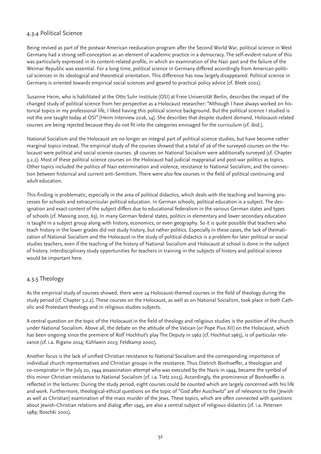# 4.3.4 Political Science

Being revived as part of the postwar American reeducation program after the Second World War, political science in West Germany had a strong self-conception as an element of academic practice in a democracy. The self-evident nature of this was particularly expressed in its content-related profile, in which an examination of the Nazi past and the failure of the Weimar Republic was essential. For a long time, political science in Germany differed accordingly from American political sciences in its ideological and theoretical orientation. This difference has now largely disappeared: Political science in Germany is oriented towards empirical social sciences and geared to practical policy advice (cf. Bleek 2001).

Susanne Heim, who is habilitated at the Otto Suhr Institute (OSI) at Freie Universität Berlin, describes the impact of the changed study of political science from her perspective as a Holocaust researcher: "Although I have always worked on historical topics in my professional life, I liked having this political science background. But the political science I studied is not the one taught today at OSI" (Heim Interview 2016, 14). She describes that despite student demand, Holocaust-related courses are being rejected because they do not fit into the categories envisaged for the curriculum (cf. ibid.).

National Socialism and the Holocaust are no longer an integral part of political science studies, but have become rather marginal topics instead. The empirical study of the courses showed that a total of 26 of the surveyed courses on the Holocaust were political and social science courses. 38 courses on National Socialism were additionally surveyed (cf. Chapter 3.2.2). Most of these political science courses on the Holocaust had judicial reappraisal and post-war politics as topics. Other topics included the politics of Nazi extermination and violence, resistance to National Socialism, and the connection between historical and current anti-Semitism. There were also few courses in the field of political continuing and adult education.

This finding is problematic, especially in the area of political didactics, which deals with the teaching and learning processes for schools and extracurricular political education. In German schools, political education is a subject. The designation and exact content of the subject differs due to educational federalism in the various German states and types of schools (cf. Massing 2007, 63). In many German federal states, politics in elementary and lower secondary education is taught in a subject group along with history, economics, or even geography. So it is quite possible that teachers who teach history in the lower grades did not study history, but rather politics. Especially in these cases, the lack of thematization of National Socialism and the Holocaust in the study of political didactics is a problem for later political or social studies teachers, even if the teaching of the history of National Socialism and Holocaust at school is done in the subject of history. Interdisciplinary study opportunities for teachers in training in the subjects of history and political science would be important here.

# 4.3.5 Theology

As the empirical study of courses showed, there were 24 Holocaust-themed courses in the field of theology during the study period (cf. Chapter 3.2.2). These courses on the Holocaust, as well as on National Socialism, took place in both Catholic and Protestant theology and in religious studies subjects.

A central question on the topic of the Holocaust in the field of theology and religious studies is the position of the church under National Socialism. Above all, the debate on the attitude of the Vatican (or Pope Pius XII) on the Holocaust, which has been ongoing since the premiere of Rolf Hochhut's play The Deputy in 1962 (cf. Hochhut 1963), is of particular relevance (cf. i.a. Rigano 2014; Kühlwein 2013; Feldkamp 2000).

Another focus is the lack of unified Christian resistance to National Socialism and the corresponding importance of individual church representatives and Christian groups in the resistance. Thus Dietrich Bonhoeffer, a theologian and co-conspirator in the July 20, 1944 assassination attempt who was executed by the Nazis in 1944, became the symbol of this minor Christian resistance to National Socialism (cf. i.a. Tietz 2013). Accordingly, the prominence of Bonhoeffer is reflected in the lectures: During the study period, eight courses could be counted which are largely concerned with his life and work. Furthermore, theological-ethical questions on the topic of "God after Auschwitz" are of relevance to the (Jewish as well as Christian) examination of the mass murder of the Jews. These topics, which are often connected with questions about Jewish-Christian relations and dialog after 1945, are also a central subject of religious didactics (cf. i.a. Petersen 1989; Boschki 2001).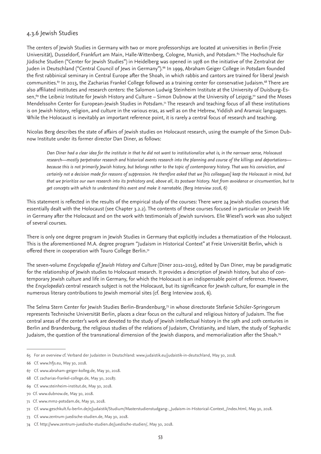### 4.3.6 Jewish Studies

The centers of Jewish Studies in Germany with two or more professorships are located at universities in Berlin (Freie Universität), Dusseldorf, Frankfurt am Main, Halle-Wittenberg, Cologne, Munich, and Potsdam.<sup>65</sup> The Hochschule für Jüdische Studien ("Center for Jewish Studies") in Heidelberg was opened in 1978 on the initiative of the Zentralrat der Juden in Deutschland ("Central Council of Jews in Germany").<sup>66</sup> In 1999, Abraham Geiger College in Potsdam founded the first rabbinical seminary in Central Europe after the Shoah, in which rabbis and cantors are trained for liberal Jewish communities.<sup>67</sup> In 2013, the Zacharias Frankel College followed as a training center for conservative Judaism.<sup>68</sup> There are also affiliated institutes and research centers: the Salomon Ludwig Steinheim Institute at the University of Duisburg-Essen,<sup>69</sup> the Leibniz Institute for Jewish History and Culture – Simon Dubnow at the University of Leipzig,<sup>70</sup> sand the Moses Mendelssohn Center for European-Jewish Studies in Potsdam.<sup>71</sup> The research and teaching focus of all these institutions is on Jewish history, religion, and culture in the various eras, as well as on the Hebrew, Yiddish and Aramaic languages. While the Holocaust is inevitably an important reference point, it is rarely a central focus of research and teaching.

Nicolas Berg describes the state of affairs of Jewish studies on Holocaust research, using the example of the Simon Dubnow Institute under its former director Dan Diner, as follows:

*Dan Diner had a clear idea for the institute in that he did not want to institutionalize what is, in the narrower sense, Holocaust research—mostly perpetrator research and historical events research into the planning and course of the killings and deportations because this is not primarily Jewish history, but belongs rather to the topic of contemporary history. That was his conviction, and certainly not a decision made for reasons of suppression. He therefore asked that we [his colleagues] keep the Holocaust in mind, but that we prioritize our own research into its prehistory and, above all, its postwar history. Not from avoidance or circumvention, but to get concepts with which to understand this event and make it narratable. (Berg Interview 2016, 6)*

This statement is reflected in the results of the empirical study of the courses: There were 24 Jewish studies courses that essentially dealt with the Holocaust (see Chapter 3.2.2). The contents of these courses focused in particular on Jewish life in Germany after the Holocaust and on the work with testimonials of Jewish survivors. Elie Wiesel's work was also subject of several courses.

There is only one degree program in Jewish Studies in Germany that explicitly includes a thematization of the Holocaust. This is the aforementioned M.A. degree program "Judaism in Historical Context" at Freie Universität Berlin, which is offered there in cooperation with Touro College Berlin.<sup>72</sup>

The seven-volume *Encyclopedia of Jewish History and Culture* (Diner 2011–2015), edited by Dan Diner, may be paradigmatic for the relationship of Jewish studies to Holocaust research. It provides a description of Jewish history, but also of contemporary Jewish culture and life in Germany, for which the Holocaust is an indispensable point of reference. However, the *Encyclopedia's* central research subject is not the Holocaust, but its significance for Jewish culture, for example in the numerous literary contributions to Jewish memorial sites (cf. Berg Interview 2016, 6).

The Selma Stern Center for Jewish Studies Berlin-Brandenburg,73 in whose directorate Stefanie Schüler-Springorum represents Technische Universität Berlin, places a clear focus on the cultural and religious history of Judaism. The five central areas of the center's work are devoted to the study of Jewish intellectual history in the 19th and 20th centuries in Berlin and Brandenburg, the religious studies of the relations of Judaism, Christianity, and Islam, the study of Sephardic Judaism, the question of the transnational dimension of the Jewish diaspora, and memorialization after the Shoah.74

<sup>65</sup> For an overview cf. Verband der Judaisten in Deutschland: www.judaistik.eu/judaistik-in-deutschland, May 30, 2018.

<sup>66</sup> Cf. www.hfjs.eu, May 30, 2018.

<sup>67</sup> Cf. www.abraham-geiger-kolleg.de, May 30, 2018.

<sup>68</sup> Cf. zacharias-frankel-college.de, May 30, 20187.

<sup>69</sup> Cf. www.steinheim-institut.de, May 30, 2018.

<sup>70</sup> Cf. www.dubnow.de, May 30, 2018.

<sup>71</sup> Cf. www.mmz-potsdam.de, May 30, 2018.

<sup>72</sup> Cf. www.geschkult.fu-berlin.de/e/judaistik/Studium/Masterstudienstudgang-\_Judaism-in-Historical-Context\_/index.html, May 30, 2018.

<sup>73</sup> Cf. www.zentrum-juedische-studien.de, May 30, 2018.

<sup>74</sup> Cf. http://www.zentrum-juedische-studien.de/juedische-studien/, May 30, 2018.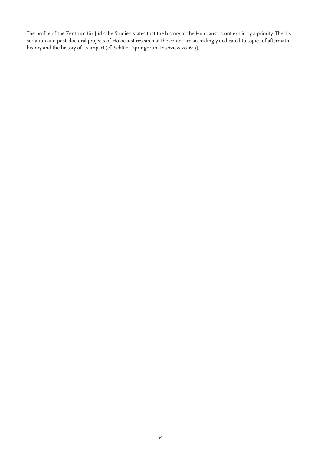The profile of the Zentrum für Jüdische Studien states that the history of the Holocaust is not explicitly a priority. The dissertation and post-doctoral projects of Holocaust research at the center are accordingly dedicated to topics of aftermath history and the history of its impact (cf. Schüler-Springorum Interview 2016: 3).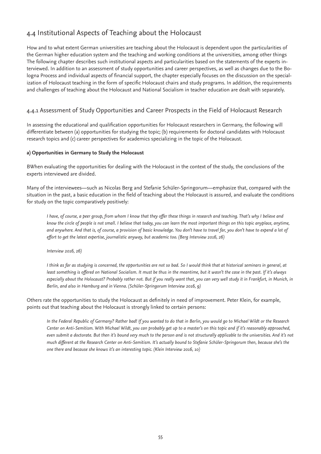# 4.4 Institutional Aspects of Teaching about the Holocaust

How and to what extent German universities are teaching about the Holocaust is dependent upon the particularities of the German higher education system and the teaching and working conditions at the universities, among other things The following chapter describes such institutional aspects and particularities based on the statements of the experts interviewed. In addition to an assessment of study opportunities and career perspectives, as well as changes due to the Bologna Process and individual aspects of financial support, the chapter especially focuses on the discussion on the specialization of Holocaust teaching in the form of specific Holocaust chairs and study programs. In addition, the requirements and challenges of teaching about the Holocaust and National Socialism in teacher education are dealt with separately.

# 4.4.1 Assessment of Study Opportunities and Career Prospects in the Field of Holocaust Research

In assessing the educational and qualification opportunities for Holocaust researchers in Germany, the following will differentiate between (a) opportunities for studying the topic; (b) requirements for doctoral candidates with Holocaust research topics and (c) career perspectives for academics specializing in the topic of the Holocaust.

#### **a) Opportunities in Germany to Study the Holocaust**

BWhen evaluating the opportunities for dealing with the Holocaust in the context of the study, the conclusions of the experts interviewed are divided.

Many of the interviewees—such as Nicolas Berg and Stefanie Schüler-Springorum—emphasize that, compared with the situation in the past, a basic education in the field of teaching about the Holocaust is assured, and evaluate the conditions for study on the topic comparatively positively:

*I have, of course, a peer group, from whom I know that they offer these things in research and teaching. That's why I believe and know the circle of people is not small. I believe that today, you can learn the most important things on this topic anyplace, anytime, and anywhere. And that is, of course, a provision of basic knowledge. You don't have to travel far, you don't have to expend a lot of effort to get the latest expertise, journalistic anyway, but academic too. (Berg Interview 2016, 26)*

*Interview 2016, 26)*

*I think as far as studying is concerned, the opportunities are not so bad. So I would think that at historical seminars in general, at least something is offered on National Socialism. It must be thus in the meantime, but it wasn't the case in the past. If it's always especially about the Holocaust? Probably rather not. But if you really want that, you can very well study it in Frankfurt, in Munich, in Berlin, and also in Hamburg and in Vienna. (Schüler-Springorum Interview 2016, 9)*

Others rate the opportunities to study the Holocaust as definitely in need of improvement. Peter Klein, for example, points out that teaching about the Holocaust is strongly linked to certain persons:

*In the Federal Republic of Germany? Rather bad! If you wanted to do that in Berlin, you would go to Michael Wildt or the Research Center on Anti-Semitism. With Michael Wildt, you can probably get up to a master's on this topic and if it's reasonably approached, even submit a doctorate. But then it's bound very much to the person and is not structurally applicable to the universities. And it's not much different at the Research Center on Anti-Semitism. It's actually bound to Stefanie Schüler-Springorum then, because she's the one there and because she knows it's an interesting topic. (Klein Interview 2016, 10)*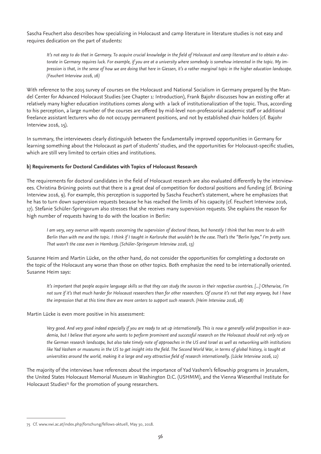Sascha Feuchert also describes how specializing in Holocaust and camp literature in literature studies is not easy and requires dedication on the part of students:

*It's not easy to do that in Germany. To acquire crucial knowledge in the field of Holocaust and camp literature and to obtain a doctorate in Germany requires luck. For example, if you are at a university where somebody is somehow interested in the topic. My impression is that, in the sense of how we are doing that here in Giessen, it's a rather marginal topic in the higher education landscape. (Feuchert Interview 2016, 16)*

With reference to the 2015 survey of courses on the Holocaust and National Socialism in Germany prepared by the Mandel Center for Advanced Holocaust Studies (see Chapter 1: Introduction), Frank Bajohr discusses how an existing offer at relatively many higher education institutions comes along with a lack of institutionalization of the topic. Thus, according to his perception, a large number of the courses are offered by mid-level non-professorial academic staff or additional freelance assistant lecturers who do not occupy permanent positions, and not by established chair holders (cf. Bajohr Interview 2016, 15).

In summary, the interviewees clearly distinguish between the fundamentally improved opportunities in Germany for learning something about the Holocaust as part of students' studies, and the opportunities for Holocaust-specific studies, which are still very limited to certain cities and institutions.

#### **b) Requirements for Doctoral Candidates with Topics of Holocaust Research**

The requirements for doctoral candidates in the field of Holocaust research are also evaluated differently by the interviewees. Christina Brüning points out that there is a great deal of competition for doctoral positions and funding (cf. Brüning Interview 2016, 9). For example, this perception is supported by Sascha Feuchert's statement, where he emphasizes that he has to turn down supervision requests because he has reached the limits of his capacity (cf. Feuchert Interview 2016, 17). Stefanie Schüler-Springorum also stresses that she receives many supervision requests. She explains the reason for high number of requests having to do with the location in Berlin:

*I am very, very overrun with requests concerning the supervision of doctoral theses, but honestly I think that has more to do with Berlin than with me and the topic. I think if I taught in Karlsruhe that wouldn't be the case. That's the "Berlin hype," I'm pretty sure. That wasn't the case even in Hamburg. (Schüler-Springorum Interview 2016, 13)*

Susanne Heim and Martin Lücke, on the other hand, do not consider the opportunities for completing a doctorate on the topic of the Holocaust any worse than those on other topics. Both emphasize the need to be internationally oriented. Susanne Heim says:

*It's important that people acquire language skills so that they can study the sources in their respective countries. [...] Otherwise, I'm not sure if it's that much harder for Holocaust researchers than for other researchers. Of course it's not that easy anyway, but I have the impression that at this time there are more centers to support such research. (Heim Interview 2016, 18)* 

#### Martin Lücke is even more positive in his assessment:

*Very good. And very good indeed especially if you are ready to set up internationally. This is now a generally valid proposition in academia, but I believe that anyone who wants to perform prominent and successful research on the Holocaust should not only rely on the German research landscape, but also take timely note of approaches in the US and Israel as well as networking with institutions like Yad Vashem or museums in the US to get insight into the field. The Second World War, in terms of global history, is taught at universities around the world, making it a large and very attractive field of research internationally. (Lücke Interview 2016, 12)* 

The majority of the interviews have references about the importance of Yad Vashem's fellowship programs in Jerusalem, the United States Holocaust Memorial Museum in Washington D.C. (USHMM), and the Vienna Wiesenthal Institute for Holocaust Studies<sup>75</sup> for the promotion of young researchers.

<sup>75</sup> Cf. www.vwi.ac.at/index.php/forschung/fellows-aktuell, May 30, 2018.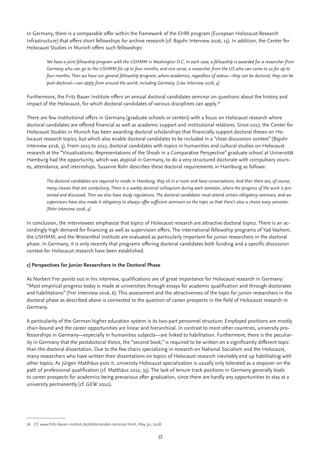In Germany, there is a comparable offer within the framework of the EHRI program (European Holocaust Research Infrastructure) that offers short fellowships for archive research (cf. Bajohr Interview 2016, 15). In addition, the Center for Holocaust Studies in Munich offers such fellowships:

*We have a joint fellowship program with the USHMM in Washington D.C. In each case, a fellowship is awarded for a researcher from Germany who can go to the USHMM for up to four months, and vice versa, a researcher from the US who can come to us for up to four months. Then we have our general fellowship program, where academics, regardless of status—they can be doctoral, they can be post-doctoral—can apply from around the world, including Germany. (Löw Interview 2016, 4)* 

Furthermore, the Fritz Bauer Institute offers an annual doctoral candidates seminar on questions about the history and impact of the Holocaust, for which doctoral candidates of various disciplines can apply.<sup>76</sup>

There are few institutional offers in Germany (graduate schools or centers) with a focus on Holocaust research where doctoral candidates are offered financial as well as academic support and institutional relations. Since 2017, the Center for Holocaust Studies in Munich has been awarding doctoral scholarships that financially support doctoral theses on Holocaust research topics, but which also enable doctoral candidates to be included in a "close discussion context" (Bajohr Interview 2016, 3). From 2015 to 2017, doctoral candidates with topics in humanities and cultural studies on Holocaust research at the "Visualizations: Representations of the Shoah in a Comparative Perspective" graduate school at Universität Hamburg had the opportunity, which was atypical in Germany, to do a very structured doctorate with compulsory courses, attendance, and internships. Susanne Rohr describes these doctoral requirements in Hamburg as follows:

*The doctoral candidates are required to reside in Hamburg, they sit in a room and have conversations. And then there are, of course, many classes that are compulsory. There is a weekly doctoral colloquium during each semester, where the progress of the work is presented and discussed. Then we also have study regulations. The doctoral candidates must attend certain obligatory seminars, and we supervisors have also made it obligatory to always offer sufficient seminars on the topic so that there's also a choice every semester. (Rohr Interview 2016, 4)* 

In conclusion, the interviewees emphasize that topics of Holocaust research are attractive doctoral topics. There is an accordingly high demand for financing as well as supervision offers. The international fellowship programs of Yad Vashem, the USHMM, and the Wiesenthal Institute are evaluated as particularly important for junior researchers in the doctoral phase. In Germany, it is only recently that programs offering doctoral candidates both funding and a specific discussion context for Holocaust research have been established.

#### **c) Perspectives for Junior Researchers in the Doctoral Phase**

As Norbert Frei points out in his interview, qualifications are of great importance for Holocaust research in Germany: "Most empirical progress today is made at universities through essays for academic qualification and through doctorates and habilitations" (Frei Interview 2016, 6). This assessment and the attractiveness of the topic for junior researchers in the doctoral phase as described above is connected to the question of career prospects in the field of Holocaust research in Germany.

A particularity of the German higher education system is its two-part personnel structure: Employed positions are mostly chair-bound and the career opportunities are linear and hierarchical. In contrast to most other countries, university professorships in Germany—especially in humanities subjects—are linked to habilitation. Furthermore, there is the peculiarity in Germany that the postdoctoral thesis, the "second book," is required to be written on a significantly different topic than the doctoral dissertation. Due to the few chairs specializing in research on National Socialism and the Holocaust, many researchers who have written their dissertations on topics of Holocaust research inevitably end up habilitating with other topics. As Jürgen Matthäus puts it, university Holocaust specialization is usually only tolerated as a stopover on the path of professional qualification (cf. Matthäus 2012, 35). The lack of tenure track positions in Germany generally leads to career prospects for academics being precarious after graduation, since there are hardly any opportunities to stay at a university permanently (cf. GEW 2010).

<sup>76</sup> Cf. www.fritz-bauer-institut.de/doktoranden-seminar.html, May 30, 2018.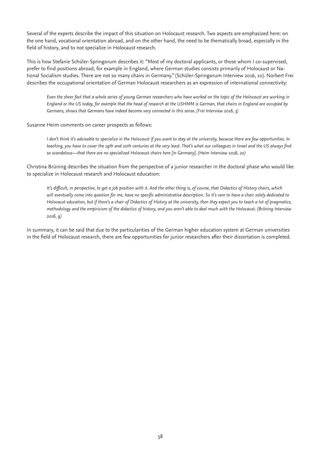Several of the experts describe the impact of this situation on Holocaust research. Two aspects are emphasized here: on the one hand, vocational orientation abroad, and on the other hand, the need to be thematically broad, especially in the field of history, and to not specialize in Holocaust research.

This is how Stefanie Schüler-Springorum describes it: "Most of my doctoral applicants, or those whom I co-supervised, prefer to find positions abroad, for example in England, where German studies consists primarily of Holocaust or National Socialism studies. There are not so many chairs in Germany." (Schüler-Springorum Interview 2016, 10). Norbert Frei describes the occupational orientation of German Holocaust researchers as an expression of international connectivity:

*Even the sheer fact that a whole series of young German researchers who have worked on the topic of the Holocaust are working in England or the US today, for example that the head of research at the USHMM is German, that chairs in England are occupied by Germans, shows that Germans have indeed become very connected in this sense. (Frei Interview 2016, 3)*

#### Susanne Heim comments on career prospects as follows:

*I don't think it's advisable to specialize in the Holocaust if you want to stay at the university, because there are few opportunities. In teaching, you have to cover the 19th and 20th centuries at the very least. That's what our colleagues in Israel and the US always find so scandalous—that there are no specialized Holocaust chairs here [in Germany]. (Heim Interview 2016, 20)* 

Christina Brüning describes the situation from the perspective of a junior researcher in the doctoral phase who would like to specialize in Holocaust research and Holocaust education:

*It's difficult, in perspective, to get a job position with it. And the other thing is, of course, that Didactics of History chairs, which will eventually come into question for me, have no specific administrative description. So it's rare to have a chair solely dedicated to Holocaust education, but if there's a chair of Didactics of History at the university, then they expect you to teach a lot of pragmatics, methodology and the empiricism of the didactics of history, and you aren't able to deal much with the Holocaust. (Brüning Interview 2016, 9)*

In summary, it can be said that due to the particularities of the German higher education system at German universities in the field of Holocaust research, there are few opportunities for junior researchers after their dissertation is completed.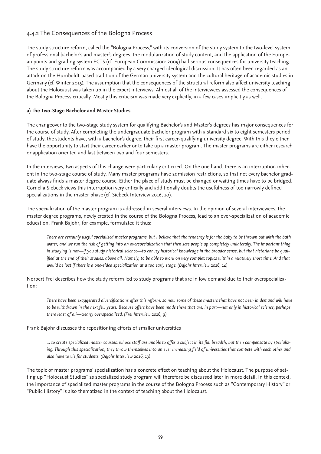# 4.4.2 The Consequences of the Bologna Process

The study structure reform, called the "Bologna Process," with its conversion of the study system to the two-level system of professional bachelor's and master's degrees, the modularization of study content, and the application of the European points and grading system ECTS (cf. European Commission: 2009) had serious consequences for university teaching. The study structure reform was accompanied by a very charged ideological discussion. It has often been regarded as an attack on the Humboldt-based tradition of the German university system and the cultural heritage of academic studies in Germany (cf. Winter 2015). The assumption that the consequences of the structural reform also affect university teaching about the Holocaust was taken up in the expert interviews. Almost all of the interviewees assessed the consequences of the Bologna Process critically. Mostly this criticism was made very explicitly, in a few cases implicitly as well.

#### **a) The Two-Stage Bachelor and Master Studies**

The changeover to the two-stage study system for qualifying Bachelor's and Master's degrees has major consequences for the course of study. After completing the undergraduate bachelor program with a standard six to eight semesters period of study, the students have, with a bachelor's degree, their first career-qualifying university degree. With this they either have the opportunity to start their career earlier or to take up a master program. The master programs are either research or application oriented and last between two and four semesters.

In the interviews, two aspects of this change were particularly criticized. On the one hand, there is an interruption inherent in the two-stage course of study. Many master programs have admission restrictions, so that not every bachelor graduate always finds a master degree course. Either the place of study must be changed or waiting times have to be bridged. Cornelia Siebeck views this interruption very critically and additionally doubts the usefulness of too narrowly defined specializations in the master phase (cf. Siebeck Interview 2016, 10).

The specialization of the master program is addressed in several interviews. In the opinion of several interviewees, the master degree programs, newly created in the course of the Bologna Process, lead to an over-specialization of academic education. Frank Bajohr, for example, formulated it thus:

*There are certainly useful specialized master programs, but I believe that the tendency is for the baby to be thrown out with the bath*  water, and we run the risk of getting into an overspecialization that then sets people up completely unilaterally. The important thing *in studying is not—if you study historical science—to convey historical knowledge in the broader sense, but that historians be qualified at the end of their studies, above all. Namely, to be able to work on very complex topics within a relatively short time. And that would be lost if there is a one-sided specialization at a too early stage. (Bajohr Interview 2016, 14)*

Norbert Frei describes how the study reform led to study programs that are in low demand due to their overspecialization:

There have been exaggerated diversifications after this reform, so now some of these masters that have not been in demand will have *to be withdrawn in the next few years. Because offers have been made there that are, in part—not only in historical science, perhaps there least of all—clearly overspecialized. (Frei Interview 2016, 9)* 

#### Frank Bajohr discusses the repositioning efforts of smaller universities

*... to create specialized master courses, whose staff are unable to offer a subject in its full breadth, but then compensate by specializing. Through this specialization, they throw themselves into an ever increasing field of universities that compete with each other and also have to vie for students. (Bajohr Interview 2016, 13)*

The topic of master programs' specialization has a concrete effect on teaching about the Holocaust. The purpose of setting up "Holocaust Studies" as specialized study program will therefore be discussed later in more detail. In this context, the importance of specialized master programs in the course of the Bologna Process such as "Contemporary History" or "Public History" is also thematized in the context of teaching about the Holocaust.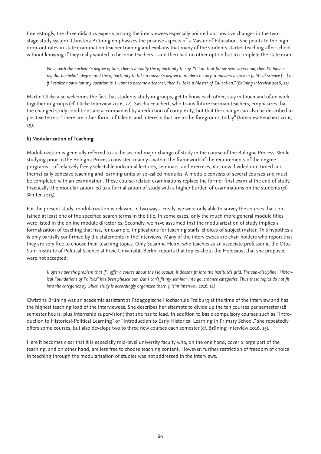Interestingly, the three didactics experts among the interviewees especially pointed out positive changes in the twostage study system. Christina Brüning emphasizes the positive aspects of a Master of Education. She points to the high drop-out rates in state examination teacher training and explains that many of the students started teaching after school without knowing if they really wanted to become teachers—and then had no other option but to complete the state exam.

*Now, with the bachelor's degree option, there's actually the opportunity to say, "I'll do that for six semesters now, then I'll have a regular bachelor's degree and the opportunity to take a master's degree in modern history, a masters degree in political science [... ] or if I realize now what my vocation is, I want to become a teacher, then I'll take a Master of Education." (Brüning Interview 2016, 21)* 

Martin Lücke also welcomes the fact that students study in groups, get to know each other, stay in touch and often work together in groups (cf. Lücke Interview 2016, 22). Sascha Feuchert, who trains future German teachers, emphasizes that the changed study conditions are accompanied by a reduction of complexity, but that the change can also be described in positive terms: "There are other forms of talents and interests that are in the foreground today" (Interview Feuchert 2016, 19).

### **b) Modularization of Teaching**

Modularization is generally referred to as the second major change of study in the course of the Bologna Process. While studying prior to the Bologna Process consisted mainly—within the framework of the requirements of the degree programs—of relatively freely selectable individual lectures, seminars, and exercises, it is now divided into timed and thematically cohesive teaching and learning units or so-called modules. A module consists of several courses and must be completed with an examination. These course-related examinations replace the former final exam at the end of study. Practically, the modularization led to a formalization of study with a higher burden of examinations on the students (cf. Winter 2015).

For the present study, modularization is relevant in two ways. Firstly, we were only able to survey the courses that contained at least one of the specified search terms in the title. In some cases, only the much more general module titles were listed in the online module directories. Secondly, we have assumed that the modularization of study implies a formalization of teaching that has, for example, implications for teaching staffs' choices of subject matter. This hypothesis is only partially confirmed by the statements in the interviews. Many of the interviewees are chair holders who report that they are very free to choose their teaching topics. Only Susanne Heim, who teaches as an associate professor at the Otto Suhr Institute of Political Science at Freie Universität Berlin, reports that topics about the Holocaust that she proposed were not accepted:

*II often have the problem that if I offer a course about the Holocaust, it doesn't fit into the Institute's grid. The sub-discipline "Historical Foundations of Politics" has been phased out. But I can't fit my seminar into governance categories. Thus these topics do not fit into the categories by which study is accordingly organized there. (Heim Interview 2016, 12)* 

Christina Brüning was an academic assistant at Pädagogische Hochschule Freiburg at the time of the interview and has the highest teaching load of the interviewees. She describes her attempts to divide up the ten courses per semester (18 semester hours, plus internship supervision) that she has to lead. In addition to basic compulsory courses such as "Introduction to Historical-Political Learning" or "Introduction to Early Historical Learning in Primary School," she repeatedly offers some courses, but also develops two to three new courses each semester (cf. Brüning Interview 2016, 15).

Here it becomes clear that it is especially mid-level university faculty who, on the one hand, cover a large part of the teaching, and on other hand, are less free to choose teaching content. However, further restriction of freedom of choice in teaching through the modularization of studies was not addressed in the interviews.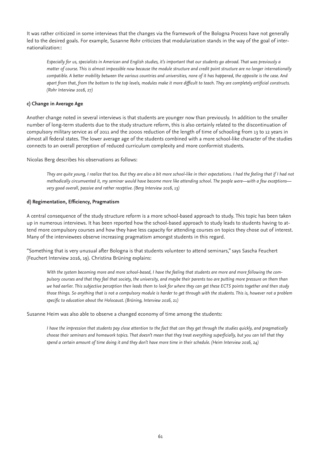It was rather criticized in some interviews that the changes via the framework of the Bologna Process have not generally led to the desired goals. For example, Susanne Rohr criticizes that modularization stands in the way of the goal of internationalization::

*Especially for us, specialists in American and English studies, it's important that our students go abroad. That was previously a matter of course. This is almost impossible now because the module structure and credit point structure are no longer internationally compatible. A better mobility between the various countries and universities, none of it has happened, the opposite is the case. And apart from that, from the bottom to the top levels, modules make it more difficult to teach. They are completely artificial constructs. (Rohr Interview 2016, 27)*

#### **c) Change in Average Age**

Another change noted in several interviews is that students are younger now than previously. In addition to the smaller number of long-term students due to the study structure reform, this is also certainly related to the discontinuation of compulsory military service as of 2011 and the 2000s reduction of the length of time of schooling from 13 to 12 years in almost all federal states. The lower average age of the students combined with a more school-like character of the studies connects to an overall perception of reduced curriculum complexity and more conformist students.

Nicolas Berg describes his observations as follows:

*They are quite young, I realize that too. But they are also a bit more school-like in their expectations. I had the feeling that if I had not methodically circumvented it, my seminar would have become more like attending school. The people were—with a few exceptions very good overall, passive and rather receptive. (Berg Interview 2016, 13)*

#### **d) Regimentation, Efficiency, Pragmatism**

A central consequence of the study structure reform is a more school-based approach to study. This topic has been taken up in numerous interviews. It has been reported how the school-based approach to study leads to students having to attend more compulsory courses and how they have less capacity for attending courses on topics they chose out of interest. Many of the interviewees observe increasing pragmatism amongst students in this regard.

"Something that is very unusual after Bologna is that students volunteer to attend seminars," says Sascha Feuchert (Feuchert Interview 2016, 19). Christina Brüning explains:

*With the system becoming more and more school-based, I have the feeling that students are more and more following the compulsory courses and that they feel that society, the university, and maybe their parents too are putting more pressure on them than we had earlier. This subjective perception then leads them to look for where they can get these ECTS points together and then study those things. So anything that is not a compulsory module is harder to get through with the students. This is, however not a problem specific to education about the Holocaust. (Brüning, Interview 2016, 21)* 

Susanne Heim was also able to observe a changed economy of time among the students:

*I have the impression that students pay close attention to the fact that can they get through the studies quickly, and pragmatically choose their seminars and homework topics. That doesn't mean that they treat everything superficially, but you can tell that they spend a certain amount of time doing it and they don't have more time in their schedule. (Heim Interview 2016, 24)*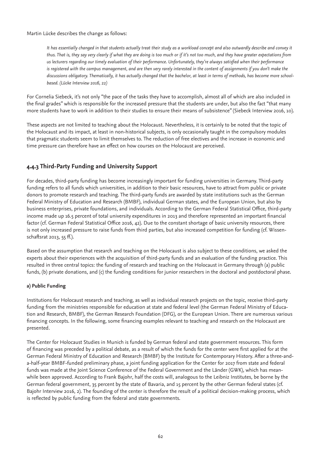Martin Lücke describes the change as follows:

It has essentially changed in that students actually treat their study as a workload concept and also outwardly describe and convey it *thus. That is, they say very clearly if what they are doing is too much or if it's not too much, and they have greater expectations from us lecturers regarding our timely evaluation of their performance. Unfortunately, they're always satisfied when their performance is registered with the campus management, and are then very rarely interested in the content of assignments if you don't make the discussions obligatory. Thematically, it has actually changed that the bachelor, at least in terms of methods, has become more schoolbased. (Lücke Interview 2016, 22)*

For Cornelia Siebeck, it's not only "the pace of the tasks they have to accomplish, almost all of which are also included in the final grades" which is responsible for the increased pressure that the students are under, but also the fact "that many more students have to work in addition to their studies to ensure their means of subsistence" (Siebeck Interview 2016, 10).

These aspects are not limited to teaching about the Holocaust. Nevertheless, it is certainly to be noted that the topic of the Holocaust and its impact, at least in non-historical subjects, is only occasionally taught in the compulsory modules that pragmatic students seem to limit themselves to. The reduction of free electives and the increase in economic and time pressure can therefore have an effect on how courses on the Holocaust are perceived.

# **4.4.3 Third-Party Funding and University Support**

For decades, third-party funding has become increasingly important for funding universities in Germany. Third-party funding refers to all funds which universities, in addition to their basic resources, have to attract from public or private donors to promote research and teaching. The third-party funds are awarded by state institutions such as the German Federal Ministry of Education and Research (BMBF), individual German states, and the European Union, but also by business enterprises, private foundations, and individuals. According to the German Federal Statistical Office, third-party income made up 16.5 percent of total university expenditures in 2013 and therefore represented an important financial factor (cf. German Federal Statistical Office 2016, 42). Due to the constant shortage of basic university resources, there is not only increased pressure to raise funds from third parties, but also increased competition for funding (cf. Wissenschaftsrat 2013, 55 ff.).

Based on the assumption that research and teaching on the Holocaust is also subject to these conditions, we asked the experts about their experiences with the acquisition of third-party funds and an evaluation of the funding practice. This resulted in three central topics: the funding of research and teaching on the Holocaust in Germany through (a) public funds, (b) private donations, and (c) the funding conditions for junior researchers in the doctoral and postdoctoral phase.

### **a) Public Funding**

Institutions for Holocaust research and teaching, as well as individual research projects on the topic, receive third-party funding from the ministries responsible for education at state and federal level (the German Federal Ministry of Education and Research, BMBF), the German Research Foundation (DFG), or the European Union. There are numerous various financing concepts. In the following, some financing examples relevant to teaching and research on the Holocaust are presented.

The Center for Holocaust Studies in Munich is funded by German federal and state government resources. This form of financing was preceded by a political debate, as a result of which the funds for the center were first applied for at the German Federal Ministry of Education and Research (BMBF) by the Institute for Contemporary History. After a three-anda-half-year BMBF-funded preliminary phase, a joint funding application for the Center for 2017 from state and federal funds was made at the Joint Science Conference of the Federal Government and the Länder (GWK), which has meanwhile been approved. According to Frank Bajohr, half the costs will, analogous to the Leibniz Institutes, be borne by the German federal government, 35 percent by the state of Bavaria, and 15 percent by the other German federal states (cf. Bajohr Interview 2016, 2). The founding of the center is therefore the result of a political decision-making process, which is reflected by public funding from the federal and state governments.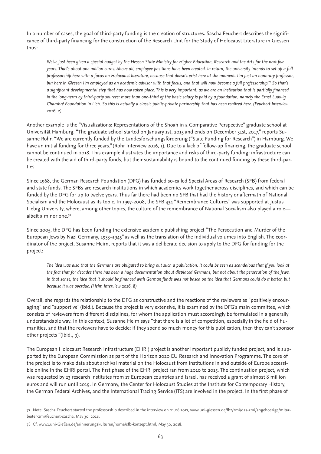In a number of cases, the goal of third-party funding is the creation of structures. Sascha Feuchert describes the significance of third-party financing for the construction of the Research Unit for the Study of Holocaust Literature in Giessen thus:

*We've just been given a special budget by the Hessen State Ministry for Higher Education, Research and the Arts for the next five years. That's about one million euros. Above all, employee positions have been created. In return, the university intends to set up a full professorship here with a focus on Holocaust literature, because that doesn't exist here at the moment. I'm just an honorary professor, but here in Giessen I'm employed as an academic advisor with that focus, and that will now become a full professorship.77 So that's a significant developmental step that has now taken place. This is very important, as we are an institution that is partially financed in the long-term by third-party sources: more than one-third of the basic salary is paid by a foundation, namely the Ernst Ludwig Chambré Foundation in Lich. So this is actually a classic public-private partnership that has been realized here. (Feuchert Interview 2016, 2)*

Another example is the "Visualizations: Representations of the Shoah in a Comparative Perspective" graduate school at Universität Hamburg. "The graduate school started on January 1st, 2015 and ends on December 31st, 2017," reports Susanne Rohr. "We are currently funded by the Landesforschungsförderung ("State Funding for Research") in Hamburg. We have an initial funding for three years." (Rohr Interview 2016, 1). Due to a lack of follow-up financing, the graduate school cannot be continued in 2018. This example illustrates the importance and risks of third-party funding: infrastructure can be created with the aid of third-party funds, but their sustainability is bound to the continued funding by these third-parties.

Since 1968, the German Research Foundation (DFG) has funded so-called Special Areas of Research (SFB) from federal and state funds. The SFBs are research institutions in which academics work together across disciplines, and which can be funded by the DFG for up to twelve years. Thus far there had been no SFB that had the history or aftermath of National Socialism and the Holocaust as its topic. In 1997-2008, the SFB 434 "Remembrance Cultures" was supported at Justus Liebig University, where, among other topics, the culture of the remembrance of National Socialism also played a role albeit a minor one.78

Since 2005, the DFG has been funding the extensive academic publishing project "The Persecution and Murder of the European Jews by Nazi Germany, 1933–1945" as well as the translation of the individual volumes into English. The coordinator of the project, Susanne Heim, reports that it was a deliberate decision to apply to the DFG for funding for the project:

*The idea was also that the Germans are obligated to bring out such a publication. It could be seen as scandalous that if you look at the fact that for decades there has been a huge documentation about displaced Germans, but not about the persecution of the Jews. In that sense, the idea that it should be financed with German funds was not based on the idea that Germans could do it better, but because it was overdue. (Heim Interview 2016, 8)*

Overall, she regards the relationship to the DFG as constructive and the reactions of the reviewers as "positively encouraging" and "supportive" (ibid.). Because the project is very extensive, it is examined by the DFG's main committee, which consists of reviewers from different disciplines, for whom the application must accordingly be formulated in a generally understandable way. In this context, Susanne Heim says "that there is a lot of competition, especially in the field of humanities, and that the reviewers have to decide: if they spend so much money for this publication, then they can't sponsor other projects "(Ibid., 9).

The European Holocaust Research Infrastructure (EHRI) project is another important publicly funded project, and is supported by the European Commission as part of the Horizon 2020 EU Research and Innovation Programme. The core of the project is to make data about archival material on the Holocaust from institutions in and outside of Europe accessible online in the EHRI portal. The first phase of the EHRI project ran from 2010 to 2015. The continuation project, which was requested by 23 research institutes from 17 European countries and Israel, has received a grant of almost 8 million euros and will run until 2019. In Germany, the Center for Holocaust Studies at the Institute for Contemporary History, the German Federal Archives, and the International Tracing Service (ITS) are involved in the project. In the first phase of

<sup>77</sup> Note: Sascha Feuchert started the professorship described in the interview on 01.06.2017, www.uni-giessen.de/fbz/zmi/das-zmi/angehoerige/mitarbeiter-zmi/feuchert-sascha, May 30, 2018.

<sup>78</sup> Cf. www1.uni-Gießen.de/erinnerungskulturen/home/sfb-konzept.html, May 30, 2018.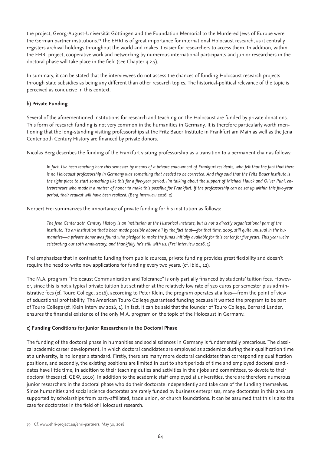the project, Georg-August-Universität Göttingen and the Foundation Memorial to the Murdered Jews of Europe were the German partner institutions.79 The EHRI is of great importance for international Holocaust research, as it centrally registers archival holdings throughout the world and makes it easier for researchers to access them. In addition, within the EHRI project, cooperative work and networking by numerous international participants and junior researchers in the doctoral phase will take place in the field (see Chapter 4.2.7).

In summary, it can be stated that the interviewees do not assess the chances of funding Holocaust research projects through state subsidies as being any different than other research topics. The historical-political relevance of the topic is perceived as conducive in this context.

### **b) Private Funding**

Several of the aforementioned institutions for research and teaching on the Holocaust are funded by private donations. This form of research funding is not very common in the humanities in Germany. It is therefore particularly worth mentioning that the long-standing visiting professorships at the Fritz Bauer Institute in Frankfurt am Main as well as the Jena Center 20th Century History are financed by private donors.

Nicolas Berg describes the funding of the Frankfurt visiting professorship as a transition to a permanent chair as follows:

*In fact, I've been teaching here this semester by means of a private endowment of Frankfurt residents, who felt that the fact that there is no Holocaust professorship in Germany was something that needed to be corrected. And they said that the Fritz Bauer Institute is the right place to start something like this for a five-year period. I'm talking about the support of Michael Hauck and Oliver Puhl, entrepreneurs who made it a matter of honor to make this possible for Frankfurt. If the professorship can be set up within this five-year period, their request will have been realized. (Berg Interview 2016, 2)* 

Norbert Frei summarizes the importance of private funding for his institution as follows:

*The Jena Center 20th Century History is an institution at the Historical Institute, but is not a directly organizational part of the Institute. It's an institution that's been made possible above all by the fact that—for that time, 2005, still quite unusual in the humanities—a private donor was found who pledged to make the funds initially available for this center for five years. This year we're celebrating our 10th anniversary, and thankfully he's still with us. (Frei Interview 2016, 1)* 

Frei emphasizes that in contrast to funding from public sources, private funding provides great flexibility and doesn't require the need to write new applications for funding every two years. (cf. ibid., 12).

The M.A. program "Holocaust Communication and Tolerance" is only partially financed by students' tuition fees. However, since this is not a typical private tuition but set rather at the relatively low rate of 720 euros per semester plus administrative fees (cf. Touro College, 2016), according to Peter Klein, the program operates at a loss—from the point of view of educational profitability. The American Touro College guaranteed funding because it wanted the program to be part of Touro College (cf. Klein Interview 2016, 1). In fact, it can be said that the founder of Touro College, Bernard Lander, ensures the financial existence of the only M.A. program on the topic of the Holocaust in Germany.

#### **c) Funding Conditions for Junior Researchers in the Doctoral Phase**

The funding of the doctoral phase in humanities and social sciences in Germany is fundamentally precarious. The classical academic career development, in which doctoral candidates are employed as academics during their qualification time at a university, is no longer a standard. Firstly, there are many more doctoral candidates than corresponding qualification positions, and secondly, the existing positions are limited in part to short periods of time and employed doctoral candidates have little time, in addition to their teaching duties and activities in their jobs and committees, to devote to their doctoral theses (cf. GEW, 2010). In addition to the academic staff employed at universities, there are therefore numerous junior researchers in the doctoral phase who do their doctorate independently and take care of the funding themselves. Since humanities and social science doctorates are rarely funded by business enterprises, many doctorates in this area are supported by scholarships from party-affiliated, trade union, or church foundations. It can be assumed that this is also the case for doctorates in the field of Holocaust research.

<sup>79</sup> Cf. www.ehri-project.eu/ehri-partners, May 30, 2018.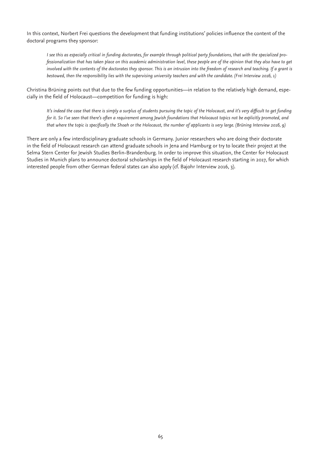In this context, Norbert Frei questions the development that funding institutions' policies influence the content of the doctoral programs they sponsor:

*I see this as especially critical in funding doctorates, for example through political party foundations, that with the specialized professionalization that has taken place on this academic administration level, these people are of the opinion that they also have to get involved with the contents of the doctorates they sponsor. This is an intrusion into the freedom of research and teaching. If a grant is bestowed, then the responsibility lies with the supervising university teachers and with the candidate. (Frei Interview 2016, 1)*

Christina Brüning points out that due to the few funding opportunities—in relation to the relatively high demand, especially in the field of Holocaust—competition for funding is high:

*It's indeed the case that there is simply a surplus of students pursuing the topic of the Holocaust, and it's very difficult to get funding for it. So I've seen that there's often a requirement among Jewish foundations that Holocaust topics not be explicitly promoted, and that where the topic is specifically the Shoah or the Holocaust, the number of applicants is very large. (Brüning Interview 2016, 9)*

There are only a few interdisciplinary graduate schools in Germany. Junior researchers who are doing their doctorate in the field of Holocaust research can attend graduate schools in Jena and Hamburg or try to locate their project at the Selma Stern Center for Jewish Studies Berlin-Brandenburg. In order to improve this situation, the Center for Holocaust Studies in Munich plans to announce doctoral scholarships in the field of Holocaust research starting in 2017, for which interested people from other German federal states can also apply (cf. Bajohr Interview 2016, 3).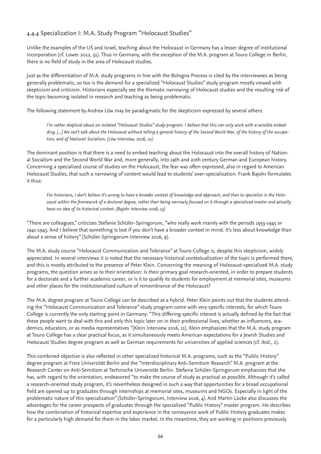# 4.4.4 Specialization I: M.A. Study Program "Holocaust Studies"

Unlike the examples of the US and Israel, teaching about the Holocaust in Germany has a lesser degree of institutional incorporation (cf. Lower 2012, 51). Thus in Germany, with the exception of the M.A. program at Touro College in Berlin, there is no field of study in the area of Holocaust studies.

Just as the differentiation of M.A. study programs in line with the Bologna Process is cited by the interviewees as being generally problematic, so too is the demand for a specialized "Holocaust Studies" study program mostly viewed with skepticism and criticism. Historians especially see the thematic narrowing of Holocaust studies and the resulting risk of the topic becoming isolated in research and teaching as being problematic.

The following statement by Andrea Löw may be paradigmatic for the skepticism expressed by several others.

*I'm rather skeptical about an isolated "Holocaust Studies" study program. I believe that this can only work with a sensible embedding. [...] We can't talk about the Holocaust without telling a general history of the Second World War, of the history of the occupation, and of National Socialism. (Löw Interview, 2016, 10)* 

The dominant position is that there is a need to embed teaching about the Holocaust into the overall history of National Socialism and the Second World War and, more generally, into 19th and 20th century German and European history. Concerning a specialized course of studies on the Holocaust, the fear was often expressed, also in regard to American Holocaust Studies, that such a narrowing of content would lead to students' over-specialization. Frank Bajohr formulates it thus:

*For historians, I don't believe it's wrong to have a broader context of knowledge and approach, and then to specialize in the Holocaust within the framework of a doctoral degree, rather than being narrowly focused on it through a specialized master and actually have no idea of its historical context. (Bajohr Interview 2016, 13)* 

"There are colleagues," criticizes Stefanie Schüler-Springorum, "who really work mainly with the periods 1933-1945 or 1941-1945. And I believe that something is lost if you don't have a broader context in mind. It's less about knowledge than about a sense of history" (Schüler-Springorum Interview 2016, 9).

The M.A. study course "Holocaust Communication and Tolerance" at Touro College is, despite this skepticism, widely appreciated. In several interviews it is noted that the necessary historical contextualization of the topic is performed there, and this is mostly attributed to the presence of Peter Klein. Concerning the meaning of Holocaust-specialized M.A. study programs, the question arises as to their orientation: Is their primary goal research-oriented, in order to prepare students for a doctorate and a further academic career, or is it to qualify its students for employment at memorial sites, museums and other places for the institutionalized culture of remembrance of the Holocaust?

The M.A. degree program at Touro College can be described as a hybrid. Peter Klein points out that the students attending the "Holocaust Communication and Tolerance" study program come with very specific interests, for which Touro College is currently the only starting point in Germany: "This differing specific interest is actually defined by the fact that these people want to deal with this and only this topic later on in their professional lives, whether as influencers, academics, educators, or as media representatives "(Klein Interview 2016, 11). Klein emphasizes that the M.A. study program at Touro College has a clear practical focus, as it simultaneously meets American expectations for a Jewish Studies and Holocaust Studies degree program as well as German requirements for universities of applied sciences (cf. ibid., 2).

This combined objective is also reflected in other specialized historical M.A. programs, such as the "Public History" degree program at Freie Universität Berlin and the "Interdisciplinary Anti-Semitism Research" M.A. program at the Research Center on Anti-Semitism at Technische Universität Berlin. Stefanie Schüler-Springorum emphasizes that she has, with regard to the orientation, endeavored "to make the course of study as practical as possible. Although it's called a research-oriented study program, it's nevertheless designed in such a way that opportunities for a broad occupational field are opened up to graduates through internships at memorial sites, museums and NGOs. Especially in light of the problematic nature of this specialization" (Schüler-Springorum, Interview 2016, 4). And Martin Lücke also discusses the advantages for the career prospects of graduates through the specialized "Public History" master program. He describes how the combination of historical expertise and experience in the conveyance work of Public History graduates makes for a particularly high demand for them in the labor market. In the meantime, they are working in positions previously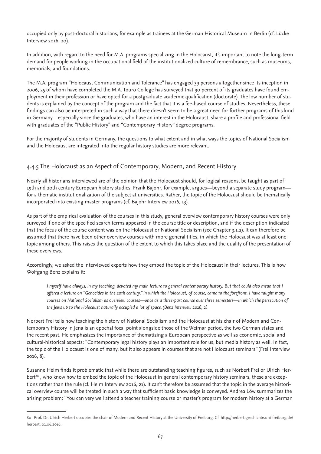occupied only by post-doctoral historians, for example as trainees at the German Historical Museum in Berlin (cf. Lücke Interview 2016, 20).

In addition, with regard to the need for M.A. programs specializing in the Holocaust, it's important to note the long-term demand for people working in the occupational field of the institutionalized culture of remembrance, such as museums, memorials, and foundations.

The M.A. program "Holocaust Communication and Tolerance" has engaged 39 persons altogether since its inception in 2006, 25 of whom have completed the M.A. Touro College has surveyed that 90 percent of its graduates have found employment in their profession or have opted for a postgraduate academic qualification (doctorate). The low number of students is explained by the concept of the program and the fact that it is a fee-based course of studies. Nevertheless, these findings can also be interpreted in such a way that there doesn't seem to be a great need for further programs of this kind in Germany—especially since the graduates, who have an interest in the Holocaust, share a profile and professional field with graduates of the "Public History" and "Contemporary History" degree programs.

For the majority of students in Germany, the questions to what extent and in what ways the topics of National Socialism and the Holocaust are integrated into the regular history studies are more relevant.

### 4.4.5 The Holocaust as an Aspect of Contemporary, Modern, and Recent History

Nearly all historians interviewed are of the opinion that the Holocaust should, for logical reasons, be taught as part of 19th and 20th century European history studies. Frank Bajohr, for example, argues—beyond a separate study program for a thematic institutionalization of the subject at universities. Rather, the topic of the Holocaust should be thematically incorporated into existing master programs (cf. Bajohr Interview 2016, 13).

As part of the empirical evaluation of the courses in this study, general overview contemporary history courses were only surveyed if one of the specified search terms appeared in the course title or description, and if the description indicated that the focus of the course content was on the Holocaust or National Socialism (see Chapter 3.1.2). It can therefore be assumed that there have been other overview courses with more general titles, in which the Holocaust was at least one topic among others. This raises the question of the extent to which this takes place and the quality of the presentation of these overviews.

Accordingly, we asked the interviewed experts how they embed the topic of the Holocaust in their lectures. This is how Wolfgang Benz explains it:

*I myself have always, in my teaching, devoted my main lecture to general contemporary history. But that could also mean that I offered a lecture on "Genocides in the 20th century," in which the Holocaust, of course, came to the forefront. I have taught many courses on National Socialism as overview courses—once as a three-part course over three semesters—in which the persecution of the Jews up to the Holocaust naturally occupied a lot of space. (Benz Interview 2016, 2)* 

Norbert Frei tells how teaching the history of National Socialism and the Holocaust at his chair of Modern and Contemporary History in Jena is an epochal focal point alongside those of the Weimar period, the two German states and the recent past. He emphasizes the importance of thematizing a European perspective as well as economic, social and cultural-historical aspects: "Contemporary legal history plays an important role for us, but media history as well. In fact, the topic of the Holocaust is one of many, but it also appears in courses that are not Holocaust seminars" (Frei Interview 2016, 8).

Susanne Heim finds it problematic that while there are outstanding teaching figures, such as Norbert Frei or Ulrich Herbert<sup>80</sup>, who know how to embed the topic of the Holocaust in general contemporary history seminars, these are exceptions rather than the rule (cf. Heim Interview 2016, 21). It can't therefore be assumed that the topic in the average historical overview course will be treated in such a way that sufficient basic knowledge is conveyed. Andrea Löw summarizes the arising problem: "You can very well attend a teacher training course or master's program for modern history at a German

<sup>80</sup> Prof. Dr. Ulrich Herbert occupies the chair of Modern and Recent History at the University of Freiburg. Cf. http://herbert.geschichte.uni-freiburg.de/ herbert, 01.06.2016.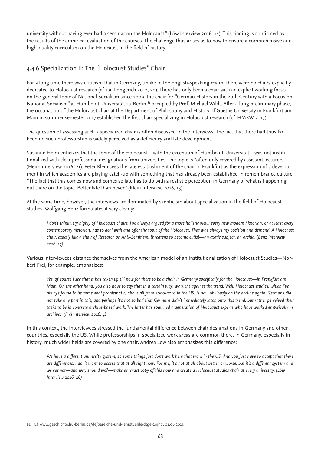university without having ever had a seminar on the Holocaust." (Löw Interview 2016, 14). This finding is confirmed by the results of the empirical evaluation of the courses. The challenge thus arises as to how to ensure a comprehensive and high-quality curriculum on the Holocaust in the field of history.

# 4.4.6 Specialization II: The "Holocaust Studies" Chair

For a long time there was criticism that in Germany, unlike in the English-speaking realm, there were no chairs explicitly dedicated to Holocaust research (cf. i.a. Longerich 2012, 20). There has only been a chair with an explicit working focus on the general topic of National Socialism since 2009, the chair for "German History in the 20th Century with a Focus on National Socialism" at Humboldt-Universität zu Berlin,<sup>81</sup> occupied by Prof. Michael Wildt. After a long preliminary phase, the occupation of the Holocaust chair at the Department of Philosophy and History of Goethe University in Frankfurt am Main in summer semester 2017 established the first chair specializing in Holocaust research (cf. HMKW 2017).

The question of assessing such a specialized chair is often discussed in the interviews. The fact that there had thus far been no such professorship is widely perceived as a deficiency and late development.

Susanne Heim criticizes that the topic of the Holocaust—with the exception of Humboldt-Universität—was not institutionalized with clear professorial designations from universities. The topic is "often only covered by assistant lecturers" (Heim interview 2016, 21). Peter Klein sees the late establishment of the chair in Frankfurt as the expression of a development in which academics are playing catch-up with something that has already been established in remembrance culture: "The fact that this comes now and comes so late has to do with a realistic perception in Germany of what is happening out there on the topic. Better late than never." (Klein Interview 2016, 13).

At the same time, however, the interviews are dominated by skepticism about specialization in the field of Holocaust studies. Wolfgang Benz formulates it very clearly:

*I don't think very highly of Holocaust chairs. I've always argued for a more holistic view: every new modern historian, or at least every contemporary historian, has to deal with and offer the topic of the Holocaust. That was always my position and demand. A Holocaust chair, exactly like a chair of Research on Anti-Semitism, threatens to become elitist—an exotic subject, an orchid. (Benz Interview 2016, 17)*

Various interviewees distance themselves from the American model of an institutionalization of Holocaust Studies—Norbert Frei, for example, emphasizes:

*Yes, of course I see that it has taken up till now for there to be a chair in Germany specifically for the Holocaust—in Frankfurt am Main. On the other hand, you also have to say that in a certain way, we went against the trend. Well, Holocaust studies, which I've always found to be somewhat problematic, above all from 2000-2010 in the US, is now obviously on the decline again. Germans did not take any part in this, and perhaps it's not so bad that Germans didn't immediately latch onto this trend, but rather perceived their tasks to be in concrete archive-based work. The latter has spawned a generation of Holocaust experts who have worked empirically in archives. (Frei Interview 2016, 4)*

In this context, the interviewees stressed the fundamental difference between chair designations in Germany and other countries, especially the US. While professorships in specialized work areas are common there, in Germany, especially in history, much wider fields are covered by one chair. Andrea Löw also emphasizes this difference:

We have a different university system, so some things just don't work here that work in the US. And you just have to accept that there *are differences. I don't want to assess that at all right now. For me, it's not at all about better or worse, but it's a different system and we cannot—and why should we?—make an exact copy of this now and create a Holocaust studies chair at every university. (Löw Interview 2016, 26)*

<sup>81</sup> Cf. www.geschichte.hu-berlin.de/de/bereiche-und-lehrstuehle/dtge-20jhd, 01.06.2017.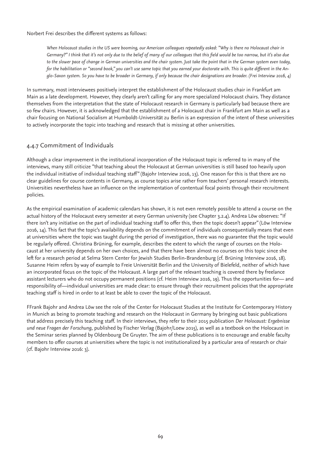#### Norbert Frei describes the different systems as follows:

*When Holocaust studies in the US were booming, our American colleagues repeatedly asked: "Why is there no Holocaust chair in Germany?" I think that it's not only due to the belief of many of our colleagues that this field would be too narrow, but it's also due to the slower pace of change in German universities and the chair system. Just take the point that in the German system even today, for the habilitation or "second book," you can't use same topic that you earned your doctorate with. This is quite different in the Anglo-Saxon system. So you have to be broader in Germany, if only because the chair designations are broader. (Frei Interview 2016, 4)* 

In summary, most interviewees positively interpret the establishment of the Holocaust studies chair in Frankfurt am Main as a late development. However, they clearly aren't calling for any more specialized Holocaust chairs. They distance themselves from the interpretation that the state of Holocaust research in Germany is particularly bad because there are so few chairs. However, it is acknowledged that the establishment of a Holocaust chair in Frankfurt am Main as well as a chair focusing on National Socialism at Humboldt-Universität zu Berlin is an expression of the intent of these universities to actively incorporate the topic into teaching and research that is missing at other universities.

# 4.4.7 Commitment of Individuals

Although a clear improvement in the institutional incorporation of the Holocaust topic is referred to in many of the interviews, many still criticize "that teaching about the Holocaust at German universities is still based too heavily upon the individual initiative of individual teaching staff" (Bajohr Interview 2016, 13). One reason for this is that there are no clear guidelines for course contents in Germany, as course topics arise rather from teachers' personal research interests. Universities nevertheless have an influence on the implementation of contentual focal points through their recruitment policies.

As the empirical examination of academic calendars has shown, it is not even remotely possible to attend a course on the actual history of the Holocaust every semester at every German university (see Chapter 3.2.4). Andrea Löw observes: "If there isn't any initiative on the part of individual teaching staff to offer this, then the topic doesn't appear" (Löw Interview 2016, 14). This fact that the topic's availability depends on the commitment of individuals consequentially means that even at universities where the topic was taught during the period of investigation, there was no guarantee that the topic would be regularly offered. Christina Brüning, for example, describes the extent to which the range of courses on the Holocaust at her university depends on her own choices, and that there have been almost no courses on this topic since she left for a research period at Selma Stern Center for Jewish Studies Berlin-Brandenburg (cf. Brüning Interview 2016, 18). Susanne Heim refers by way of example to Freie Universität Berlin and the University of Bielefeld, neither of which have an incorporated focus on the topic of the Holocaust. A large part of the relevant teaching is covered there by freelance assistant lecturers who do not occupy permanent positions (cf. Heim Interview 2016, 19). Thus the opportunities for— and responsibility of—individual universities are made clear: to ensure through their recruitment policies that the appropriate teaching staff is hired in order to at least be able to cover the topic of the Holocaust.

FFrank Bajohr and Andrea Löw see the role of the Center for Holocaust Studies at the Institute for Contemporary History in Munich as being to promote teaching and research on the Holocaust in Germany by bringing out basic publications that address precisely this teaching staff. In their interviews, they refer to their 2015 publication *Der Holocaust: Ergebnisse und neue Fragen der Forschung*, published by Fischer Verlag (Bajohr/Loew 2015), as well as a textbook on the Holocaust in the Seminar series planned by Oldenbourg De Gruyter. The aim of these publications is to encourage and enable faculty members to offer courses at universities where the topic is not institutionalized by a particular area of research or chair (cf. Bajohr Interview 2016: 3).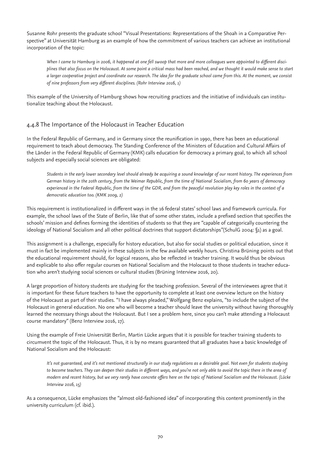Susanne Rohr presents the graduate school "Visual Presentations: Representations of the Shoah in a Comparative Perspective" at Universität Hamburg as an example of how the commitment of various teachers can achieve an institutional incorporation of the topic:

*When I came to Hamburg in 2006, it happened at one fell swoop that more and more colleagues were appointed to different disciplines that also focus on the Holocaust. At some point a critical mass had been reached, and we thought it would make sense to start a larger cooperative project and coordinate our research. The idea for the graduate school came from this. At the moment, we consist of nine professors from very different disciplines. (Rohr Interview 2016, 1)* 

This example of the University of Hamburg shows how recruiting practices and the initiative of individuals can institutionalize teaching about the Holocaust.

# 4.4.8 The Importance of the Holocaust in Teacher Education

In the Federal Republic of Germany, and in Germany since the reunification in 1990, there has been an educational requirement to teach about democracy. The Standing Conference of the Ministers of Education and Cultural Affairs of the Länder in the Federal Republic of Germany (KMK) calls education for democracy a primary goal, to which all school subjects and especially social sciences are obligated:

*Students in the early lower secondary level should already be acquiring a sound knowledge of our recent history. The experiences from German history in the 20th century, from the Weimar Republic, from the time of National Socialism, from 60 years of democracy experienced in the Federal Republic, from the time of the GDR, and from the peaceful revolution play key roles in the context of a democratic education too. (KMK 2009, 2)*

This requirement is institutionalized in different ways in the 16 federal states' school laws and framework curricula. For example, the school laws of the State of Berlin, like that of some other states, include a prefixed section that specifies the schools' mission and defines forming the identities of students so that they are "capable of categorically countering the ideology of National Socialism and all other political doctrines that support dictatorships"(SchulG 2004: §1) as a goal.

This assignment is a challenge, especially for history education, but also for social studies or political education, since it must in fact be implemented mainly in these subjects in the few available weekly hours. Christina Brüning points out that the educational requirement should, for logical reasons, also be reflected in teacher training. It would thus be obvious and explicable to also offer regular courses on National Socialism and the Holocaust to those students in teacher education who aren't studying social sciences or cultural studies (Brüning Interview 2016, 20).

A large proportion of history students are studying for the teaching profession. Several of the interviewees agree that it is important for these future teachers to have the opportunity to complete at least one overview lecture on the history of the Holocaust as part of their studies. "I have always pleaded," Wolfgang Benz explains, "to include the subject of the Holocaust in general education. No one who will become a teacher should leave the university without having thoroughly learned the necessary things about the Holocaust. But I see a problem here, since you can't make attending a Holocaust course mandatory" (Benz Interview 2016, 17).

Using the example of Freie Universität Berlin, Martin Lücke argues that it is possible for teacher training students to circumvent the topic of the Holocaust. Thus, it is by no means guaranteed that all graduates have a basic knowledge of National Socialism and the Holocaust:

*It's not quaranteed, and it's not mentioned structurally in our study regulations as a desirable goal. Not even for students studying to become teachers. They can deepen their studies in different ways, and you're not only able to avoid the topic there in the area of modern and recent history, but we very rarely have concrete offers here on the topic of National Socialism and the Holocaust. (Lücke Interview 2016, 15)* 

As a consequence, Lücke emphasizes the "almost old-fashioned idea" of incorporating this content prominently in the university curriculum (cf. ibid.).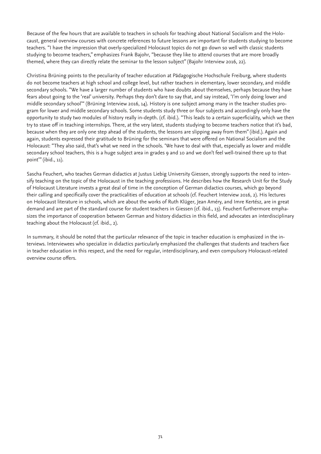Because of the few hours that are available to teachers in schools for teaching about National Socialism and the Holocaust, general overview courses with concrete references to future lessons are important for students studying to become teachers. "I have the impression that overly-specialized Holocaust topics do not go down so well with classic students studying to become teachers," emphasizes Frank Bajohr, "because they like to attend courses that are more broadly themed, where they can directly relate the seminar to the lesson subject" (Bajohr Interview 2016, 22).

Christina Brüning points to the peculiarity of teacher education at Pädagogische Hochschule Freiburg, where students do not become teachers at high school and college level, but rather teachers in elementary, lower secondary, and middle secondary schools. "We have a larger number of students who have doubts about themselves, perhaps because they have fears about going to the 'real' university. Perhaps they don't dare to say that, and say instead, 'I'm only doing lower and middle secondary school'" (Brüning Interview 2016, 14). History is one subject among many in the teacher studies program for lower and middle secondary schools. Some students study three or four subjects and accordingly only have the opportunity to study two modules of history really in-depth. (cf. ibid.). "This leads to a certain superficiality, which we then try to stave off in teaching internships. There, at the very latest, students studying to become teachers notice that it's bad, because when they are only one step ahead of the students, the lessons are slipping away from them" (ibid.). Again and again, students expressed their gratitude to Brüning for the seminars that were offered on National Socialism and the Holocaust: "They also said, that's what we need in the schools. 'We have to deal with that, especially as lower and middle secondary school teachers, this is a huge subject area in grades 9 and 10 and we don't feel well-trained there up to that point'" (ibid., 11).

Sascha Feuchert, who teaches German didactics at Justus Liebig University Giessen, strongly supports the need to intensify teaching on the topic of the Holocaust in the teaching professions. He describes how the Research Unit for the Study of Holocaust Literature invests a great deal of time in the conception of German didactics courses, which go beyond their calling and specifically cover the practicalities of education at schools (cf. Feuchert Interview 2016, 2). His lectures on Holocaust literature in schools, which are about the works of Ruth Klüger, Jean Améry, and Imre Kertész, are in great demand and are part of the standard course for student teachers in Giessen (cf. ibid., 13). Feuchert furthermore emphasizes the importance of cooperation between German and history didactics in this field, and advocates an interdisciplinary teaching about the Holocaust (cf. ibid., 2).

In summary, it should be noted that the particular relevance of the topic in teacher education is emphasized in the interviews. Interviewees who specialize in didactics particularly emphasized the challenges that students and teachers face in teacher education in this respect, and the need for regular, interdisciplinary, and even compulsory Holocaust-related overview course offers.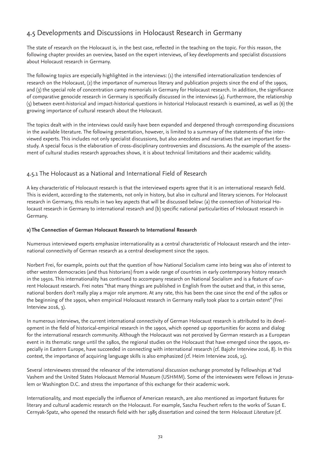# 4.5 Developments and Discussions in Holocaust Research in Germany

The state of research on the Holocaust is, in the best case, reflected in the teaching on the topic. For this reason, the following chapter provides an overview, based on the expert interviews, of key developments and specialist discussions about Holocaust research in Germany.

The following topics are especially highlighted in the interviews: (1) the intensified internationalization tendencies of research on the Holocaust, (2) the importance of numerous literary and publication projects since the end of the 1990s, and (3) the special role of concentration camp memorials in Germany for Holocaust research. In addition, the significance of comparative genocide research in Germany is specifically discussed in the interviews (4). Furthermore, the relationship (5) between event-historical and impact-historical questions in historical Holocaust research is examined, as well as (6) the growing importance of cultural research about the Holocaust.

The topics dealt with in the interviews could easily have been expanded and deepened through corresponding discussions in the available literature. The following presentation, however, is limited to a summary of the statements of the interviewed experts. This includes not only specialist discussions, but also anecdotes and narratives that are important for the study. A special focus is the elaboration of cross-disciplinary controversies and discussions. As the example of the assessment of cultural studies research approaches shows, it is about technical limitations and their academic validity.

# 4.5.1 The Holocaust as a National and International Field of Research

A key characteristic of Holocaust research is that the interviewed experts agree that it is an international research field. This is evident, according to the statements, not only in history, but also in cultural and literary sciences. For Holocaust research in Germany, this results in two key aspects that will be discussed below: (a) the connection of historical Holocaust research in Germany to international research and (b) specific national particularities of Holocaust research in Germany.

#### **a) The Connection of German Holocaust Research to International Research**

Numerous interviewed experts emphasize internationality as a central characteristic of Holocaust research and the international connectivity of German research as a central development since the 1990s.

Norbert Frei, for example, points out that the question of how National Socialism came into being was also of interest to other western democracies (and thus historians) from a wide range of countries in early contemporary history research in the 1950s. This internationality has continued to accompany research on National Socialism and is a feature of current Holocaust research. Frei notes "that many things are published in English from the outset and that, in this sense, national borders don't really play a major role anymore. At any rate, this has been the case since the end of the 1980s or the beginning of the 1990s, when empirical Holocaust research in Germany really took place to a certain extent" (Frei Interview 2016, 3).

In numerous interviews, the current international connectivity of German Holocaust research is attributed to its development in the field of historical-empirical research in the 1990s, which opened up opportunities for access and dialog for the international research community. Although the Holocaust was not perceived by German research as a European event in its thematic range until the 1980s, the regional studies on the Holocaust that have emerged since the 1990s, especially in Eastern Europe, have succeeded in connecting with international research (cf. Bajohr Interview 2016, 8). In this context, the importance of acquiring language skills is also emphasized (cf. Heim Interview 2016, 15).

Several interviewees stressed the relevance of the international discussion exchange promoted by Fellowships at Yad Vashem and the United States Holocaust Memorial Museum (USHMM). Some of the interviewees were Fellows in Jerusalem or Washington D.C. and stress the importance of this exchange for their academic work.

Internationality, and most especially the influence of American research, are also mentioned as important features for literary and cultural academic research on the Holocaust. For example, Sascha Feuchert refers to the works of Susan E. Cernyak-Spatz, who opened the research field with her 1985 dissertation and coined the term *Holocaust Literature* (cf.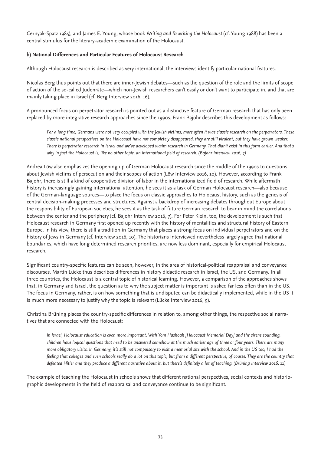Cernyak-Spatz 1985), and James E. Young, whose book *Writing and Rewriting the Holocaust* (cf. Young 1988) has been a central stimulus for the literary-academic examination of the Holocaust.

### **b) National Differences and Particular Features of Holocaust Research**

Although Holocaust research is described as very international, the interviews identify particular national features.

Nicolas Berg thus points out that there are inner-Jewish debates—such as the question of the role and the limits of scope of action of the so-called Judenräte—which non-Jewish researchers can't easily or don't want to participate in, and that are mainly taking place in Israel (cf. Berg Interview 2016, 16).

A pronounced focus on perpetrator research is pointed out as a distinctive feature of German research that has only been replaced by more integrative research approaches since the 1990s. Frank Bajohr describes this development as follows:

*For a long time, Germans were not very occupied with the Jewish victims, more often it was classic research on the perpetrators. These classic national perspectives on the Holocaust have not completely disappeared, they are still virulent, but they have grown weaker. There is perpetrator research in Israel and we've developed victim research in Germany. That didn't exist in this form earlier. And that's why in fact the Holocaust is, like no other topic, an international field of research. (Bajohr Interview 2016, 7)* 

Andrea Löw also emphasizes the opening up of German Holocaust research since the middle of the 1990s to questions about Jewish victims of persecution and their scopes of action (Löw Interview 2016, 10). However, according to Frank Bajohr, there is still a kind of cooperative division of labor in the internationalized field of research. While aftermath history is increasingly gaining international attention, he sees it as a task of German Holocaust research—also because of the German-language sources—to place the focus on classic approaches to Holocaust history, such as the genesis of central decision-making processes and structures. Against a backdrop of increasing debates throughout Europe about the responsibility of European societies, he sees it as the task of future German research to bear in mind the correlations between the center and the periphery (cf. Bajohr Interview 2016, 7). For Peter Klein, too, the development is such that Holocaust research in Germany first opened up recently with the history of mentalities and structural history of Eastern Europe. In his view, there is still a tradition in Germany that places a strong focus on individual perpetrators and on the history of Jews in Germany (cf. Interview 2016, 10). The historians interviewed nevertheless largely agree that national boundaries, which have long determined research priorities, are now less dominant, especially for empirical Holocaust research.

Significant country-specific features can be seen, however, in the area of historical-political reappraisal and conveyance discourses. Martin Lücke thus describes differences in history didactic research in Israel, the US, and Germany. In all three countries, the Holocaust is a central topic of historical learning. However, a comparison of the approaches shows that, in Germany and Israel, the question as to why the subject matter is important is asked far less often than in the US. The focus in Germany, rather, is on how something that is undisputed can be didactically implemented, while in the US it is much more necessary to justify why the topic is relevant (Lücke Interview 2016, 9).

Christina Brüning places the country-specific differences in relation to, among other things, the respective social narratives that are connected with the Holocaust:

*In Israel, Holocaust education is even more important. With Yom Hashoah [Holocaust Memorial Day] and the sirens sounding, children have logical questions that need to be answered somehow at the much earlier age of three or four years. There are many more obligatory visits. In Germany, it's still not compulsory to visit a memorial site with the school. And in the US too, I had the feeling that colleges and even schools really do a lot on this topic, but from a different perspective, of course. They are the country that defeated Hitler and they produce a different narrative about it, but there's definitely a lot of teaching. (Brüning Interview 2016, 11)* 

The example of teaching the Holocaust in schools shows that different national perspectives, social contexts and historiographic developments in the field of reappraisal and conveyance continue to be significant.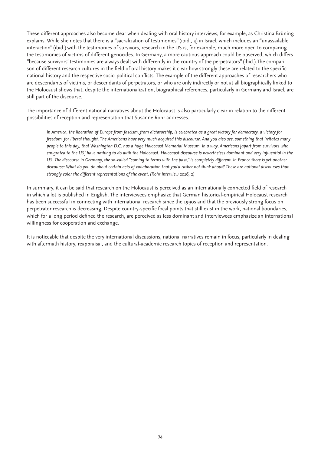These different approaches also become clear when dealing with oral history interviews, for example, as Christina Brüning explains. While she notes that there is a "sacralization of testimonies" (ibid., 4) in Israel, which includes an "unassailable interaction" (ibid.) with the testimonies of survivors, research in the US is, for example, much more open to comparing the testimonies of victims of different genocides. In Germany, a more cautious approach could be observed, which differs "because survivors' testimonies are always dealt with differently in the country of the perpetrators" (ibid.).The comparison of different research cultures in the field of oral history makes it clear how strongly these are related to the specific national history and the respective socio-political conflicts. The example of the different approaches of researchers who are descendants of victims, or descendants of perpetrators, or who are only indirectly or not at all biographically linked to the Holocaust shows that, despite the internationalization, biographical references, particularly in Germany and Israel, are still part of the discourse.

The importance of different national narratives about the Holocaust is also particularly clear in relation to the different possibilities of reception and representation that Susanne Rohr addresses.

*In America, the liberation of Europe from fascism, from dictatorship, is celebrated as a great victory for democracy, a victory for freedom, for liberal thought. The Americans have very much acquired this discourse. And you also see, something that irritates many people to this day, that Washington D.C. has a huge Holocaust Memorial Museum. In a way, Americans [apart from survivors who emigrated to the US] have nothing to do with the Holocaust. Holocaust discourse is nevertheless dominant and very influential in the*  US. The discourse in Germany, the so-called "coming to terms with the past," is completely different. In France there is yet another *discourse: What do you do about certain acts of collaboration that you'd rather not think about? These are national discourses that strongly color the different representations of the event. (Rohr Interview 2016, 2)*

In summary, it can be said that research on the Holocaust is perceived as an internationally connected field of research in which a lot is published in English. The interviewees emphasize that German historical-empirical Holocaust research has been successful in connecting with international research since the 1990s and that the previously strong focus on perpetrator research is decreasing. Despite country-specific focal points that still exist in the work, national boundaries, which for a long period defined the research, are perceived as less dominant and interviewees emphasize an international willingness for cooperation and exchange.

It is noticeable that despite the very international discussions, national narratives remain in focus, particularly in dealing with aftermath history, reappraisal, and the cultural-academic research topics of reception and representation.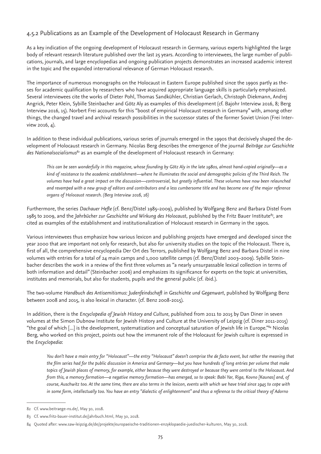## 4.5.2 Publications as an Example of the Development of Holocaust Research in Germany

As a key indication of the ongoing development of Holocaust research in Germany, various experts highlighted the large body of relevant research literature published over the last 25 years. According to interviewees, the large number of publications, journals, and large encyclopedias and ongoing publication projects demonstrates an increased academic interest in the topic and the expanded international relevance of German Holocaust research.

The importance of numerous monographs on the Holocaust in Eastern Europe published since the 1990s partly as theses for academic qualification by researchers who have acquired appropriate language skills is particularly emphasized. Several interviewees cite the works of Dieter Pohl, Thomas Sandkühler, Christian Gerlach, Christoph Diekmann, Andrej Angrick, Peter Klein, Sybille Steinbacher and Götz Aly as examples of this development (cf. Bajohr Interview 2016, 8; Berg Interview 2016, 15). Norbert Frei accounts for this "boost of empirical Holocaust research in Germany" with, among other things, the changed travel and archival research possibilities in the successor states of the former Soviet Union (Frei Interview 2016, 4).

In addition to these individual publications, various series of journals emerged in the 1990s that decisively shaped the development of Holocaust research in Germany. Nicolas Berg describes the emergence of the journal *Beiträge zur Geschichte des Nationalsozialismus82* as an example of the development of Holocaust research in Germany:

*This can be seen wonderfully in this magazine, whose founding by Götz Aly in the late 1980s, almost hand-copied originally—as a kind of resistance to the academic establishment—where he illuminates the social and demographic policies of the Third Reich. The volumes have had a great impact on the discussion—controversial, but greatly influential. These volumes have now been relaunched and revamped with a new group of editors and contributors and a less cumbersome title and has become one of the major reference organs of Holocaust research. (Berg Interview 2016, 16)* 

Furthermore, the series *Dachauer Hefte* (cf. Benz/Distel 1985–2009), published by Wolfgang Benz and Barbara Distel from 1985 to 2009, and the *Jahrbücher zur Geschichte und Wirkung des Holocaust*, published by the Fritz Bauer Institute*83*, are cited as examples of the establishment and institutionalization of Holocaust research in Germany in the 1990s.

Various interviewees thus emphasize how various lexicon and publishing projects have emerged and developed since the year 2000 that are important not only for research, but also for university studies on the topic of the Holocaust. There is, first of all, the comprehensive encyclopedia Der Ort des Terrors, published by Wolfgang Benz and Barbara Distel in nine volumes with entries for a total of 24 main camps and 1,000 satellite camps (cf. Benz/Distel 2003–2009). Sybille Steinbacher describes the work in a review of the first three volumes as "a nearly unsurpassable lexical collection in terms of both information and detail" (Steinbacher 2006) and emphasizes its significance for experts on the topic at universities, institutes and memorials, but also for students, pupils and the general public (cf. ibid.).

The two-volume *Handbuch des Antisemitismus: Judenfeindschaft in Geschichte und Gegenwart*, published by Wolfgang Benz between 2008 and 2015, is also lexical in character. (cf. Benz 2008-2015).

In addition, there is the *Encyclopedia of Jewish History and Culture*, published from 2011 to 2015 by Dan Diner in seven volumes at the Simon Dubnow Institute for Jewish History and Culture at the University of Leipzig (cf. Diner 2011-2015) "the goal of which [...] is the development, systematization and conceptual saturation of Jewish life in Europe."84 Nicolas Berg, who worked on this project, points out how the immanent role of the Holocaust for Jewish culture is expressed in the *Encyclopedia*:

*You don't have a main entry for "Holocaust"—the entry "Holocaust" doesn't comprise the de facto event, but rather the meaning that the film series had for the public discussion in America and Germany—but you have hundreds of long entries per volume that make topics of Jewish places of memory, for example, either because they were destroyed or because they were central to the Holocaust. And from this, a memory formation—a negative memory formation—has emerged, so to speak: Babi Yar, Riga, Kovno [Kaunas] and, of course, Auschwitz too. At the same time, there are also terms in the lexicon, events with which we have tried since 1945 to cope with in some form, intellectually too. You have an entry "dialectic of enlightenment" and thus a reference to the critical theory of Adorno* 

<sup>82</sup> Cf. www.beitraege-ns.de/, May 30, 2018.

<sup>83</sup> Cf. www.fritz-bauer-institut.de/jahrbuch.html, May 30, 2018.

<sup>84</sup> Quoted after: www.saw-leipzig.de/de/projekte/europaeische-traditionen-enzyklopaedie-juedischer-kulturen, May 30, 2018.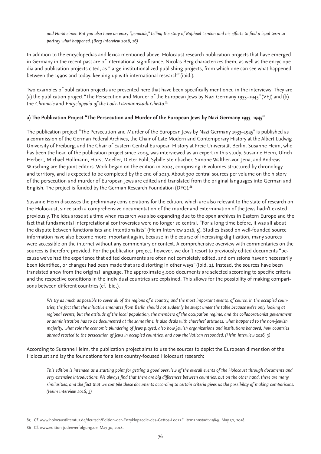*and Horkheimer. But you also have an entry "genocide," telling the story of Raphael Lemkin and his efforts to find a legal term to portray what happened. (Berg Interview 2016, 16)*

In addition to the encyclopedias and lexica mentioned above, Holocaust research publication projects that have emerged in Germany in the recent past are of international significance. Nicolas Berg characterizes them, as well as the encyclopedia and publication projects cited, as "large institutionalized publishing projects, from which one can see what happened between the 1990s and today: keeping up with international research" (ibid.).

Two examples of publication projects are presented here that have been specifically mentioned in the interviews: They are (a) the publication project "The Persecution and Murder of the European Jews by Nazi Germany 1933–1945" (VEJ) and (b) the *Chronicle* and *Encyclopedia of the Lodz-Litzmannstadt Ghetto*. 85

### **a) The Publication Project "The Persecution and Murder of the European Jews by Nazi Germany 1933–1945"**

The publication project "The Persecution and Murder of the European Jews by Nazi Germany 1933–1945" is published as a commission of the German Federal Archives, the Chair of Late Modern and Contemporary History at the Albert Ludwig University of Freiburg, and the Chair of Eastern Central European History at Freie Universität Berlin. Susanne Heim, who has been the head of the publication project since 2005, was interviewed as an expert in this study. Susanne Heim, Ulrich Herbert, Michael Hollmann, Horst Moeller, Dieter Pohl, Sybille Steinbacher, Simone Walther-von Jena, and Andreas Wirsching are the joint editors. Work began on the edition in 2004, comprising 16 volumes structured by chronology and territory, and is expected to be completed by the end of 2019. About 300 central sources per volume on the history of the persecution and murder of European Jews are edited and translated from the original languages into German and English. The project is funded by the German Research Foundation (DFG).86

Susanne Heim discusses the preliminary considerations for the edition, which are also relevant to the state of research on the Holocaust, since such a comprehensive documentation of the murder and extermination of the Jews hadn't existed previously. The idea arose at a time when research was also expanding due to the open archives in Eastern Europe and the fact that fundamental interpretational controversies were no longer so central. "For a long time before, it was all about the dispute between functionalists and intentionalists" (Heim Interview 2016, 5). Studies based on well-founded source information have also become more important again, because in the course of increasing digitization, many sources were accessible on the internet without any commentary or context. A comprehensive overview with commentaries on the sources is therefore provided. For the publication project, however, we don't resort to previously edited documents "because we've had the experience that edited documents are often not completely edited, and omissions haven't necessarily been identified, or changes had been made that are distorting in other ways" (Ibid. 2). Instead, the sources have been translated anew from the original language. The approximate 5,000 documents are selected according to specific criteria and the respective conditions in the individual countries are explained. This allows for the possibility of making comparisons between different countries (cf. ibid.).

*We try as much as possible to cover all of the regions of a country, and the most important events, of course. In the occupied countries, the fact that the initiative emanates from Berlin should not suddenly be swept under the table because we're only looking at regional events, but the attitude of the local population, the members of the occupation regime, and the collaborationist government or administration has to be documented at the same time. It also deals with churches' attitudes, what happened to the non-Jewish majority, what role the economic plundering of Jews played, also how Jewish organizations and institutions behaved, how countries abroad reacted to the persecution of Jews in occupied countries, and how the Vatican responded. (Heim Interview 2016, 3)*

According to Susanne Heim, the publication project aims to use the sources to depict the European dimension of the Holocaust and lay the foundations for a less country-focused Holocaust research:

*This edition is intended as a starting point for getting a good overview of the overall events of the Holocaust through documents and very extensive introductions. We always find that there are big differences between countries, but on the other hand, there are many similarities, and the fact that we compile these documents according to certain criteria gives us the possibility of making comparisons. (Heim Interview 2016, 3)*

<sup>85</sup> Cf. www.holocaustliteratur.de/deutsch/Edition-der-Enzyklopaedie-des-Gettos-Lodz2FLitzmannstadt-1984/, May 30, 2018.

<sup>86</sup> Cf. www.edition-judenverfolgung.de, May 30, 2018.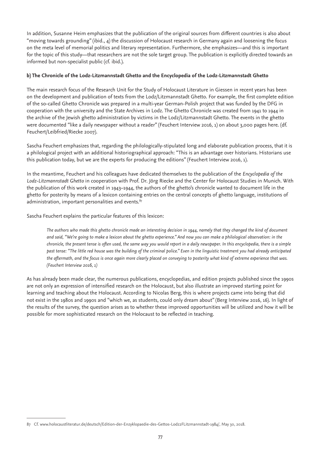In addition, Susanne Heim emphasizes that the publication of the original sources from different countries is also about "moving towards grounding" (ibid., 4) the discussion of Holocaust research in Germany again and loosening the focus on the meta level of memorial politics and literary representation. Furthermore, she emphasizes—and this is important for the topic of this study—that researchers are not the sole target group. The publication is explicitly directed towards an informed but non-specialist public (cf. ibid.).

### **b) The Chronicle of the Lodz-Litzmannstadt Ghetto and the Encyclopedia of the Lodz-Litzmannstadt Ghetto**

The main research focus of the Research Unit for the Study of Holocaust Literature in Giessen in recent years has been on the development and publication of texts from the Lodz/Litzmannstadt Ghetto. For example, the first complete edition of the so-called Ghetto Chronicle was prepared in a multi-year German-Polish project that was funded by the DFG in cooperation with the university and the State Archives in Lodz. The Ghetto Chronicle was created from 1941 to 1944 in the archive of the Jewish ghetto administration by victims in the Lodz/Litzmannstadt Ghetto. The events in the ghetto were documented "like a daily newspaper without a reader" (Feuchert Interview 2016, 1) on about 3,000 pages here. (df. Feuchert/Leibfried/Riecke 2007).

Sascha Feuchert emphasizes that, regarding the philologically-stipulated long and elaborate publication process, that it is a philological project with an additional historiographical approach: "This is an advantage over historians. Historians use this publication today, but we are the experts for producing the editions" (Feuchert Interview 2016, 1).

In the meantime, Feuchert and his colleagues have dedicated themselves to the publication of the *Encyclopedia of the Lodz-Litzmannstadt Ghetto* in cooperation with Prof. Dr. Jörg Riecke and the Center for Holocaust Studies in Munich. With the publication of this work created in 1943–1944, the authors of the ghetto's chronicle wanted to document life in the ghetto for posterity by means of a lexicon containing entries on the central concepts of ghetto language, institutions of administration, important personalities and events.<sup>87</sup>

Sascha Feuchert explains the particular features of this lexicon:

*The authors who made this ghetto chronicle made an interesting decision in 1944, namely that they changed the kind of document and said, "We're going to make a lexicon about the ghetto experience." And now you can make a philological observation: in the chronicle, the present tense is often used, the same way you would report in a daily newspaper. In this encyclopedia, there is a simple past tense: "The little red house was the building of the criminal police." Even in the linguistic treatment you had already anticipated the aftermath, and the focus is once again more clearly placed on conveying to posterity what kind of extreme experience that was. (Feuchert Interview 2016, 1)*

As has already been made clear, the numerous publications, encyclopedias, and edition projects published since the 1990s are not only an expression of intensified research on the Holocaust, but also illustrate an improved starting point for learning and teaching about the Holocaust. According to Nicolas Berg, this is where projects came into being that did not exist in the 1980s and 1990s and "which we, as students, could only dream about" (Berg Interview 2016, 16). In light of the results of the survey, the question arises as to whether these improved opportunities will be utilized and how it will be possible for more sophisticated research on the Holocaust to be reflected in teaching.

<sup>87</sup> Cf. www.holocaustliteratur.de/deutsch/Edition-der-Enzyklopaedie-des-Gettos-Lodz2FLitzmannstadt-1984/, May 30, 2018.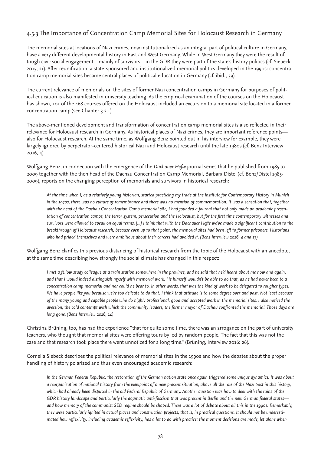## 4.5.3 The Importance of Concentration Camp Memorial Sites for Holocaust Research in Germany

The memorial sites at locations of Nazi crimes, now institutionalized as an integral part of political culture in Germany, have a very different developmental history in East and West Germany. While in West Germany they were the result of tough civic social engagement—mainly of survivors—in the GDR they were part of the state's history politics (cf. Siebeck 2015, 21). After reunification, a state-sponsored and institutionalized memorial politics developed in the 1990s: concentration camp memorial sites became central places of political education in Germany (cf. ibid., 39).

The current relevance of memorials on the sites of former Nazi concentration camps in Germany for purposes of political education is also manifested in university teaching. As the empirical examination of the courses on the Holocaust has shown, 101 of the 468 courses offered on the Holocaust included an excursion to a memorial site located in a former concentration camp (see Chapter 3.2.1).

The above-mentioned development and transformation of concentration camp memorial sites is also reflected in their relevance for Holocaust research in Germany. As historical places of Nazi crimes, they are important reference points also for Holocaust research. At the same time, as Wolfgang Benz pointed out in his interview for example, they were largely ignored by perpetrator-centered historical Nazi and Holocaust research until the late 1980s (cf. Benz Interview 2016, 4).

Wolfgang Benz, in connection with the emergence of the *Dachauer Hefte* journal series that he published from 1985 to 2009 together with the then head of the Dachau Concentration Camp Memorial, Barbara Distel (cf. Benz/Distel 1985- 2009), reports on the changing perception of memorials and survivors in historical research:

*At the time when I, as a relatively young historian, started practicing my trade at the Institute for Contemporary History in Munich in the 1970s, there was no culture of remembrance and there was no mention of commemoration. It was a sensation that, together with the head of the Dachau Concentration Camp memorial site, I had founded a journal that not only made an academic presentation of concentration camps, the terror system, persecution and the Holocaust, but for the first time contemporary witnesses and survivors were allowed to speak on equal terms. [...] I think that with the Dachauer Hefte we've made a significant contribution to the breakthrough of Holocaust research, because even up to that point, the memorial sites had been left to former prisoners. Historians who had prided themselves and were ambitious about their careers had avoided it. (Benz Interview 2016, 4 and 17)* 

Wolfgang Benz clarifies this previous distancing of historical research from the topic of the Holocaust with an anecdote, at the same time describing how strongly the social climate has changed in this respect:

*I met a fellow study colleague at a train station somewhere in the province, and he said that he'd heard about me now and again, and that I would indeed distinguish myself with memorial work. He himself wouldn't be able to do that, as he had never been to a concentration camp memorial and nor could he bear to. In other words, that was the kind of work to be delegated to rougher types. We have people like you because we're too delicate to do that. I think that attitude is to some degree over and past. Not least because of the many young and capable people who do highly professional, good and accepted work in the memorial sites. I also noticed the aversion, the cold contempt with which the community leaders, the former mayor of Dachau confronted the memorial. Those days are long gone. (Benz Interview 2016, 14)* 

Christina Brüning, too, has had the experience "that for quite some time, there was an arrogance on the part of university teachers, who thought that memorial sites were offering tours by led by random people. The fact that this was not the case and that research took place there went unnoticed for a long time." (Brüning, Interview 2016: 26).

Cornelia Siebeck describes the political relevance of memorial sites in the 1990s and how the debates about the proper handling of history polarized and thus even encouraged academic research:

*In the German Federal Republic, the restoration of the German nation state once again triggered some unique dynamics. It was about a reorganization of national history from the viewpoint of a new present situation, above all the role of the Nazi past in this history, which had already been disputed in the old Federal Republic of Germany. Another question was how to deal with the ruins of the GDR history landscape and particularly the dogmatic anti-fascism that was present in Berlin and the new German federal states and how memory of the communist SED regime should be shaped. There was a lot of debate about all this in the 1990s. Remarkably, they were particularly ignited in actual places and construction projects, that is, in practical questions. It should not be underestimated how reflexivity, including academic reflexivity, has a lot to do with practice: the moment decisions are made, let alone when*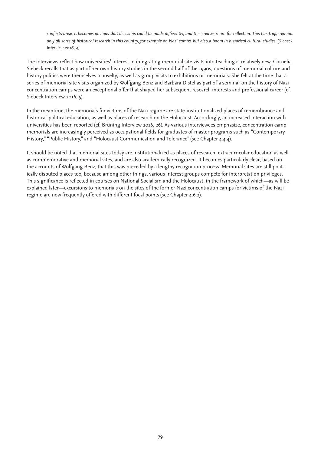conflicts arise, it becomes obvious that decisions could be made differently, and this creates room for reflection. This has triggered not *only all sorts of historical research in this country, for example on Nazi camps, but also a boom in historical cultural studies. (Siebeck Interview 2016, 4)*

The interviews reflect how universities' interest in integrating memorial site visits into teaching is relatively new. Cornelia Siebeck recalls that as part of her own history studies in the second half of the 1990s, questions of memorial culture and history politics were themselves a novelty, as well as group visits to exhibitions or memorials. She felt at the time that a series of memorial site visits organized by Wolfgang Benz and Barbara Distel as part of a seminar on the history of Nazi concentration camps were an exceptional offer that shaped her subsequent research interests and professional career (cf. Siebeck Interview 2016, 5).

In the meantime, the memorials for victims of the Nazi regime are state-institutionalized places of remembrance and historical-political education, as well as places of research on the Holocaust. Accordingly, an increased interaction with universities has been reported (cf. Brüning Interview 2016, 26). As various interviewees emphasize, concentration camp memorials are increasingly perceived as occupational fields for graduates of master programs such as "Contemporary History," "Public History," and "Holocaust Communication and Tolerance" (see Chapter 4.4.4).

It should be noted that memorial sites today are institutionalized as places of research, extracurricular education as well as commemorative and memorial sites, and are also academically recognized. It becomes particularly clear, based on the accounts of Wolfgang Benz, that this was preceded by a lengthy recognition process. Memorial sites are still politically disputed places too, because among other things, various interest groups compete for interpretation privileges. This significance is reflected in courses on National Socialism and the Holocaust, in the framework of which—as will be explained later—excursions to memorials on the sites of the former Nazi concentration camps for victims of the Nazi regime are now frequently offered with different focal points (see Chapter 4.6.2).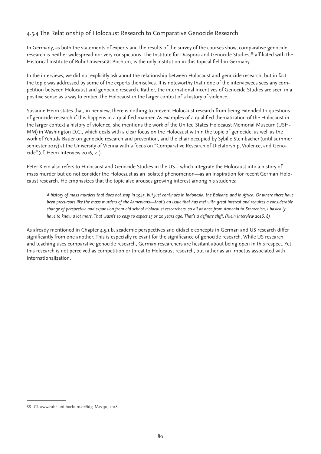## 4.5.4 The Relationship of Holocaust Research to Comparative Genocide Research

In Germany, as both the statements of experts and the results of the survey of the courses show, comparative genocide research is neither widespread nor very conspicuous. The Institute for Diaspora and Genocide Studies,<sup>88</sup> affiliated with the Historical Institute of Ruhr Universität Bochum, is the only institution in this topical field in Germany.

In the interviews, we did not explicitly ask about the relationship between Holocaust and genocide research, but in fact the topic was addressed by some of the experts themselves. It is noteworthy that none of the interviewees sees any competition between Holocaust and genocide research. Rather, the international incentives of Genocide Studies are seen in a positive sense as a way to embed the Holocaust in the larger context of a history of violence.

Susanne Heim states that, in her view, there is nothing to prevent Holocaust research from being extended to questions of genocide research if this happens in a qualified manner. As examples of a qualified thematization of the Holocaust in the larger context a history of violence, she mentions the work of the United States Holocaust Memorial Museum (USH-MM) in Washington D.C., which deals with a clear focus on the Holocaust within the topic of genocide, as well as the work of Yehuda Bauer on genocide research and prevention, and the chair occupied by Sybille Steinbacher (until summer semester 2017) at the University of Vienna with a focus on "Comparative Research of Dictatorship, Violence, and Genocide" (cf. Heim Interview 2016, 21).

Peter Klein also refers to Holocaust and Genocide Studies in the US—which integrate the Holocaust into a history of mass murder but do not consider the Holocaust as an isolated phenomenon—as an inspiration for recent German Holocaust research. He emphasizes that the topic also arouses growing interest among his students:

*A history of mass murders that does not stop in 1945, but just continues in Indonesia, the Balkans, and in Africa. Or where there have been precursors like the mass murders of the Armenians—that's an issue that has met with great interest and requires a considerable change of perspective and expansion from old school Holocaust researchers, so all at once from Armenia to Srebrenica, I basically have to know a lot more. That wasn't so easy to expect 15 or 20 years ago. That's a definite shift. (Klein Interview 2016, 8)*

As already mentioned in Chapter 4.5.1 b, academic perspectives and didactic concepts in German and US research differ significantly from one another. This is especially relevant for the significance of genocide research. While US research and teaching uses comparative genocide research, German researchers are hesitant about being open in this respect. Yet this research is not perceived as competition or threat to Holocaust research, but rather as an impetus associated with internationalization.

<sup>88</sup> Cf. www.ruhr-uni-bochum.de/idg, May 30, 2018.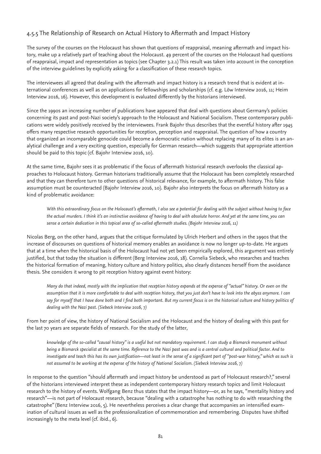## 4.5.5 The Relationship of Research on Actual History to Aftermath and Impact History

The survey of the courses on the Holocaust has shown that questions of reappraisal, meaning aftermath and impact history, make up a relatively part of teaching about the Holocaust. 49 percent of the courses on the Holocaust had questions of reappraisal, impact and representation as topics (see Chapter 3.2.1) This result was taken into account in the conception of the interview guidelines by explicitly asking for a classification of these research topics.

The interviewees all agreed that dealing with the aftermath and impact history is a research trend that is evident at international conferences as well as on applications for fellowships and scholarships (cf. e.g. Löw Interview 2016, 11; Heim Interview 2016, 16). However, this development is evaluated differently by the historians interviewed.

Since the 1990s an increasing number of publications have appeared that deal with questions about Germany's policies concerning its past and post-Nazi society's approach to the Holocaust and National Socialism. These contemporary publications were widely positively received by the interviewees. Frank Bajohr thus describes that the eventful history after 1945 offers many respective research opportunities for reception, perception and reappraisal. The question of how a country that organized an incomparable genocide could become a democratic nation without replacing many of its elites is an analytical challenge and a very exciting question, especially for German research—which suggests that appropriate attention should be paid to this topic (cf. Bajohr Interview 2016, 10).

At the same time, Bajohr sees it as problematic if the focus of aftermath historical research overlooks the classical approaches to Holocaust history. German historians traditionally assume that the Holocaust has been completely researched and that they can therefore turn to other questions of historical relevance, for example, to aftermath history. This false assumption must be counteracted (Bajohr Interview 2016, 10). Bajohr also interprets the focus on aftermath history as a kind of problematic avoidance:

*With this extraordinary focus on the Holocaust's aftermath, I also see a potential for dealing with the subject without having to face the actual murders. I think it's an instinctive avoidance of having to deal with absolute horror. And yet at the same time, you can sense a certain dedication in this topical area of so-called aftermath studies. (Bajohr Interview 2016, 11)*

Nicolas Berg, on the other hand, argues that the critique formulated by Ulrich Herbert and others in the 1990s that the increase of discourses on questions of historical memory enables an avoidance is now no longer up-to-date. He argues that at a time when the historical basis of the Holocaust had not yet been empirically explored, this argument was entirely justified, but that today the situation is different (Berg Interview 2016, 18). Cornelia Siebeck, who researches and teaches the historical formation of meaning, history culture and history politics, also clearly distances herself from the avoidance thesis. She considers it wrong to pit reception history against event history:

*Many do that indeed, mostly with the implication that reception history expands at the expense of "actual" history. Or even on the assumption that it is more comfortable to deal with reception history, that you just don't have to look into the abyss anymore. I can say for myself that I have done both and I find both important. But my current focus is on the historical culture and history politics of dealing with the Nazi past. (Siebeck Interview 2016, 7)* 

From her point of view, the history of National Socialism and the Holocaust and the history of dealing with this past for the last 70 years are separate fields of research. For the study of the latter,

*knowledge of the so-called "causal history" is a useful but not mandatory requirement. I can study a Bismarck monument without being a Bismarck specialist at the same time. Reference to the Nazi past was and is a central cultural and political factor. And to investigate and teach this has its own justification—not least in the sense of a significant part of "post-war history," which as such is not assumed to be working at the expense of the history of National Socialism. (Siebeck Interview 2016, 7)*

In response to the question "should aftermath and impact history be understood as part of Holocaust research?," several of the historians interviewed interpret these as independent contemporary history research topics and limit Holocaust research to the history of events. Wolfgang Benz thus states that the impact history—or, as he says, "mentality history and research"—is not part of Holocaust research, because "dealing with a catastrophe has nothing to do with researching the catastrophe" (Benz Interview 2016, 5). He nevertheless perceives a clear change that accompanies an intensified examination of cultural issues as well as the professionalization of commemoration and remembering. Disputes have shifted increasingly to the meta level (cf. ibid., 6).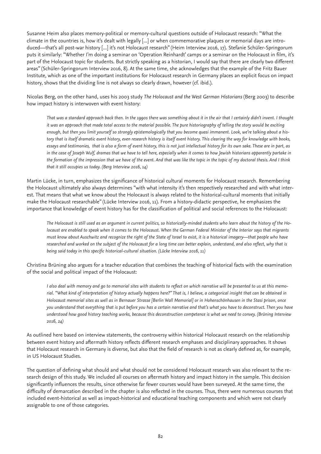Susanne Heim also places memory-political or memory-cultural questions outside of Holocaust research: "What the climate in the countries is, how it's dealt with legally [...] or when commemorative plaques or memorial days are introduced—that's all post-war history [...] it's not Holocaust research" (Heim Interview 2016, 17). Stefanie Schüler-Springorum puts it similarly: "Whether I'm doing a seminar on 'Operation Reinhardt' camps or a seminar on the Holocaust in film, it's part of the Holocaust topic for students. But strictly speaking as a historian, I would say that there are clearly two different areas" (Schüler-Springorum Interview 2016, 8). At the same time, she acknowledges that the example of the Fritz Bauer Institute, which as one of the important institutions for Holocaust research in Germany places an explicit focus on impact history, shows that the dividing line is not always so clearly drawn, however (cf. ibid.).

Nicolas Berg, on the other hand, uses his 2003 study *The Holocaust and the West German Historians* (Berg 2003) to describe how impact history is interwoven with event history:

*That was a standard approach back then. In the 1990s there was something about it in the air that I certainly didn't invent. I thought it was an approach that made total access to the material possible. The pure historiography of telling the story would be exciting enough, but then you limit yourself so strongly epistemologically that you become quasi immanent. Look, we're talking about a history that is itself dramatic event history, even research history is itself event history. This clearing the way for knowledge with books, essays and testimonies, that is also a form of event history, this is not just intellectual history for its own sake. These are in part, as in the case of Joseph Wulf, dramas that we have to tell here, especially when it comes to how Jewish historians apparently partake in the formation of the impression that we have of the event. And that was like the topic in the topic of my doctoral thesis. And I think that it still occupies us today. (Berg Interview 2016, 14)*

Martin Lücke, in turn, emphasizes the significance of historical cultural moments for Holocaust research. Remembering the Holocaust ultimately also always determines "with what intensity it's then respectively researched and with what interest. That means that what we know about the Holocaust is always related to the historical-cultural moments that initially make the Holocaust researchable" (Lücke Interview 2016, 11). From a history-didactic perspective, he emphasizes the importance that knowledge of event history has for the classification of political and social references to the Holocaust:

*The Holocaust is still used as an argument in current politics, so historically-minded students who learn about the history of the Holocaust are enabled to speak when it comes to the Holocaust. When the German Federal Minister of the Interior says that migrants must know about Auschwitz and recognize the right of the State of Israel to exist, it is a historical imagery—that people who have researched and worked on the subject of the Holocaust for a long time can better explain, understand, and also reflect, why that is being said today in this specific historical-cultural situation. (Lücke Interview 2016, 11)* 

Christina Brüning also argues for a teacher education that combines the teaching of historical facts with the examination of the social and political impact of the Holocaust:

*I also deal with memory and go to memorial sites with students to reflect on which narrative will be presented to us at this memorial. "What kind of interpretation of history actually happens here?" That is, I believe, a categorical insight that can be obtained in Holocaust memorial sites as well as in Bernauer Strasse [Berlin Wall Memorial] or in Hohenschönhausen in the Stasi prison, once you understand that everything that is put before you has a certain narrative and that's what you have to deconstruct. Then you have understood how good history teaching works, because this deconstruction competence is what we need to convey. (Brüning Interview 2016, 24)*

As outlined here based on interview statements, the controversy within historical Holocaust research on the relationship between event history and aftermath history reflects different research emphases and disciplinary approaches. It shows that Holocaust research in Germany is diverse, but also that the field of research is not as clearly defined as, for example, in US Holocaust Studies.

The question of defining what should and what should not be considered Holocaust research was also relevant to the research design of this study. We included all courses on aftermath history and impact history in the sample. This decision significantly influences the results, since otherwise far fewer courses would have been surveyed. At the same time, the difficulty of demarcation described in the chapter is also reflected in the courses. Thus, there were numerous courses that included event-historical as well as impact-historical and educational teaching components and which were not clearly assignable to one of those categories.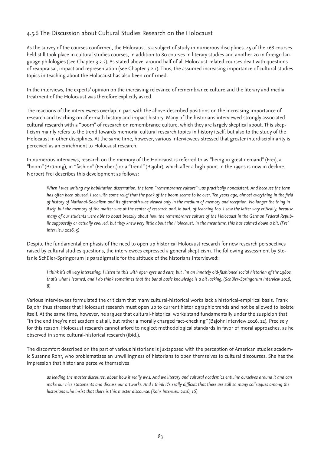## 4.5.6 The Discussion about Cultural Studies Research on the Holocaust

As the survey of the courses confirmed, the Holocaust is a subject of study in numerous disciplines. 45 of the 468 courses held still took place in cultural studies courses, in addition to 80 courses in literary studies and another 20 in foreign language philologies (see Chapter 3.2.2). As stated above, around half of all Holocaust-related courses dealt with questions of reappraisal, impact and representation (see Chapter 3.2.1). Thus, the assumed increasing importance of cultural studies topics in teaching about the Holocaust has also been confirmed.

In the interviews, the experts' opinion on the increasing relevance of remembrance culture and the literary and media treatment of the Holocaust was therefore explicitly asked.

The reactions of the interviewees overlap in part with the above-described positions on the increasing importance of research and teaching on aftermath history and impact history. Many of the historians interviewed strongly associated cultural research with a "boom" of research on remembrance culture, which they are largely skeptical about. This skepticism mainly refers to the trend towards memorial cultural research topics in history itself, but also to the study of the Holocaust in other disciplines. At the same time, however, various interviewees stressed that greater interdisciplinarity is perceived as an enrichment to Holocaust research.

In numerous interviews, research on the memory of the Holocaust is referred to as "being in great demand" (Frei), a "boom" (Brüning), in "fashion" (Feuchert) or a "trend" (Bajohr), which after a high point in the 1990s is now in decline. Norbert Frei describes this development as follows:

*When I was writing my habilitation dissertation, the term "remembrance culture" was practically nonexistent. And because the term has often been abused, I see with some relief that the peak of the boom seems to be over. Ten years ago, almost everything in the field of history of National-Socialism and its aftermath was viewed only in the medium of memory and reception. No longer the thing in itself, but the memory of the matter was at the center of research and, in part, of teaching too. I saw the latter very critically, because many of our students were able to boast breezily about how the remembrance culture of the Holocaust in the German Federal Republic supposedly or actually evolved, but they knew very little about the Holocaust. In the meantime, this has calmed down a bit. (Frei Interview 2016, 5)*

Despite the fundamental emphasis of the need to open up historical Holocaust research for new research perspectives raised by cultural studies questions, the interviewees expressed a general skepticism. The following assessment by Stefanie Schüler-Springorum is paradigmatic for the attitude of the historians interviewed:

*I think it's all very interesting. I listen to this with open eyes and ears, but I'm an innately old-fashioned social historian of the 1980s, that's what I learned, and I do think sometimes that the banal basic knowledge is a bit lacking. (Schüler-Springorum Interview 2016, 8)* 

Various interviewees formulated the criticism that many cultural-historical works lack a historical-empirical basis. Frank Bajohr thus stresses that Holocaust research must open up to current historiographic trends and not be allowed to isolate itself. At the same time, however, he argues that cultural-historical works stand fundamentally under the suspicion that "in the end they're not academic at all, but rather a morally charged fact-checking" (Bajohr Interview 2016, 12). Precisely for this reason, Holocaust research cannot afford to neglect methodological standards in favor of moral approaches, as he observed in some cultural-historical research (ibid.).

The discomfort described on the part of various historians is juxtaposed with the perception of American studies academic Susanne Rohr, who problematizes an unwillingness of historians to open themselves to cultural discourses. She has the impression that historians perceive themselves

*as leading the master discourse, about how it really was. And we literary and cultural academics entwine ourselves around it and can make our nice statements and discuss our artworks. And I think it's really difficult that there are still so many colleagues among the historians who insist that there is this master discourse. (Rohr Interview 2016, 16)*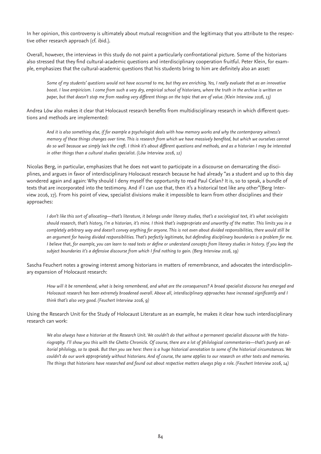In her opinion, this controversy is ultimately about mutual recognition and the legitimacy that you attribute to the respective other research approach (cf. ibid.).

Overall, however, the interviews in this study do not paint a particularly confrontational picture. Some of the historians also stressed that they find cultural-academic questions and interdisciplinary cooperation fruitful. Peter Klein, for example, emphasizes that the cultural-academic questions that his students bring to him are definitely also an asset:

*Some of my students' questions would not have occurred to me, but they are enriching. Yes, I really evaluate that as an innovative boost. I love empiricism. I come from such a very dry, empirical school of historians, where the truth in the archive is written on paper, but that doesn't stop me from reading very different things on the topic that are of value. (Klein Interview 2016, 13)* 

Andrea Löw also makes it clear that Holocaust research benefits from multidisciplinary research in which different questions and methods are implemented:

*And it is also something else, if for example a psychologist deals with how memory works and why the contemporary witness's memory of these things changes over time. This is research from which we have massively benefited, but which we ourselves cannot do so well because we simply lack the craft. I think it's about different questions and methods, and as a historian I may be interested in other things than a cultural studies specialist. (Löw Interview 2016, 12)* 

Nicolas Berg, in particular, emphasizes that he does not want to participate in a discourse on demarcating the disciplines, and argues in favor of interdisciplinary Holocaust research because he had already "as a student and up to this day wondered again and again: Why should I deny myself the opportunity to read Paul Celan? It is, so to speak, a bundle of texts that are incorporated into the testimony. And if I can use that, then it's a historical text like any other"(Berg Interview 2016, 17). From his point of view, specialist divisions make it impossible to learn from other disciplines and their approaches:

*I don't like this sort of allocating—that's literature, it belongs under literary studies, that's a sociological text, it's what sociologists should research, that's history, I'm a historian, it's mine. I think that's inappropriate and unworthy of the matter. This limits you in a completely arbitrary way and doesn't convey anything for anyone. This is not even about divided responsibilities, there would still be an argument for having divided responsibilities. That's perfectly legitimate, but defending disciplinary boundaries is a problem for me. I believe that, for example, you can learn to read texts or define or understand concepts from literary studies in history. If you keep the subject boundaries it's a defensive discourse from which I find nothing to gain. (Berg Interview 2016, 19)* 

Sascha Feuchert notes a growing interest among historians in matters of remembrance, and advocates the interdisciplinary expansion of Holocaust research:

*How will it be remembered, what is being remembered, and what are the consequences? A broad specialist discourse has emerged and Holocaust research has been extremely broadened overall. Above all, interdisciplinary approaches have increased significantly and I think that's also very good. (Feuchert Interview 2016, 9)* 

Using the Research Unit for the Study of Holocaust Literature as an example, he makes it clear how such interdisciplinary research can work:

*We also always have a historian at the Research Unit. We couldn't do that without a permanent specialist discourse with the historiography. I'll show you this with the Ghetto Chronicle. Of course, there are a lot of philological commentaries—that's purely an editorial philology, so to speak. But then you see here: there is a huge historical annotation to some of the historical circumstances. We couldn't do our work appropriately without historians. And of course, the same applies to our research on other texts and memories. The things that historians have researched and found out about respective matters always play a role. (Feuchert Interview 2016, 14)*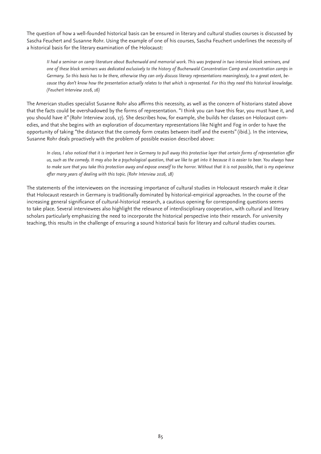The question of how a well-founded historical basis can be ensured in literary and cultural studies courses is discussed by Sascha Feuchert and Susanne Rohr. Using the example of one of his courses, Sascha Feuchert underlines the necessity of a historical basis for the literary examination of the Holocaust:

*II had a seminar on camp literature about Buchenwald and memorial work. This was prepared in two intensive block seminars, and one of these block seminars was dedicated exclusively to the history of Buchenwald Concentration Camp and concentration camps in Germany. So this basis has to be there, otherwise they can only discuss literary representations meaninglessly, to a great extent, because they don't know how the presentation actually relates to that which is represented. For this they need this historical knowledge. (Feuchert Interview 2016, 16)* 

The American studies specialist Susanne Rohr also affirms this necessity, as well as the concern of historians stated above that the facts could be overshadowed by the forms of representation. "I think you can have this fear, you must have it, and you should have it" (Rohr Interview 2016, 17). She describes how, for example, she builds her classes on Holocaust comedies, and that she begins with an exploration of documentary representations like Night and Fog in order to have the opportunity of taking "the distance that the comedy form creates between itself and the events" (ibid.). In the interview, Susanne Rohr deals proactively with the problem of possible evasion described above:

*In class, I also noticed that it is important here in Germany to pull away this protective layer that certain forms of representation offer us, such as the comedy. It may also be a psychological question, that we like to get into it because it is easier to bear. You always have to make sure that you take this protection away and expose oneself to the horror. Without that it is not possible, that is my experience after many years of dealing with this topic. (Rohr Interview 2016, 18)* 

The statements of the interviewees on the increasing importance of cultural studies in Holocaust research make it clear that Holocaust research in Germany is traditionally dominated by historical-empirical approaches. In the course of the increasing general significance of cultural-historical research, a cautious opening for corresponding questions seems to take place. Several interviewees also highlight the relevance of interdisciplinary cooperation, with cultural and literary scholars particularly emphasizing the need to incorporate the historical perspective into their research. For university teaching, this results in the challenge of ensuring a sound historical basis for literary and cultural studies courses.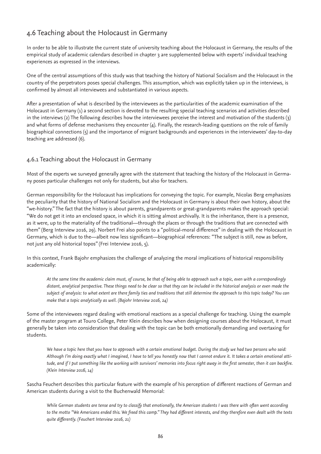## 4.6 Teaching about the Holocaust in Germany

In order to be able to illustrate the current state of university teaching about the Holocaust in Germany, the results of the empirical study of academic calendars described in chapter 3 are supplemented below with experts' individual teaching experiences as expressed in the interviews.

One of the central assumptions of this study was that teaching the history of National Socialism and the Holocaust in the country of the perpetrators poses special challenges. This assumption, which was explicitly taken up in the interviews, is confirmed by almost all interviewees and substantiated in various aspects.

After a presentation of what is described by the interviewees as the particularities of the academic examination of the Holocaust in Germany (1) a second section is devoted to the resulting special teaching scenarios and activities described in the interviews (2) The following describes how the interviewees perceive the interest and motivation of the students (3) and what forms of defense mechanisms they encounter (4). Finally, the research-leading questions on the role of family biographical connections (5) and the importance of migrant backgrounds and experiences in the interviewees' day-to-day teaching are addressed (6).

## 4.6.1 Teaching about the Holocaust in Germany

Most of the experts we surveyed generally agree with the statement that teaching the history of the Holocaust in Germany poses particular challenges not only for students, but also for teachers.

German responsibility for the Holocaust has implications for conveying the topic. For example, Nicolas Berg emphasizes the peculiarity that the history of National Socialism and the Holocaust in Germany is about their own history, about the "we-history." The fact that the history is about parents, grandparents or great-grandparents makes the approach special: "We do not get it into an enclosed space, in which it is sitting almost archivally. It is the inheritance, there is a presence, as it were, up to the materiality of the traditional—through the places or through the traditions that are connected with them" (Berg Interview 2016, 29). Norbert Frei also points to a "political-moral difference" in dealing with the Holocaust in Germany, which is due to the—albeit now less significant—biographical references: "The subject is still, now as before, not just any old historical topos" (Frei Interview 2016, 5).

In this context, Frank Bajohr emphasizes the challenge of analyzing the moral implications of historical responsibility academically:

*At the same time the academic claim must, of course, be that of being able to approach such a topic, even with a correspondingly distant, analytical perspective. These things need to be clear so that they can be included in the historical analysis or even made the subject of analysis: to what extent are there family ties and traditions that still determine the approach to this topic today? You can make that a topic analytically as well. (Bajohr Interview 2016, 24)*

Some of the interviewees regard dealing with emotional reactions as a special challenge for teaching. Using the example of the master program at Touro College, Peter Klein describes how when designing courses about the Holocaust, it must generally be taken into consideration that dealing with the topic can be both emotionally demanding and overtaxing for students.

*We have a topic here that you have to approach with a certain emotional budget. During the study we had two persons who said: Although I'm doing exactly what I imagined, I have to tell you honestly now that I cannot endure it. It takes a certain emotional attitude, and if I put something like the working with survivors' memories into focus right away in the first semester, then it can backfire. (Klein Interview 2016, 14)* 

Sascha Feuchert describes this particular feature with the example of his perception of different reactions of German and American students during a visit to the Buchenwald Memorial:

*While German students are tense and try to classify that emotionally, the American students I was there with often went according to the motto "We Americans ended this. We freed this camp." They had different interests, and they therefore even dealt with the texts quite differently. (Feuchert Interview 2016, 21)*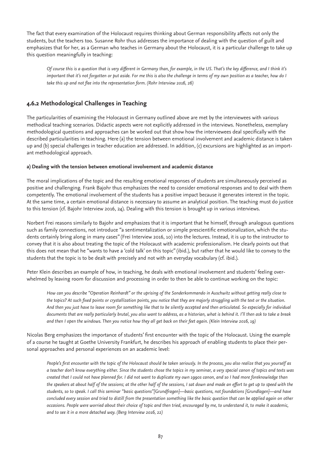The fact that every examination of the Holocaust requires thinking about German responsibility affects not only the students, but the teachers too. Susanne Rohr thus addresses the importance of dealing with the question of guilt and emphasizes that for her, as a German who teaches in Germany about the Holocaust, it is a particular challenge to take up this question meaningfully in teaching:

*Of course this is a question that is very different in Germany than, for example, in the US. That's the key difference, and I think it's important that it's not forgotten or put aside. For me this is also the challenge in terms of my own position as a teacher, how do I* take this up and not flee into the representation form. (Rohr Interview 2016, 26)

## **4.6.2 Methodological Challenges in Teaching**

The particularities of examining the Holocaust in Germany outlined above are met by the interviewees with various methodical teaching scenarios. Didactic aspects were not explicitly addressed in the interviews. Nonetheless, exemplary methodological questions and approaches can be worked out that show how the interviewees deal specifically with the described particularities in teaching. Here (a) the tension between emotional involvement and academic distance is taken up and (b) special challenges in teacher education are addressed. In addition, (c) excursions are highlighted as an important methodological approach.

### **a) Dealing with the tension between emotional involvement and academic distance**

The moral implications of the topic and the resulting emotional responses of students are simultaneously perceived as positive and challenging. Frank Bajohr thus emphasizes the need to consider emotional responses and to deal with them competently. The emotional involvement of the students has a positive impact because it generates interest in the topic. At the same time, a certain emotional distance is necessary to assume an analytical position. The teaching must do justice to this tension (cf. Bajohr Interview 2016, 24). Dealing with this tension is brought up in various interviews.

Norbert Frei reasons similarly to Bajohr and emphasizes that it is important that he himself, through analogous questions such as family connections, not introduce "a sentimentalization or simple prescientific emotionalization, which the students certainly bring along in many cases" (Frei Interview 2016, 10) into the lectures. Instead, it is up to the instructor to convey that it is also about treating the topic of the Holocaust with academic professionalism. He clearly points out that this does not mean that he "wants to have a 'cold talk' on this topic" (ibid.), but rather that he would like to convey to the students that the topic is to be dealt with precisely and not with an everyday vocabulary (cf. ibid.).

Peter Klein describes an example of how, in teaching, he deals with emotional involvement and students' feeling overwhelmed by leaving room for discussion and processing in order to then be able to continue working on the topic:

*How can you describe "Operation Reinhardt" or the uprising of the Sonderkommando in Auschwitz without getting really close to the topics? At such fixed points or crystallization points, you notice that they are majorly struggling with the text or the situation. And then you just have to leave room for something like that to be silently accepted and then articulated. So especially for individual documents that are really particularly brutal, you also want to address, as a historian, what is behind it. I'll then ask to take a break and then I open the windows. Then you notice how they all get back on their feet again. (Klein Interview 2016, 19)* 

Nicolas Berg emphasizes the importance of students' first encounter with the topic of the Holocaust. Using the example of a course he taught at Goethe University Frankfurt, he describes his approach of enabling students to place their personal approaches and personal experiences on an academic level:

*People's first encounter with the topic of the Holocaust should be taken seriously. In the process, you also realize that you yourself as a teacher don't know everything either. Since the students chose the topics in my seminar, a very special canon of topics and texts was created that I could not have planned for. I did not want to duplicate my own 1990s canon, and so I had more foreknowledge than the speakers at about half of the sessions; at the other half of the sessions, I sat down and made an effort to get up to speed with the students, so to speak. I call this seminar "basic questions"[Grundfragen]—basic questions, not foundations [Grundlagen]—and have concluded every session and tried to distill from the presentation something like the basic question that can be applied again on other occasions. People were worried about their choice of topic and then tried, encouraged by me, to understand it, to make it academic, and to see it in a more detached way. (Berg Interview 2016, 22)*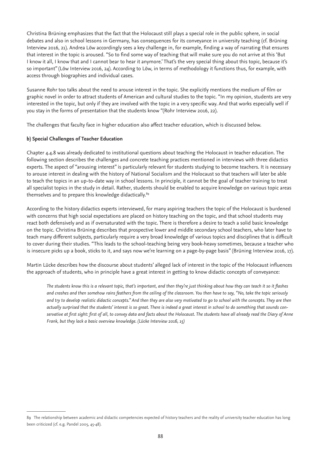Christina Brüning emphasizes that the fact that the Holocaust still plays a special role in the public sphere, in social debates and also in school lessons in Germany, has consequences for its conveyance in university teaching (cf. Brüning Interview 2016, 21). Andrea Löw accordingly sees a key challenge in, for example, finding a way of narrating that ensures that interest in the topic is aroused. "So to find some way of teaching that will make sure you do not arrive at this 'But I know it all, I know that and I cannot bear to hear it anymore.' That's the very special thing about this topic, because it's so important" (Löw Interview 2016, 24). According to Löw, in terms of methodology it functions thus, for example, with access through biographies and individual cases.

Susanne Rohr too talks about the need to arouse interest in the topic. She explicitly mentions the medium of film or graphic novel in order to attract students of American and cultural studies to the topic. "In my opinion, students are very interested in the topic, but only if they are involved with the topic in a very specific way. And that works especially well if you stay in the forms of presentation that the students know "(Rohr Interview 2016, 22).

The challenges that faculty face in higher education also affect teacher education, which is discussed below.

#### **b) Special Challenges of Teacher Education**

Chapter 4.4.8 was already dedicated to institutional questions about teaching the Holocaust in teacher education. The following section describes the challenges and concrete teaching practices mentioned in interviews with three didactics experts. The aspect of "arousing interest" is particularly relevant for students studying to become teachers. It is necessary to arouse interest in dealing with the history of National Socialism and the Holocaust so that teachers will later be able to teach the topics in an up-to-date way in school lessons. In principle, it cannot be the goal of teacher training to treat all specialist topics in the study in detail. Rather, students should be enabled to acquire knowledge on various topic areas themselves and to prepare this knowledge didactically.<sup>89</sup>

According to the history didactics experts interviewed, for many aspiring teachers the topic of the Holocaust is burdened with concerns that high social expectations are placed on history teaching on the topic, and that school students may react both defensively and as if oversaturated with the topic. There is therefore a desire to teach a solid basic knowledge on the topic. Christina Brüning describes that prospective lower and middle secondary school teachers, who later have to teach many different subjects, particularly require a very broad knowledge of various topics and disciplines that is difficult to cover during their studies. "This leads to the school-teaching being very book-heavy sometimes, because a teacher who is insecure picks up a book, sticks to it, and says now we're learning on a page-by-page basis" (Brüning Interview 2016, 17).

Martin Lücke describes how the discourse about students' alleged lack of interest in the topic of the Holocaust influences the approach of students, who in principle have a great interest in getting to know didactic concepts of conveyance:

*The students know this is a relevant topic, that's important, and then they're just thinking about how they can teach it so it flashes and crashes and then somehow rains feathers from the ceiling of the classroom. You then have to say, "No, take the topic seriously and try to develop realistic didactic concepts." And then they are also very motivated to go to school with the concepts. They are then actually surprised that the students' interest is so great. There is indeed a great interest in school to do something that sounds conservative at first sight: first of all, to convey data and facts about the Holocaust. The students have all already read the Diary of Anne Frank, but they lack a basic overview knowledge. (Lücke Interview 2016, 15)*

<sup>89</sup> The relationship between academic and didactic competencies expected of history teachers and the reality of university teacher education has long been criticized (cf. e.g. Pandel 2005, 45-48).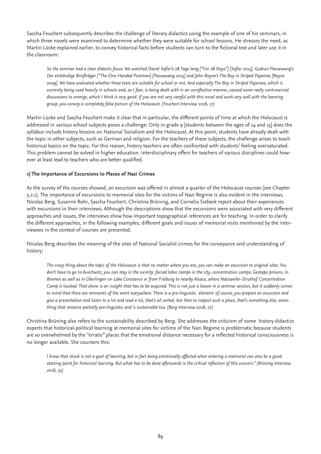Sascha Feuchert subsequently describes the challenge of literary didactics using the example of one of his seminars, in which three novels were examined to determine whether they were suitable for school lessons. He stresses the need, as Martin Lücke explained earlier, to convey historical facts before students can turn to the fictional text and later use it in the classroom:

*So the seminar had a clear didactic focus. We watched David Safier's 28 Tage lang ["For 28 Days"] [Safier 2015], Gudrun Pausewang's Der einhändige Briefträger ["The One-Handed Postman] [Pausewang 2015] and John Boyne's The Boy in Striped Pajamas [Boyne 2009]. We have evaluated whether these texts are suitable for school or not. And especially The Boy in Striped Pajamas, which is currently being used heavily in schools and, as I fear, is being dealt with in an unreflective manner, caused some really controversial discussions to emerge, which I think is very good. If you are not very careful with this novel and work very well with the learning group, you convey a completely false picture of the Holocaust. (Feuchert Interview 2016, 17)*

Martin Lücke and Sascha Feuchert make it clear that in particular, the different points of time at which the Holocaust is addressed in various school subjects poses a challenge: Only in grade 9 [students between the ages of 14 and 15] does the syllabus include history lessons on National Socialism and the Holocaust. At this point, students have already dealt with the topic in other subjects, such as German and religion. For the teachers of these subjects, the challenge arises to teach historical basics on the topic. For this reason, history teachers are often confronted with students' feeling oversaturated. This problem cannot be solved in higher education. Interdisciplinary offers for teachers of various disciplines could however at least lead to teachers who are better qualified.

### **c) The Importance of Excursions to Places of Nazi Crimes**

As the survey of the courses showed, an excursion was offered in almost a quarter of the Holocaust courses (see Chapter 3.2.1). The importance of excursions to memorial sites for the victims of Nazi Regime is also evident in the interviews. Nicolas Berg, Susanne Rohr, Sascha Feuchert, Christina Brüning, and Cornelia Siebeck report about their experiences with excursions in their interviews. Although the descriptions show that the excursions were associated with very different approaches and issues, the interviews show how important topographical references are for teaching. In order to clarify the different approaches, in the following examples, different goals and issues of memorial visits mentioned by the interviewees in the context of courses are presented.

Nicolas Berg describes the meaning of the sites of National Socialist crimes for the conveyance and understanding of history:

*The crazy thing about the topic of the Holocaust is that no matter where you are, you can make an excursion to original sites. You don't have to go to Auschwitz, you can stay in the vicinity: forced labor camps in the city, concentration camps, Gestapo prisons. In Bremen as well as in Überlingen on Lake Constance or from Freiburg to nearby Alsace, where Natzweiler-Struthof Concentration Camp is located. That alone is an insight that has to be acquired. This is not just a lesson in a seminar session, but it suddenly comes to mind that there are remnants of the event everywhere. There is a pre-linguistic element: of course, you prepare an excursion and give a presentation and listen to a lot and read a lot, that's all verbal, but then to inspect such a place, that's something else, something that remains partially pre-linguistic and is sustainable too. (Berg Interview 2016, 27)* 

Christina Brüning also refers to the sustainability described by Berg. She addresses the criticism of some history didactics experts that historical-political learning at memorial sites for victims of the Nazi Regime is problematic because students are so overwhelmed by the "erratic" places that the emotional distance necessary for a reflected historical consciousness is no longer available. She counters this:

*I know that shock is not a goal of learning, but in fact being emotionally affected when entering a memorial can also be a good starting point for historical learning. But what has to be done afterwards is the critical reflection of this concern." (Brüning Interview 2016, 25)*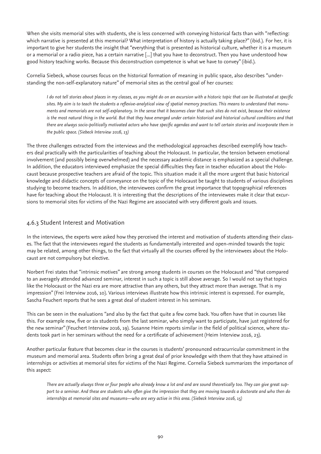When she visits memorial sites with students, she is less concerned with conveying historical facts than with "reflecting: which narrative is presented at this memorial? What interpretation of history is actually taking place?" (ibid.). For her, it is important to give her students the insight that "everything that is presented as historical culture, whether it is a museum or a memorial or a radio piece, has a certain narrative [...] that you have to deconstruct. Then you have understood how good history teaching works. Because this deconstruction competence is what we have to convey" (ibid.).

Cornelia Siebeck, whose courses focus on the historical formation of meaning in public space, also describes "understanding the non-self-explanatory nature" of memorial sites as the central goal of her courses:

*I do not tell stories about places in my classes, as you might do on an excursion with a historic topic that can be illustrated at specific sites. My aim is to teach the students a reflexive-analytical view of spatial memory practices. This means to understand that monuments and memorials are not self-explanatory. In the sense that it becomes clear that such sites do not exist, because their existence*  is the most natural thing in the world. But that they have emerged under certain historical and historical cultural conditions and that *there are always socio-politically motivated actors who have specific agendas and want to tell certain stories and incorporate them in the public space. (Siebeck Interview 2016, 13)* 

The three challenges extracted from the interviews and the methodological approaches described exemplify how teachers deal practically with the particularities of teaching about the Holocaust. In particular, the tension between emotional involvement (and possibly being overwhelmed) and the necessary academic distance is emphasized as a special challenge. In addition, the educators interviewed emphasize the special difficulties they face in teacher education about the Holocaust because prospective teachers are afraid of the topic. This situation made it all the more urgent that basic historical knowledge and didactic concepts of conveyance on the topic of the Holocaust be taught to students of various disciplines studying to become teachers. In addition, the interviewees confirm the great importance that topographical references have for teaching about the Holocaust. It is interesting that the descriptions of the interviewees make it clear that excursions to memorial sites for victims of the Nazi Regime are associated with very different goals and issues.

## 4.6.3 Student Interest and Motivation

In the interviews, the experts were asked how they perceived the interest and motivation of students attending their classes. The fact that the interviewees regard the students as fundamentally interested and open-minded towards the topic may be related, among other things, to the fact that virtually all the courses offered by the interviewees about the Holocaust are not compulsory but elective.

Norbert Frei states that "intrinsic motives" are strong among students in courses on the Holocaust and "that compared to an averagely attended advanced seminar, interest in such a topic is still above average. So I would not say that topics like the Holocaust or the Nazi era are more attractive than any others, but they attract more than average. That is my impression" (Frei Interview 2016, 10). Various interviews illustrate how this intrinsic interest is expressed. For example, Sascha Feuchert reports that he sees a great deal of student interest in his seminars.

This can be seen in the evaluations "and also by the fact that quite a few come back. You often have that in courses like this. For example now, five or six students from the last seminar, who simply want to participate, have just registered for the new seminar" (Feuchert Interview 2016, 19). Susanne Heim reports similar in the field of political science, where students took part in her seminars without the need for a certificate of achievement (Heim Interview 2016, 23).

Another particular feature that becomes clear in the courses is students' pronounced extracurricular commitment in the museum and memorial area. Students often bring a great deal of prior knowledge with them that they have attained in internships or activities at memorial sites for victims of the Nazi Regime. Cornelia Siebeck summarizes the importance of this aspect:

*There are actually always three or four people who already know a lot and and are sound theoretically too. They can give great support to a seminar. And these are students who often give the impression that they are moving towards a doctorate and who then do internships at memorial sites and museums—who are very active in this area. (Siebeck Interview 2016, 15)*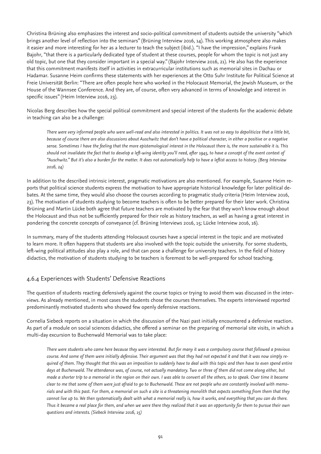Christina Brüning also emphasizes the interest and socio-political commitment of students outside the university "which brings another level of reflection into the seminars" (Brüning Interview 2016, 14). This working atmosphere also makes it easier and more interesting for her as a lecturer to teach the subject (ibid.). "I have the impression," explains Frank Bajohr, "that there is a particularly dedicated type of student at these courses, people for whom the topic is not just any old topic, but one that they consider important in a special way." (Bajohr Interview 2016, 21). He also has the experience that this commitment manifests itself in activities in extracurricular institutions such as memorial sites in Dachau or Hadamar. Susanne Heim confirms these statements with her experiences at the Otto Suhr Institute for Political Science at Freie Universität Berlin: "There are often people here who worked in the Holocaust Memorial, the Jewish Museum, or the House of the Wannsee Conference. And they are, of course, often very advanced in terms of knowledge and interest in specific issues" (Heim Interview 2016, 23).

Nicolas Berg describes how the special political commitment and special interest of the students for the academic debate in teaching can also be a challenge:

*There were very informed people who were well-read and also interested in politics. It was not so easy to depoliticize that a little bit, because of course there are also discussions about Auschwitz that don't have a political character, in either a positive or a negative sense. Sometimes I have the feeling that the more epistemological interest in the Holocaust there is, the more sustainable it is. This should not invalidate the fact that to develop a left-wing identity you'll need, after 1945, to have a concept of the event context of "Auschwitz." But it's also a burden for the matter. It does not automatically help to have a leftist access to history. (Berg Interview 2016, 24)* 

In addition to the described intrinsic interest, pragmatic motivations are also mentioned. For example, Susanne Heim reports that political science students express the motivation to have appropriate historical knowledge for later political debates. At the same time, they would also choose the courses according to pragmatic study criteria (Heim Interview 2016, 23). The motivation of students studying to become teachers is often to be better prepared for their later work. Christina Brüning and Martin Lücke both agree that future teachers are motivated by the fear that they won't know enough about the Holocaust and thus not be sufficiently prepared for their role as history teachers, as well as having a great interest in pondering the concrete concepts of conveyance (cf. Brüning Interviews 2016, 15; Lücke Interview 2016, 16).

In summary, many of the students attending Holocaust courses have a special interest in the topic and are motivated to learn more. It often happens that students are also involved with the topic outside the university. For some students, left-wing political attitudes also play a role, and that can pose a challenge for university teachers. In the field of history didactics, the motivation of students studying to be teachers is foremost to be well-prepared for school teaching.

## 4.6.4 Experiences with Students' Defensive Reactions

The question of students reacting defensively against the course topics or trying to avoid them was discussed in the interviews. As already mentioned, in most cases the students chose the courses themselves. The experts interviewed reported predominantly motivated students who showed few openly defensive reactions.

Cornelia Siebeck reports on a situation in which the discussion of the Nazi past initially encountered a defensive reaction. As part of a module on social sciences didactics, she offered a seminar on the preparing of memorial site visits, in which a multi-day excursion to Buchenwald Memorial was to take place:

*There were students who came here because they were interested. But for many it was a compulsory course that followed a previous course. And some of them were initially defensive. Their argument was that they had not expected it and that it was now simply required of them. They thought that this was an imposition to suddenly have to deal with this topic and then have to even spend entire days at Buchenwald. The attendance was, of course, not actually mandatory. Two or three of them did not come along either, but made a shorter trip to a memorial in the region on their own. I was able to convert all the others, so to speak. Over time it became clear to me that some of them were just afraid to go to Buchenwald. These are not people who are constantly involved with memorials and with this past. For them, a memorial on such a site is a threatening monolith that expects something from them that they cannot live up to. We then systematically dealt with what a memorial really is, how it works, and everything that you can do there. Thus it became a real place for them, and when we were there they realized that it was an opportunity for them to pursue their own questions and interests. (Siebeck Interview 2016, 15)*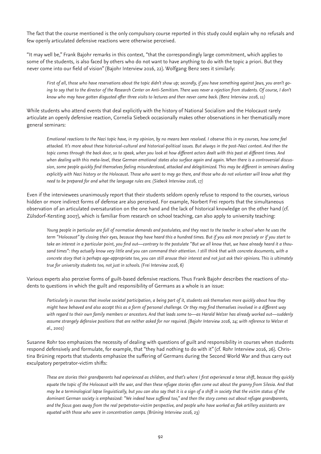The fact that the course mentioned is the only compulsory course reported in this study could explain why no refusals and few openly articulated defensive reactions were otherwise perceived.

"It may well be," Frank Bajohr remarks in this context, "that the correspondingly large commitment, which applies to some of the students, is also faced by others who do not want to have anything to do with the topic a priori. But they never come into our field of vision" (Bajohr Interview 2016, 22). Wolfgang Benz sees it similarly:

*First of all, those who have reservations about the topic didn't show up; secondly, if you have something against Jews, you aren't go*ing to say that to the director of the Research Center on Anti-Semitism. There was never a rejection from students. Of course, I don't *know who may have gotten disgusted after three visits to lectures and then never came back. (Benz Interview 2016, 11)* 

While students who attend events that deal explicitly with the history of National Socialism and the Holocaust rarely articulate an openly defensive reaction, Cornelia Siebeck occasionally makes other observations in her thematically more general seminars:

*Emotional reactions to the Nazi topic have, in my opinion, by no means been resolved. I observe this in my courses, how some feel attacked. It's more about these historical-cultural and historical-political issues. But always in the post-Nazi context. And then the topic comes through the back door, so to speak, when you look at how different actors dealt with this past at different times. And when dealing with this meta-level, these German emotional states also surface again and again. When there is a controversial discussion, some people quickly find themselves feeling misunderstood, attacked and delegitimized. This may be different in seminars dealing explicitly with Nazi history or the Holocaust. Those who want to may go there, and those who do not volunteer will know what they need to be prepared for and what the language rules are. (Siebeck Interview 2016, 17)* 

Even if the interviewees unanimously report that their students seldom openly refuse to respond to the courses, various hidden or more indirect forms of defense are also perceived. For example, Norbert Frei reports that the simultaneous observation of an articulated oversaturation on the one hand and the lack of historical knowledge on the other hand (cf. Zülsdorf-Kersting 2007), which is familiar from research on school teaching, can also apply to university teaching:

*Young people in particular are full of normative demands and postulates, and they react to the teacher in school when he uses the term "Holocaust" by closing their eyes, because they have heard this a hundred times. But if you ask more precisely or if you start to take an interest in a particular point, you find out—contrary to the postulate "But we all know that, we have already heard it a thousand times": they actually know very little and you can command their attention. I still think that with concrete documents, with a concrete story that is perhaps age-appropriate too, you can still arouse their interest and not just ask their opinions. This is ultimately true for university students too, not just in schools. (Frei Interview 2016, 6)*

Various experts also perceive forms of guilt-based defensive reactions. Thus Frank Bajohr describes the reactions of students to questions in which the guilt and responsibility of Germans as a whole is an issue:

*Particularly in courses that involve societal participation, a being part of it, students ask themselves more quickly about how they might have behaved and also accept this as a form of personal challenge. Or they may find themselves involved in a different way with regard to their own family members or ancestors. And that leads some to—as Harald Welzer has already worked out—suddenly*  assume strangely defensive positions that are neither asked for nor required. (Bajohr Interview 2016, 24; with reference to Welzer et *al., 2002)* 

Susanne Rohr too emphasizes the necessity of dealing with questions of guilt and responsibility in courses when students respond defensively and formulate, for example, that "they had nothing to do with it" (cf. Rohr Interview 2016, 26). Christina Brüning reports that students emphasize the suffering of Germans during the Second World War and thus carry out exculpatory perpetrator-victim shifts:

*These are stories their grandparents had experienced as children, and that's where I first experienced a tense shift, because they quickly equate the topic of the Holocaust with the war, and then these refugee stories often come out about the granny from Silesia. And that may be a terminological lapse linguistically, but you can also say that it is a sign of a shift in society that the victim status of the dominant German society is emphasized: "We indeed have suffered too," and then the story comes out about refugee grandparents, and the focus goes away from the real perpetrator-victim perspective, and people who have worked as flak artillery assistants are equated with those who were in concentration camps. (Brüning Interview 2016, 23)*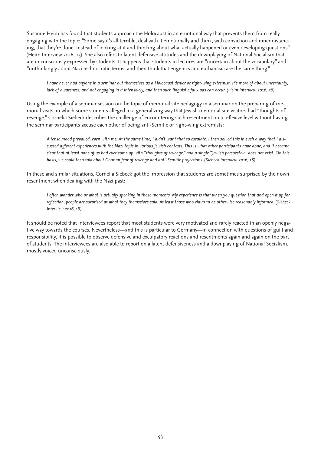Susanne Heim has found that students approach the Holocaust in an emotional way that prevents them from really engaging with the topic: "Some say it's all terrible, deal with it emotionally and think, with conviction and inner distancing, that they're done. Instead of looking at it and thinking about what actually happened or even developing questions" (Heim Interview 2016, 25). She also refers to latent defensive attitudes and the downplaying of National Socialism that are unconsciously expressed by students. It happens that students in lectures are "uncertain about the vocabulary" and "unthinkingly adopt Nazi technocratic terms, and then think that eugenics and euthanasia are the same thing."

*I have never had anyone in a seminar out themselves as a Holocaust denier or right-wing extremist. It's more of about uncertainty, lack of awareness, and not engaging in it intensively, and then such linguistic faux pas can occur. (Heim Interview 2016, 26)* 

Using the example of a seminar session on the topic of memorial site pedagogy in a seminar on the preparing of memorial visits, in which some students alleged in a generalizing way that Jewish memorial site visitors had "thoughts of revenge," Cornelia Siebeck describes the challenge of encountering such resentment on a reflexive level without having the seminar participants accuse each other of being anti-Semitic or right-wing extremists:

*A tense mood prevailed, even with me. At the same time, I didn't want that to escalate. I then solved this in such a way that I discussed different experiences with the Nazi topic in various Jewish contexts. This is what other participants have done, and it became clear that at least none of us had ever come up with "thoughts of revenge," and a single "Jewish perspective" does not exist. On this basis, we could then talk about German fear of revenge and anti-Semitic projections. (Siebeck Interview 2016, 18)*

In these and similar situations, Cornelia Siebeck got the impression that students are sometimes surprised by their own resentment when dealing with the Nazi past:

*I often wonder who or what is actually speaking in those moments. My experience is that when you question that and open it up for reflection, people are surprised at what they themselves said. At least those who claim to be otherwise reasonably informed. (Siebeck Interview 2016, 18)*

It should be noted that interviewees report that most students were very motivated and rarely reacted in an openly negative way towards the courses. Nevertheless—and this is particular to Germany—in connection with questions of guilt and responsibility, it is possible to observe defensive and exculpatory reactions and resentments again and again on the part of students. The interviewees are also able to report on a latent defensiveness and a downplaying of National Socialism, mostly voiced unconsciously.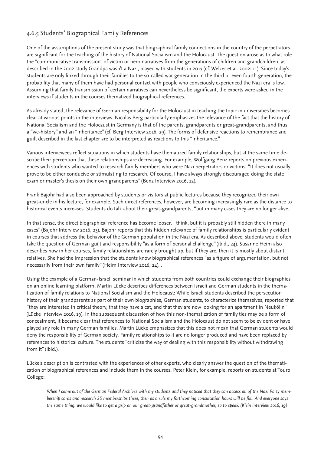## 4.6.5 Students' Biographical Family References

One of the assumptions of the present study was that biographical family connections in the country of the perpetrators are significant for the teaching of the history of National Socialism and the Holocaust. The question arose as to what role the "communicative transmission" of victim or hero narratives from the generations of children and grandchildren, as described in the 2002 study Grandpa wasn't a Nazi, played with students in 2017 (cf. Welzer et al. 2002: 11). Since today's students are only linked through their families to the so-called war generation in the third or even fourth generation, the probability that many of them have had personal contact with people who consciously experienced the Nazi era is low. Assuming that family transmission of certain narratives can nevertheless be significant, the experts were asked in the interviews if students in the courses thematized biographical references.

As already stated, the relevance of German responsibility for the Holocaust in teaching the topic in universities becomes clear at various points in the interviews. Nicolas Berg particularly emphasizes the relevance of the fact that the history of National Socialism and the Holocaust in Germany is that of the parents, grandparents or great-grandparents, and thus a "we-history" and an "inheritance" (cf. Berg Interview 2016, 29). The forms of defensive reactions to remembrance and guilt described in the last chapter are to be interpreted as reactions to this "inheritance."

Various interviewees reflect situations in which students have thematized family relationships, but at the same time describe their perception that these relationships are decreasing. For example, Wolfgang Benz reports on previous experiences with students who wanted to research family members who were Nazi perpetrators or victims. "It does not usually prove to be either conducive or stimulating to research. Of course, I have always strongly discouraged doing the state exam or master's thesis on their own grandparents" (Benz Interview 2016, 12).

Frank Bajohr had also been approached by students or visitors at public lectures because they recognized their own great-uncle in his lecture, for example. Such direct references, however, are becoming increasingly rare as the distance to historical events increases. Students do talk about their great-grandparents, "but in many cases they are no longer alive.

In that sense, the direct biographical reference has become looser, I think, but it is probably still hidden there in many cases" (Bajohr Interview 2016, 23). Bajohr reports that this hidden relevance of family relationships is particularly evident in courses that address the behavior of the German population in the Nazi era. As described above, students would often take the question of German guilt and responsibility "as a form of personal challenge" (ibid., 24). Susanne Heim also describes how in her courses, family relationships are rarely brought up, but if they are, then it is mostly about distant relatives. She had the impression that the students know biographical references "as a figure of argumentation, but not necessarily from their own family" (Heim Interview 2016, 24). .

Using the example of a German-Israeli seminar in which students from both countries could exchange their biographies on an online learning platform, Martin Lücke describes differences between Israeli and German students in the thematization of family relations to National Socialism and the Holocaust: While Israeli students described the persecution history of their grandparents as part of their own biographies, German students, to characterize themselves, reported that "they are interested in critical theory, that they have a cat, and that they are now looking for an apartment in Neukölln" (Lücke Interview 2016, 19). In the subsequent discussion of how this non-thematization of family ties may be a form of concealment, it became clear that references to National Socialism and the Holocaust do not seem to be evident or have played any role in many German families. Martin Lücke emphasizes that this does not mean that German students would deny the responsibility of German society. Family relationships to it are no longer produced and have been replaced by references to historical culture. The students "criticize the way of dealing with this responsibility without withdrawing from it" (ibid.).

Lücke's description is contrasted with the experiences of other experts, who clearly answer the question of the thematization of biographical references and include them in the courses. Peter Klein, for example, reports on students at Touro College:

*When I come out of the German Federal Archives with my students and they noticed that they can access all of the Nazi Party membership cards and research SS memberships there, then as a rule my forthcoming consultation hours will be full. And everyone says the same thing: we would like to get a grip on our great-grandfather or great-grandmother, so to speak. (Klein Interview 2016, 19)*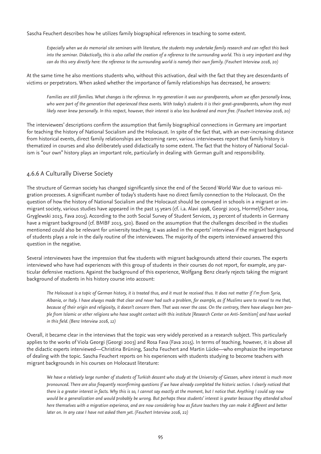Sascha Feuchert describes how he utilizes family biographical references in teaching to some extent.

*Especially when we do memorial site seminars with literature, the students may undertake family research and can reflect this back into the seminar. Didactically, this is also called the creation of a reference to the surrounding world. This is very important and they can do this very directly here: the reference to the surrounding world is namely their own family. (Feuchert Interview 2016, 20)* 

At the same time he also mentions students who, without this activation, deal with the fact that they are descendants of victims or perpetrators. When asked whether the importance of family relationships has decreased, he answers:

Families are still families. What changes is the reference. In my generation it was our grandparents, whom we often personally knew, *who were part of the generation that experienced these events. With today's students it is their great-grandparents, whom they most likely never knew personally. In this respect, however, their interest is also less burdened and more free. (Feuchert Interview 2016, 20)* 

The interviewees' descriptions confirm the assumption that family biographical connections in Germany are important for teaching the history of National Socialism and the Holocaust. In spite of the fact that, with an ever-increasing distance from historical events, direct family relationships are becoming rarer, various interviewees report that family history is thematized in courses and also deliberately used didactically to some extent. The fact that the history of National Socialism is "our own" history plays an important role, particularly in dealing with German guilt and responsibility.

## 4.6.6 A Culturally Diverse Society

The structure of German society has changed significantly since the end of the Second World War due to various migration processes. A significant number of today's students have no direct family connection to the Holocaust. On the question of how the history of National Socialism and the Holocaust should be conveyed in schools in a migrant or immigrant society, various studies have appeared in the past 15 years (cf. i.a. Alavi 1998, Georgi 2003, Hormel/Scherr 2004, Gryglewski 2013, Fava 2015). According to the 20th Social Survey of Student Services, 23 percent of students in Germany have a migrant background (cf. BMBF 2013, 520). Based on the assumption that the challenges described in the studies mentioned could also be relevant for university teaching, it was asked in the experts' interviews if the migrant background of students plays a role in the daily routine of the interviewees. The majority of the experts interviewed answered this question in the negative.

Several interviewees have the impression that few students with migrant backgrounds attend their courses. The experts interviewed who have had experiences with this group of students in their courses do not report, for example, any particular defensive reactions. Against the background of this experience, Wolfgang Benz clearly rejects taking the migrant background of students in his history course into account:

*The Holocaust is a topic of German history, it is treated thus, and it must be received thus. It does not matter if I'm from Syria, Albania, or Italy. I have always made that clear and never had such a problem, for example, as if Muslims were to reveal to me that, because of their origin and religiosity, it doesn't concern them. That was never the case. On the contrary, there have always been people from Islamic or other religions who have sought contact with this institute [Research Center on Anti-Semitism] and have worked in this field. (Benz Interview 2016, 12)*

Overall, it became clear in the interviews that the topic was very widely perceived as a research subject. This particularly applies to the works of Viola Georgi (Georgi 2003) and Rosa Fava (Fava 2015). In terms of teaching, however, it is above all the didactic experts interviewed—Christina Brüning, Sascha Feuchert and Martin Lücke—who emphasize the importance of dealing with the topic. Sascha Feuchert reports on his experiences with students studying to become teachers with migrant backgrounds in his courses on Holocaust literature:

*We have a relatively large number of students of Turkish descent who study at the University of Giessen, where interest is much more pronounced. There are also frequently reconfirming questions if we have already completed the historic section. I clearly noticed that there is a greater interest in facts. Why this is so, I cannot say exactly at the moment, but I notice that. Anything I could say now would be a generalization and would probably be wrong. But perhaps these students' interest is greater because they attended school here themselves with a migration experience, and are now considering how as future teachers they can make it different and better later on. In any case I have not asked them yet. (Feuchert Interview 2016, 22)*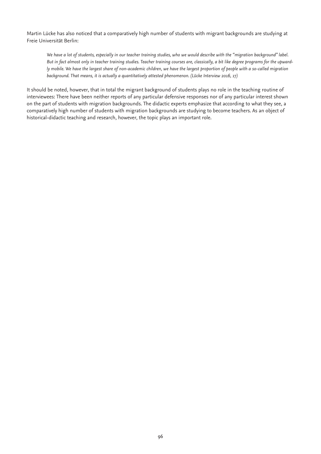Martin Lücke has also noticed that a comparatively high number of students with migrant backgrounds are studying at Freie Universität Berlin:

*We have a lot of students, especially in our teacher training studies, who we would describe with the "migration background" label. But in fact almost only in teacher training studies. Teacher training courses are, classically, a bit like degree programs for the upwardly mobile. We have the largest share of non-academic children, we have the largest proportion of people with a so-called migration background. That means, it is actually a quantitatively attested phenomenon. (Lücke Interview 2016, 17)*

It should be noted, however, that in total the migrant background of students plays no role in the teaching routine of interviewees: There have been neither reports of any particular defensive responses nor of any particular interest shown on the part of students with migration backgrounds. The didactic experts emphasize that according to what they see, a comparatively high number of students with migration backgrounds are studying to become teachers. As an object of historical-didactic teaching and research, however, the topic plays an important role.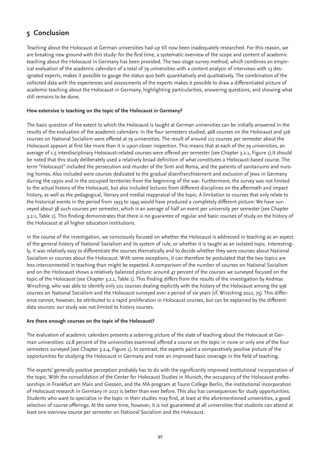# **5 Conclusion**

Teaching about the Holocaust at German universities had up till now been inadequately researched. For this reason, we are breaking new ground with this study: for the first time, a systematic overview of the scope and content of academic teaching about the Holocaust in Germany has been provided. The two-stage survey method, which combines an empirical evaluation of the academic calendars of a total of 79 universities with a content analysis of interviews with 13 designated experts, makes it possible to gauge the status quo both quantitatively and qualitatively. The combination of the collected data with the experiences and assessments of the experts makes it possible to draw a differentiated picture of academic teaching about the Holocaust in Germany, highlighting particularities, answering questions, and showing what still remains to be done.

### **How extensive is teaching on the topic of the Holocaust in Germany?**

The basic question of the extent to which the Holocaust is taught at German universities can be initially answered in the results of the evaluation of the academic calendars: In the four semesters studied, 468 courses on the Holocaust and 526 courses on National Socialism were offered at 79 universities. The result of around 117 courses per semester about the Holocaust appears at first like more than it is upon closer inspection. This means that at each of the 79 universities, an average of 1.5 interdisciplinary Holocaust-related courses were offered per semester (see Chapter 3.2.1, Figure 1).It should be noted that this study deliberately used a relatively broad definition of what constitutes a Holocaust-based course. The term "Holocaust" included the persecution and murder of the Sinti and Roma, and the patients of sanitariums and nursing homes. Also included were courses dedicated to the gradual disenfranchisement and exclusion of Jews in Germany during the 1930s and in the occupied territories from the beginning of the war. Furthermore, the survey was not limited to the actual history of the Holocaust, but also included lectures from different disciplines on the aftermath and impact history, as well as the pedagogical, literary and medial reappraisal of the topic. A limitation to courses that only relate to the historical events in the period from 1933 to 1945 would have produced a completely different picture: We have surveyed about 38 such courses per semester, which is an average of half an event per university per semester (see Chapter 3.2.1, Table 2). This finding demonstrates that there is no guarantee of regular and basic courses of study on the history of the Holocaust at all higher education institutions.

In the course of the investigation, we consciously focused on whether the Holocaust is addressed in teaching as an aspect of the general history of National Socialism and its system of rule, or whether it is taught as an isolated topic. Interestingly, it was relatively easy to differentiate the courses thematically and to decide whether they were courses about National Socialism or courses about the Holocaust. With some exceptions, it can therefore be postulated that the two topics are less interconnected in teaching than might be expected. A comparison of the number of courses on National Socialism and on the Holocaust shows a relatively balanced picture: around 47 percent of the courses we surveyed focused on the topic of the Holocaust (see Chapter 3.2.1, Table 1). This finding differs from the results of the investigation by Andreas Wirsching, who was able to identify only 101 courses dealing explicitly with the history of the Holocaust among the 936 courses on National Socialism and the Holocaust surveyed over a period of six years (cf. Wirsching 2012, 75). This difference cannot, however, be attributed to a rapid proliferation in Holocaust courses, but can be explained by the different data sources: our study was not limited to history courses.

### **Are there enough courses on the topic of the Holocaust?**

The evaluation of academic calendars presents a sobering picture of the state of teaching about the Holocaust at German universities: 22.8 percent of the universities examined offered a course on the topic in none or only one of the four semesters surveyed (see Chapter 3.2.4, Figure 1). In contrast, the experts paint a comparatively positive picture of the opportunities for studying the Holocaust in Germany and note an improved basic coverage in the field of teaching.

The experts' generally positive perception probably has to do with the significantly improved institutional incorporation of the topic. With the consolidation of the Center for Holocaust Studies in Munich, the occupancy of the Holocaust professorships in Frankfurt am Main and Giessen, and the MA program at Touro College Berlin, the institutional incorporation of Holocaust research in Germany in 2017 is better than ever before. This also has consequences for study opportunities. Students who want to specialize in the topic in their studies may find, at least at the aforementioned universities, a good selection of course offerings. At the same time, however, it is not guaranteed at all universities that students can attend at least one overview course per semester on National Socialism and the Holocaust.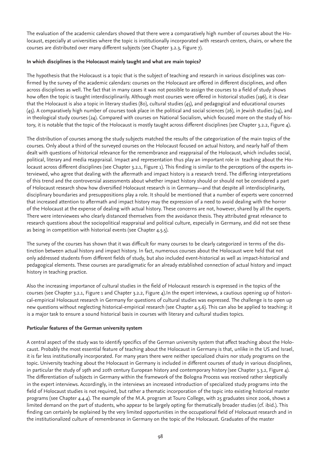The evaluation of the academic calendars showed that there were a comparatively high number of courses about the Holocaust, especially at universities where the topic is institutionally incorporated with research centers, chairs, or where the courses are distributed over many different subjects (see Chapter 3.2.3, Figure 7).

#### **In which disciplines is the Holocaust mainly taught and what are main topics?**

The hypothesis that the Holocaust is a topic that is the subject of teaching and research in various disciplines was confirmed by the survey of the academic calendars: courses on the Holocaust are offered in different disciplines, and often across disciplines as well. The fact that in many cases it was not possible to assign the courses to a field of study shows how often the topic is taught interdisciplinarily. Although most courses were offered in historical studies (196), it is clear that the Holocaust is also a topic in literary studies (80), cultural studies (45), and pedagogical and educational courses (45). A comparatively high number of courses took place in the political and social sciences (26), in Jewish studies (24), and in theological study courses (24). Compared with courses on National Socialism, which focused more on the study of history, it is notable that the topic of the Holocaust is mostly taught across different disciplines (see Chapter 3.2.2, Figure 4).

The distribution of courses among the study subjects matched the results of the categorization of the main topics of the courses. Only about a third of the surveyed courses on the Holocaust focused on actual history, and nearly half of them dealt with questions of historical relevance for the remembrance and reappraisal of the Holocaust, which includes social, political, literary and media reappraisal. Impact and representation thus play an important role in teaching about the Holocaust across different disciplines (see Chapter 3.2.1, Figure 1). This finding is similar to the perceptions of the experts interviewed, who agree that dealing with the aftermath and impact history is a research trend. The differing interpretations of this trend and the controversial assessments about whether impact history should or should not be considered a part of Holocaust research show how diversified Holocaust research is in Germany—and that despite all interdisciplinarity, disciplinary boundaries and presuppositions play a role. It should be mentioned that a number of experts were concerned that increased attention to aftermath and impact history may the expression of a need to avoid dealing with the horror of the Holocaust at the expense of dealing with actual history. These concerns are not, however, shared by all the experts. There were interviewees who clearly distanced themselves from the avoidance thesis. They attributed great relevance to research questions about the sociopolitical reappraisal and political culture, especially in Germany, and did not see these as being in competition with historical events (see Chapter 4.5.5).

The survey of the courses has shown that it was difficult for many courses to be clearly categorized in terms of the distinction between actual history and impact history. In fact, numerous courses about the Holocaust were held that not only addressed students from different fields of study, but also included event-historical as well as impact-historical and pedagogical elements. These courses are paradigmatic for an already established connection of actual history and impact history in teaching practice.

Also the increasing importance of cultural studies in the field of Holocaust research is expressed in the topics of the courses (see Chapter 3.2.1, Figure 1 and Chapter 3.2.2, Figure 4).In the expert interviews, a cautious opening up of historical-empirical Holocaust research in Germany for questions of cultural studies was expressed. The challenge is to open up new questions without neglecting historical-empirical research (see Chapter 4.5.6). This can also be applied to teaching: it is a major task to ensure a sound historical basis in courses with literary and cultural studies topics.

### **Particular features of the German university system**

A central aspect of the study was to identify specifics of the German university system that affect teaching about the Holocaust. Probably the most essential feature of teaching about the Holocaust in Germany is that, unlike in the US and Israel, it is far less institutionally incorporated. For many years there were neither specialized chairs nor study programs on the topic. University teaching about the Holocaust in Germany is included in different courses of study in various disciplines, in particular the study of 19th and 20th century European history and contemporary history (see Chapter 3.3.2, Figure 4). The differentiation of subjects in Germany within the framework of the Bologna Process was received rather skeptically in the expert interviews. Accordingly, in the interviews an increased introduction of specialized study programs into the field of Holocaust studies is not required, but rather a thematic incorporation of the topic into existing historical master programs (see Chapter 4.4.4). The example of the M.A. program at Touro College, with 25 graduates since 2006, shows a limited demand on the part of students, who appear to be largely opting for thematically broader studies (cf. ibid.). This finding can certainly be explained by the very limited opportunities in the occupational field of Holocaust research and in the institutionalized culture of remembrance in Germany on the topic of the Holocaust. Graduates of the master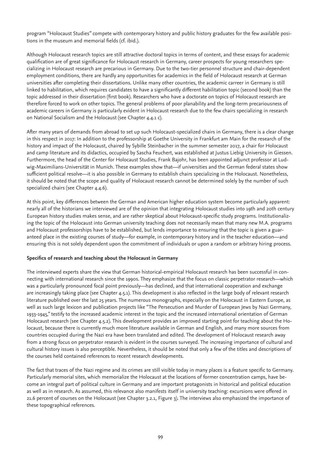program "Holocaust Studies" compete with contemporary history and public history graduates for the few available positions in the museum and memorial fields (cf. ibid.).

Although Holocaust research topics are still attractive doctoral topics in terms of content, and these essays for academic qualification are of great significance for Holocaust research in Germany, career prospects for young researchers specializing in Holocaust research are precarious in Germany. Due to the two-tier personnel structure and chair-dependent employment conditions, there are hardly any opportunities for academics in the field of Holocaust research at German universities after completing their dissertations. Unlike many other countries, the academic carreer in Germany is still linked to habilitation, which requires candidates to have a significantly different habilitation topic (second book) than the topic addressed in their dissertation (first book). Researchers who have a doctorate on topics of Holocaust research are therefore forced to work on other topics. The general problems of poor planability and the long-term precariousness of academic careers in Germany is particularly evident in Holocaust research due to the few chairs specializing in research on National Socialism and the Holocaust (see Chapter 4.4.1 c).

After many years of demands from abroad to set up such Holocaust-specialized chairs in Germany, there is a clear change in this respect in 2017: In addition to the professorship at Goethe University in Frankfurt am Main for the research of the history and impact of the Holocaust, chaired by Sybille Steinbacher in the summer semester 2017, a chair for Holocaust and camp literature and its didactics, occupied by Sascha Feuchert, was established at Justus Liebig University in Giessen. Furthermore, the head of the Center for Holocaust Studies, Frank Bajohr, has been appointed adjunct professor at Ludwig-Maximilians-Universität in Munich. These examples show that—if universities and the German federal states show sufficient political resolve—it is also possible in Germany to establish chairs specializing in the Holocaust. Nonetheless, it should be noted that the scope and quality of Holocaust research cannot be determined solely by the number of such specialized chairs (see Chapter 4.4.6).

At this point, key differences between the German and American higher education system become particularly apparent: nearly all of the historians we interviewed are of the opinion that integrating Holocaust studies into 19th and 20th century European history studies makes sense, and are rather skeptical about Holocaust-specific study programs. Institutionalizing the topic of the Holocaust into German university teaching does not necessarily mean that many new M.A. programs and Holocaust professorships have to be established, but lends importance to ensuring that the topic is given a guaranteed place in the existing courses of study—for example, in contemporary history and in the teacher education—and ensuring this is not solely dependent upon the commitment of individuals or upon a random or arbitrary hiring process.

### **Specifics of research and teaching about the Holocaust in Germany**

The interviewed experts share the view that German historical-empirical Holocaust research has been successful in connecting with international research since the 1990s. They emphasize that the focus on classic perpetrator research—which was a particularly pronounced focal point previously—has declined, and that international cooperation and exchange are increasingly taking place (see Chapter 4.5.1). This development is also reflected in the large body of relevant research literature published over the last 25 years. The numerous monographs, especially on the Holocaust in Eastern Europe, as well as such large lexicon and publication projects like "The Persecution and Murder of European Jews by Nazi Germany, 1933-1945," testify to the increased academic interest in the topic and the increased international orientation of German Holocaust research (see Chapter 4.5.2). This development provides an improved starting point for teaching about the Holocaust, because there is currently much more literature available in German and English, and many more sources from countries occupied during the Nazi era have been translated and edited. The development of Holocaust research away from a strong focus on perpetrator research is evident in the courses surveyed. The increasing importance of cultural and cultural history issues is also perceptible. Nevertheless, it should be noted that only a few of the titles and descriptions of the courses held contained references to recent research developments.

The fact that traces of the Nazi regime and its crimes are still visible today in many places is a feature specific to Germany. Particularly memorial sites, which memorialize the Holocaust at the locations of former concentration camps, have become an integral part of political culture in Germany and are important protagonists in historical and political education as well as in research. As assumed, this relevance also manifests itself in university teaching: excursions were offered in 21.6 percent of courses on the Holocaust (see Chapter 3.2.1, Figure 3). The interviews also emphasized the importance of these topographical references.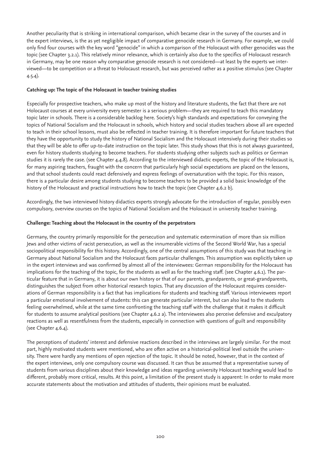Another peculiarity that is striking in international comparison, which became clear in the survey of the courses and in the expert interviews, is the as yet negligible impact of comparative genocide research in Germany. For example, we could only find four courses with the key word "genocide" in which a comparison of the Holocaust with other genocides was the topic (see Chapter 3.2.1). This relatively minor relevance, which is certainly also due to the specifics of Holocaust research in Germany, may be one reason why comparative genocide research is not considered—at least by the experts we interviewed—to be competition or a threat to Holocaust research, but was perceived rather as a positive stimulus (see Chapter 4.5.4).

### **Catching up: The topic of the Holocaust in teacher training studies**

Especially for prospective teachers, who make up most of the history and literature students, the fact that there are not Holocaust courses at every university every semester is a serious problem—they are required to teach this mandatory topic later in schools. There is a considerable backlog here. Society's high standards and expectations for conveying the topics of National Socialism and the Holocaust in schools, which history and social studies teachers above all are expected to teach in their school lessons, must also be reflected in teacher training. It is therefore important for future teachers that they have the opportunity to study the history of National Socialism and the Holocaust intensively during their studies so that they will be able to offer up-to-date instruction on the topic later. This study shows that this is not always guaranteed, even for history students studying to become teachers. For students studying other subjects such as politics or German studies it is rarely the case. (see Chapter 4.4.8). According to the interviewed didactic experts, the topic of the Holocaust is, for many aspiring teachers, fraught with the concern that particularly high social expectations are placed on the lessons, and that school students could react defensively and express feelings of oversaturation with the topic. For this reason, there is a particular desire among students studying to become teachers to be provided a solid basic knowledge of the history of the Holocaust and practical instructions how to teach the topic (see Chapter 4.6.2 b).

Accordingly, the two interviewed history didactics experts strongly advocate for the introduction of regular, possibly even compulsory, overview courses on the topics of National Socialism and the Holocaust in university teacher training.

### **Challenge: Teaching about the Holocaust in the country of the perpetrators**

Germany, the country primarily responsible for the persecution and systematic extermination of more than six million Jews and other victims of racist persecution, as well as the innumerable victims of the Second World War, has a special sociopolitical responsibility for this history. Accordingly, one of the central assumptions of this study was that teaching in Germany about National Socialism and the Holocaust faces particular challenges. This assumption was explicitly taken up in the expert interviews and was confirmed by almost all of the interviewees: German responsibility for the Holocaust has implications for the teaching of the topic, for the students as well as for the teaching staff. (see Chapter 4.6.1). The particular feature that in Germany, it is about our own history or that of our parents, grandparents, or great-grandparents, distinguishes the subject from other historical research topics. That any discussion of the Holocaust requires considerations of German responsibility is a fact that has implications for students and teaching staff. Various interviewees report a particular emotional involvement of students: this can generate particular interest, but can also lead to the students feeling overwhelmed, while at the same time confronting the teaching staff with the challenge that it makes it difficult for students to assume analytical positions (see Chapter 4.6.2 a). The interviewees also perceive defensive and exculpatory reactions as well as resentfulness from the students, especially in connection with questions of guilt and responsibility (see Chapter 4.6.4).

The perceptions of students' interest and defensive reactions described in the interviews are largely similar. For the most part, highly motivated students were mentioned, who are often active on a historical-political level outside the university. There were hardly any mentions of open rejection of the topic. It should be noted, however, that in the context of the expert interviews, only one compulsory course was discussed. It can thus be assumed that a representative survey of students from various disciplines about their knowledge and ideas regarding university Holocaust teaching would lead to different, probably more critical, results. At this point, a limitation of the present study is apparent: In order to make more accurate statements about the motivation and attitudes of students, their opinions must be evaluated.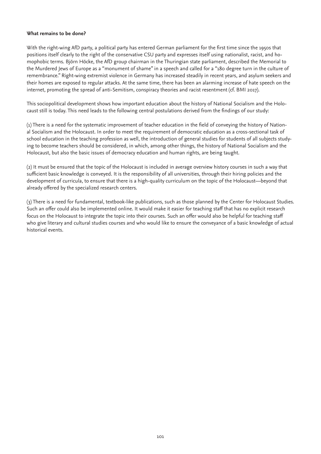#### **What remains to be done?**

With the right-wing AfD party, a political party has entered German parliament for the first time since the 1950s that positions itself clearly to the right of the conservative CSU party and expresses itself using nationalist, racist, and homophobic terms. Björn Höcke, the AfD group chairman in the Thuringian state parliament, described the Memorial to the Murdered Jews of Europe as a "monument of shame" in a speech and called for a "180 degree turn in the culture of remembrance." Right-wing extremist violence in Germany has increased steadily in recent years, and asylum seekers and their homes are exposed to regular attacks. At the same time, there has been an alarming increase of hate speech on the internet, promoting the spread of anti-Semitism, conspiracy theories and racist resentment (cf. BMI 2017).

This sociopolitical development shows how important education about the history of National Socialism and the Holocaust still is today. This need leads to the following central postulations derived from the findings of our study:

(1) There is a need for the systematic improvement of teacher education in the field of conveying the history of National Socialism and the Holocaust. In order to meet the requirement of democratic education as a cross-sectional task of school education in the teaching profession as well, the introduction of general studies for students of all subjects studying to become teachers should be considered, in which, among other things, the history of National Socialism and the Holocaust, but also the basic issues of democracy education and human rights, are being taught.

(2) It must be ensured that the topic of the Holocaust is included in average overview history courses in such a way that sufficient basic knowledge is conveyed. It is the responsibility of all universities, through their hiring policies and the development of curricula, to ensure that there is a high-quality curriculum on the topic of the Holocaust—beyond that already offered by the specialized research centers.

(3) There is a need for fundamental, textbook-like publications, such as those planned by the Center for Holocaust Studies. Such an offer could also be implemented online. It would make it easier for teaching staff that has no explicit research focus on the Holocaust to integrate the topic into their courses. Such an offer would also be helpful for teaching staff who give literary and cultural studies courses and who would like to ensure the conveyance of a basic knowledge of actual historical events.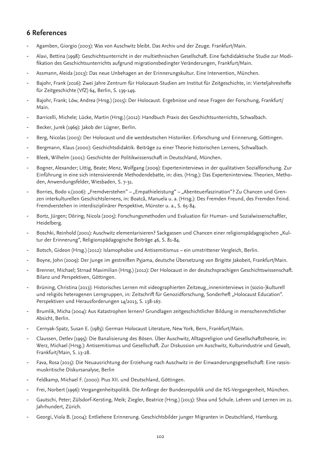# **6 References**

- Agamben, Giorgio (2003): Was von Auschwitz bleibt. Das Archiv und der Zeuge. Frankfurt/Main.
- Alavi, Bettina (1998): Geschichtsunterricht in der multiethnischen Gesellschaft. Eine fachdidaktische Studie zur Modifikation des Geschichtsunterrichts aufgrund migrationsbedingter Veränderungen, Frankfurt/Main.
- Assmann, Aleida (2013): Das neue Unbehagen an der Erinnerungskultur. Eine Intervention, München.
- Bajohr, Frank (2016): Zwei Jahre Zentrum für Holocaust-Studien am Institut für Zeitgeschichte, in: Vierteljahreshefte für Zeitgeschichte (VfZ) 64, Berlin, S. 139-149.
- Bajohr, Frank; Löw, Andrea (Hrsg.) (2015): Der Holocaust. Ergebnisse und neue Fragen der Forschung, Frankfurt/ Main.
- Barricelli, Michele; Lücke, Martin (Hrsg.) (2012): Handbuch Praxis des Geschichtsunterrichts, Schwalbach.
- Becker, Jurek (1969): Jakob der Lügner, Berlin.
- Berg, Nicolas (2003): Der Holocaust und die westdeutschen Historiker. Erforschung und Erinnerung, Göttingen.
- Bergmann, Klaus (2000): Geschichtsdidaktik. Beiträge zu einer Theorie historischen Lernens, Schwalbach.
- Bleek, Wilhelm (2001): Geschichte der Politikwissenschaft in Deutschland, München.
- Bogner, Alexander; Littig, Beate; Menz, Wolfgang (2009): Experteninterviews in der qualitativen Sozialforschung. Zur Einführung in eine sich intensivierende Methodendebatte, in: dies. (Hrsg.): Das Experteninterview. Theorien, Methoden, Anwendungsfelder, Wiesbaden, S. 7-31.
- Borries, Bodo v.(2006): "Fremdverstehen" "Empathieleistung" "Abenteuerfaszination"? Zu Chancen und Grenzen interkulturellen Geschichtslernens, in: Boatcă, Manuela u. a. (Hrsg.): Des Fremden Freund, des Fremden Feind. Fremdverstehen in interdisziplinärer Perspektive, Münster u. a., S. 65-84.
- Bortz, Jürgen; Döring, Nicola (2005): Forschungsmethoden und Evaluation für Human- und Sozialwissenschaftler, Heidelberg.
- Boschki, Reinhold (2001): Auschwitz elementarisieren? Sackgassen und Chancen einer religionspädagogischen "Kultur der Erinnerung", Religionspädagogische Beiträge 46, S. 81-84.
- Botsch, Gideon (Hrsg.) (2012): Islamophobie und Antisemitismus ein umstrittener Vergleich, Berlin.
- Boyne, John (2009): Der Junge im gestreiften Pyjama, deutsche Übersetzung von Brigitte Jakobeit, Frankfurt/Main.
- Brenner, Michael; Strnad Maximilian (Hrsg.) (2012): Der Holocaust in der deutschsprachigen Geschichtswissenschaft. Bilanz und Perspektiven, Göttingen.
- Brüning, Christina (2013): Historisches Lernen mit videographierten Zeitzeug\_inneninterviews in (sozio-)kulturell und religiös heterogenen Lerngruppen, in: Zeitschrift für Genozidforschung, Sonderheft "Holocaust Education". Perspektiven und Herausforderungen 14/2013, S. 138-167.
- Brumlik, Micha (2004): Aus Katastrophen lernen? Grundlagen zeitgeschichtlicher Bildung in menschenrechtlicher Absicht, Berlin.
- Cernyak-Spatz, Susan E. (1985): German Holocaust Literature, New York, Bern, Frankfurt/Main.
- Claussen, Detlev (1995): Die Banalisierung des Bösen. Über Auschwitz, Alltagsreligion und Gesellschaftstheorie, in: Werz, Michael (Hrsg.): Antisemitismus und Gesellschaft. Zur Diskussion um Auschwitz, Kulturindustrie und Gewalt, Frankfurt/Main, S. 13-28.
- Fava, Rosa (2015): Die Neuausrichtung der Erziehung nach Auschwitz in der Einwanderungsgesellschaft: Eine rassismuskritische Diskursanalyse, Berlin
- Feldkamp, Michael F. (2000): Pius XII. und Deutschland, Göttingen.
- Frei, Norbert (1996): Vergangenheitspolitik. Die Anfänge der Bundesrepublik und die NS-Vergangenheit, München.
- Gautschi, Peter; Zülsdorf-Kersting, Meik; Ziegler, Beatrice (Hrsg.) (2013): Shoa und Schule. Lehren und Lernen im 21. Jahrhundert, Zürich.
- Georgi, Viola B. (2004): Entliehene Erinnerung. Geschichtsbilder junger Migranten in Deutschland, Hamburg.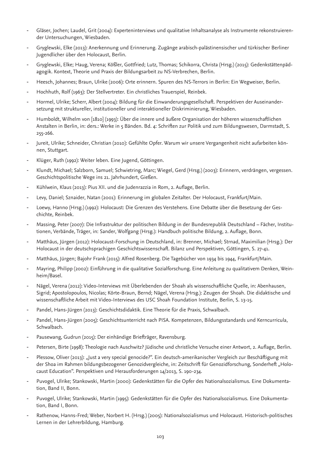- Gläser, Jochen; Laudel, Grit (2004): Experteninterviews und qualitative Inhaltsanalyse als Instrumente rekonstruierender Untersuchungen, Wiesbaden.
- Gryglewski, Elke (2013): Anerkennung und Erinnerung. Zugänge arabisch-palästinensischer und türkischer Berliner Jugendlicher über den Holocaust, Berlin.
- Gryglewski, Elke; Haug, Verena; Kößler, Gottfried; Lutz, Thomas; Schikorra, Christa (Hrsg.) (2015): Gedenkstättenpädagogik. Kontext, Theorie und Praxis der Bildungsarbeit zu NS-Verbrechen, Berlin.
- Heesch, Johannes; Braun, Ulrike (2006): Orte erinnern. Spuren des NS-Terrors in Berlin: Ein Wegweiser, Berlin.
- Hochhuth, Rolf (1963): Der Stellvertreter. Ein christliches Trauerspiel, Reinbek.
- Hormel, Ulrike; Scherr, Albert (2004): Bildung für die Einwanderungsgesellschaft. Perspektiven der Auseinandersetzung mit struktureller, institutioneller und interaktioneller Diskriminierung, Wiesbaden.
- Humboldt, Wilhelm von [1810] (1993): Über die innere und äußere Organisation der höheren wissenschaftlichen Anstalten in Berlin, in: ders.: Werke in 5 Bänden. Bd. 4: Schriften zur Politik und zum Bildungswesen, Darmstadt, S. 255-266.
- Jureit, Ulrike; Schneider, Christian (2010): Gefühlte Opfer. Warum wir unsere Vergangenheit nicht aufarbeiten können, Stuttgart.
- Klüger, Ruth (1992): Weiter leben. Eine Jugend, Göttingen.
- Klundt, Michael; Salzborn, Samuel; Schwietring, Marc; Wiegel, Gerd (Hrsg.) (2003): Erinnern, verdrängen, vergessen. Geschichtspolitische Wege ins 21. Jahrhundert, Gießen.
- Kühlwein, Klaus (2013): Pius XII. und die Judenrazzia in Rom, 2. Auflage, Berlin.
- Levy, Daniel; Sznaider, Natan (2001): Erinnerung im globalen Zeitalter. Der Holocaust, Frankfurt/Main.
- Loewy, Hanno (Hrsg.) (1992): Holocaust: Die Grenzen des Verstehens. Eine Debatte über die Besetzung der Geschichte, Reinbek.
- Massing, Peter (2007): Die Infrastruktur der politischen Bildung in der Bundesrepublik Deutschland Fächer, Institutionen, Verbände, Träger, in: Sander, Wolfgang (Hrsg.): Handbuch politische Bildung, 2. Auflage, Bonn.
- Matthäus, Jürgen (2012): Holocaust-Forschung in Deutschland, in: Brenner, Michael; Strnad, Maximilian (Hrsg.): Der Holocaust in der deutschsprachigen Geschichtswissenschaft. Bilanz und Perspektiven, Göttingen, S. 27-41.
- Matthäus, Jürgen; Bajohr Frank (2015): Alfred Rosenberg. Die Tagebücher von 1934 bis 1944, Frankfurt/Main.
- Mayring, Philipp (2002): Einführung in die qualitative Sozialforschung. Eine Anleitung zu qualitativem Denken, Weinheim/Basel.
- Nägel, Verena (2012): Video-Interviews mit Überlebenden der Shoah als wissenschaftliche Quelle, in: Abenhausen, Sigrid; Apostolopoulos, Nicolas; Körte-Braun, Bernd; Nägel, Verena (Hrsg.): Zeugen der Shoah. Die didaktische und wissenschaftliche Arbeit mit Video-Interviews des USC Shoah Foundation Institute, Berlin, S. 13-15.
- Pandel, Hans-Jürgen (2013): Geschichtsdidaktik. Eine Theorie für die Praxis, Schwalbach.
- Pandel, Hans-Jürgen (2005): Geschichtsunterricht nach PISA. Kompetenzen, Bildungsstandards und Kerncurricula, Schwalbach.
- Pausewang, Gudrun (2015): Der einhändige Briefträger, Ravensburg.
- Petersen, Birte (1998): Theologie nach Auschwitz? Jüdische und christliche Versuche einer Antwort, 2. Auflage, Berlin.
- Plessow, Oliver (2013): "Just a very special genocide?". Ein deutsch-amerikanischer Vergleich zur Beschäftigung mit der Shoa im Rahmen bildungsbezogener Genozidvergleiche, in: Zeitschrift für Genozidforschung, Sonderheft "Holocaust Education". Perspektiven und Herausforderungen 14/2013, S. 190-234.
- Puvogel, Ulrike; Stankowski, Martin (2000): Gedenkstätten für die Opfer des Nationalsozialismus. Eine Dokumentation, Band II, Bonn.
- Puvogel, Ulrike; Stankowski, Martin (1995): Gedenkstätten für die Opfer des Nationalsozialismus. Eine Dokumentation, Band I, Bonn.
- Rathenow, Hanns-Fred; Weber, Norbert H. (Hrsg.) (2005): Nationalsozialismus und Holocaust. Historisch-politisches Lernen in der Lehrerbildung, Hamburg.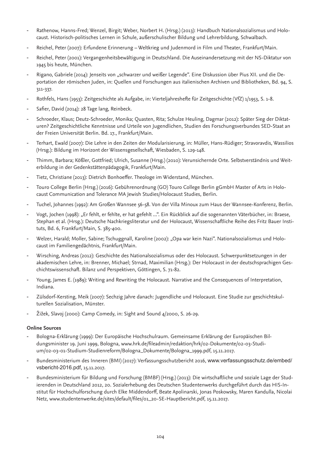- Rathenow, Hanns-Fred; Wenzel, Birgit; Weber, Norbert H. (Hrsg.) (2013): Handbuch Nationalsozialismus und Holocaust. Historisch-politisches Lernen in Schule, außerschulischer Bildung und Lehrerbildung, Schwalbach.
- Reichel, Peter (2007): Erfundene Erinnerung Weltkrieg und Judenmord in Film und Theater, Frankfurt/Main.
- Reichel, Peter (2001): Vergangenheitsbewältigung in Deutschland. Die Auseinandersetzung mit der NS-Diktatur von 1945 bis heute, München.
- Rigano, Gabriele (2014): Jenseits von "schwarzer und weißer Legende". Eine Diskussion über Pius XII. und die Deportation der römischen Juden, in: Quellen und Forschungen aus italienischen Archiven und Bibliotheken, Bd. 94, S. 311-337.
- Rothfels, Hans (1953): Zeitgeschichte als Aufgabe, in: Vierteljahreshefte für Zeitgeschichte (VfZ) 1/1953, S. 1-8.
- Safier, David (2014): 28 Tage lang, Reinbeck.
- Schroeder, Klaus; Deutz-Schroeder, Monika; Quasten, Rita; Schulze Heuling, Dagmar (2012): Später Sieg der Diktaturen? Zeitgeschichtliche Kenntnisse und Urteile von Jugendlichen, Studien des Forschungsverbundes SED-Staat an der Freien Universität Berlin. Bd. 17., Frankfurt/Main.
- Terhart, Ewald (2007): Die Lehre in den Zeiten der Modularisierung, in: Müller, Hans-Rüdiger; Stravoravdis, Wassilios (Hrsg.): Bildung im Horizont der Wissensgesellschaft, Wiesbaden, S. 129-148.
- Thimm, Barbara; Kößler, Gottfried; Ulrich, Susanne (Hrsg.) (2010): Verunsichernde Orte. Selbstverständnis und Weiterbildung in der Gedenkstättenpädagogik, Frankfurt/Main.
- Tietz, Christiane (2013): Dietrich Bonhoeffer. Theologe im Widerstand, München.
- Touro College Berlin (Hrsg.) (2016): Gebührenordnung (GO) Touro College Berlin gGmbH Master of Arts in Holocaust Communication and Tolerance MA Jewish Studies/Holocaust Studies, Berlin.
- Tuchel, Johannes (1992): Am Großen Wannsee 56-58. Von der Villa Minoux zum Haus der Wannsee-Konferenz, Berlin.
- Vogt, Jochen (1998): "Er fehlt, er fehlte, er hat gefehlt ...". Ein Rückblick auf die sogenannten Väterbücher, in: Braese, Stephan et al. (Hrsg.): Deutsche Nachkriegsliteratur und der Holocaust, Wissenschaftliche Reihe des Fritz Bauer Instituts, Bd. 6, Frankfurt/Main, S. 385-400.
- Welzer, Harald; Moller, Sabine; Tschuggnall, Karoline (2002): "Opa war kein Nazi". Nationalsozialismus und Holocaust im Familiengedächtnis, Frankfurt/Main.
- Wirsching, Andreas (2012): Geschichte des Nationalsozialismus oder des Holocaust. Schwerpunktsetzungen in der akademischen Lehre, in: Brenner, Michael; Strnad, Maximilian (Hrsg.): Der Holocaust in der deutschsprachigen Geschichtswissenschaft. Bilanz und Perspektiven, Göttingen, S. 71-82.
- Young, James E. (1989): Writing and Rewriting the Holocaust. Narrative and the Consequences of Interpretation, Indiana.
- Zülsdorf-Kersting, Meik (2007): Sechzig Jahre danach: Jugendliche und Holocaust. Eine Studie zur geschichtskulturellen Sozialisation, Münster.
- Žižek, Slavoj (2000): Camp Comedy, in: Sight and Sound 4/2000, S. 26-29.

#### **Online Sources**

- Bologna-Erklärung (1999): Der Europäische Hochschulraum. Gemeinsame Erklärung der Europäischen Bildungsminister 19. Juni 1999, Bologna, www.hrk.de/fileadmin/redaktion/hrk/02-Dokumente/02-03-Studium/02-03-01-Studium-Studienreform/Bologna\_Dokumente/Bologna\_1999.pdf, 15.11.2017.
- Bundesministerium des Inneren (BMI) (2017): Verfassungsschutzbericht 2016, www.verfassungsschutz.de/embed/ vsbericht-2016.pdf, 15.11.2017.
- Bundesministerium für Bildung und Forschung (BMBF) (Hrsg.) (2013): Die wirtschaftliche und soziale Lage der Studierenden in Deutschland 2012, 20. Sozialerhebung des Deutschen Studentenwerks durchgeführt durch das HIS-Institut für Hochschulforschung durch Elke Middendorff, Beate Apolinarski, Jonas Poskowsky, Maren Kandulla, Nicolai Netz, www.studentenwerke.de/sites/default/files/01\_20-SE-Hauptbericht.pdf, 15.11.2017.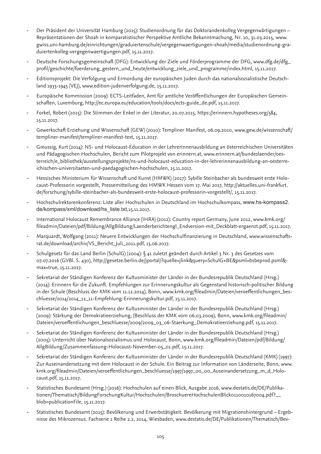- Der Präsident der Universität Hamburg (2015): Studienordnung für das Doktorandenkolleg Vergegenwärtigungen Repräsentationen der Shoah in komparatistischer Perspektive Amtliche Bekanntmachung, Nr. 10, 31.03.2015, www. gwiss.uni-hamburg.de/einrichtungen/graduiertenschule/vergegenwaertigungen-shoah/media/studienordnung-graduiertenkolleg-vergegenwaertigungen.pdf, 15.11.2017.
- Deutsche Forschungsgemeinschaft (DFG): Entwicklung der Ziele und Förderprogramme der DFG, www.dfg.de/dfg\_ profil/geschichte/foerderung\_gestern\_und\_heute/entwicklung\_ziele\_und\_programme/index.html, 15.11.2017.
- Editionsprojekt: Die Verfolgung und Ermordung der europäischen Juden durch das nationalsozialistische Deutschland 1933-1945 (VEJ), www.edition-judenverfolgung.de, 15.11.2017.
- Europäische Kommission (2009): ECTS-Leitfaden, Amt für amtliche Veröffentlichungen der Europäischen Gemeinschaften, Luxemburg, http://ec.europa.eu/education/tools/docs/ects-guide\_de.pdf, 15.11.2017.
- Forkel, Robert (2015): Die Stimmen der Enkel in der Literatur, 20.07.2015, https://erinnern.hypotheses.org/584, 15.11.2017.
- Gewerkschaft Erziehung und Wissenschaft (GEW) (2010): Templiner Manifest, 06.09.2010, www.gew.de/wissenschaft/ templiner-manifest/templiner-manifest-text, 15.11.2017.
- Greussig, Kurt (2014): NS- und Holocaust-Education in der LehrerInnenausbildung an österreichischen Universitäten und Pädagogischen Hochschulen, Bericht zum Pilotprojekt von erinnern.at, www.erinnern.at/bundeslaender/oesterreich/e\_bibliothek/ausstellungsprojekte/ns-und-holocaust-education-in-der-lehrerinnenausbildung-an-oesterreichischen-universitaeten-und-paedagogischen-hochschulen, 15.11.2017.
- Hessisches Ministerium für Wissenschaft und Kunst (HMWK) (2017): Sybille Steinbacher als bundesweit erste Holocaust-Professorin vorgestellt, Pressemitteilung des HMWK Hessen vom 17. Mai 2017, http://aktuelles.uni-frankfurt. de/forschung/sybille-steinbacher-als-bundesweit-erste-holocaust-professorin-vorgestellt/, 15.11.2017.
- Hochschulrektorenkonferenz: Liste aller Hochschulen in Deutschland im Hochschulkompass, www.hs-kompass2. de/kompass/xml/download/hs\_liste.txt,15.11.2017.
- International Holocaust Remembrance Alliance (IHRA) (2012): Country report Germany, June 2012, www.kmk.org/ fileadmin/Dateien/pdf/Bildung/AllgBildung/Laenderberichtengl\_Endversion-mit\_Deckblatt-ergaenzt.pdf, 15.11.2017.
- Marquardt, Wolfgang (2011): Neuere Entwicklungen der Hochschulfinanzierung in Deutschland, www.wissenschaftsrat.de/download/archiv/VS\_Bericht\_Juli\_2011.pdf, 15.06.2017.
- Schulgesetz für das Land Berlin (SchulG) (2004): § 41 zuletzt geändert durch Artikel 3 Nr. 3 des Gesetzes vom 07.07.2016 (GVBl. S. 430), http://gesetze.berlin.de/jportal/?quelle=jlink&query=SchulG+BE&psml=bsbeprod.psml& max=true, 15.11.2017.
- Sekretariat der Ständigen Konferenz der Kultusminister der Länder in der Bundesrepublik Deutschland (Hrsg.) (2014): Erinnern für die Zukunft. Empfehlungen zur Erinnerungskultur als Gegenstand historisch-politischer Bildung in der Schule (Beschluss der KMK vom 11.12.2014), Bonn, www.kmk.org/fileadmin/Dateien/veroeffentlichungen\_beschluesse/2014/2014\_12\_11-Empfehlung-Erinnerungskultur.pdf, 15.11.2017.
- Sekretariat der Ständigen Konferenz der Kultusminister der Länder in der Bundesrepublik Deutschland (Hrsg.) (2009): Stärkung der Demokratieerziehung, (Beschluss der KMK vom 06.03.2009), Bonn, www.kmk.org/fileadmin/ Dateien/veroeffentlichungen\_beschluesse/2009/2009\_03\_06-Staerkung\_Demokratieerziehung.pdf, 15.11.2017.
- Sekretariat der Ständigen Konferenz der Kultusminister der Länder in der Bundesrepublik Deutschland (Hrsg.) (2005): Unterricht über Nationalsozialismus und Holocaust, Bonn, www.kmk.org/fileadmin/Dateien/pdf/Bildung/ AllgBildung/Zusammenfassung-Holocaust-November-05\_01.pdf, 15.11.2017.
- Sekretariat der Ständigen Konferenz der Kultusminister der Länder in der Bundesrepublik Deutschland (KMK) (1997): Zur Auseinandersetzung mit dem Holocaust in der Schule. Ein Beitrag zur Information von Länderseite, Bonn, www. kmk.org/fileadmin/Dateien/veroeffentlichungen\_beschluesse/1997/1997\_00\_00\_Auseinandersetzung\_m\_d\_Holocaust.pdf, 15.11.2017.
- Statistisches Bundesamt (Hrsg.) (2016): Hochschulen auf einen Blick, Ausgabe 2016, www.destatis.de/DE/Publikationen/Thematisch/BildungForschungKultur/Hochschulen/BroschuereHochschulenBlick0110010167004.pdf?\_\_ blob=publicationFile, 15.11.2017.
- Statistisches Bundesamt (2015): Bevölkerung und Erwerbstätigkeit. Bevölkerung mit Migrationshintergrund Ergebnisse des Mikrozensus. Fachserie 1 Reihe 2.2, 2014, Wiesbaden, www.destatis.de/DE/Publikationen/Thematisch/Bev-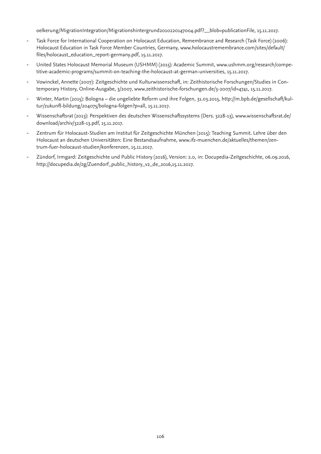oelkerung/MigrationIntegration/Migrationshintergrund2010220147004.pdf?\_\_blob=publicationFile, 15.11.2017.

- Task Force for International Cooperation on Holocaust Education, Remembrance and Research (Task Force) (2006): Holocaust Education in Task Force Member Countries, Germany, www.holocaustremembrance.com/sites/default/ files/holocaust\_education\_report-germany.pdf, 15.11.2017.
- United States Holocaust Memorial Museum (USHMM) (2015): Academic Summit, www.ushmm.org/research/competitive-academic-programs/summit-on-teaching-the-holocaust-at-german-universities, 15.11.2017.
- Vowinckel, Annette (2007): Zeitgeschichte und Kulturwissenschaft, in: Zeithistorische Forschungen/Studies in Contemporary History, Online-Ausgabe, 3/2007, www.zeithistorische-forschungen.de/3-2007/id=4741, 15.11.2017.
- Winter, Martin (2015): Bologna die ungeliebte Reform und ihre Folgen, 31.03.2015, http://m.bpb.de/gesellschaft/kultur/zukunft-bildung/204075/bologna-folgen?p=all, 15.11.2017.
- Wissenschaftsrat (2013): Perspektiven des deutschen Wissenschaftssystems (Ders. 3228-13), www.wissenschaftsrat.de/ download/archiv/3228-13.pdf, 15.11.2017.
- Zentrum für Holocaust-Studien am Institut für Zeitgeschichte München (2015): Teaching Summit. Lehre über den Holocaust an deutschen Universitäten: Eine Bestandsaufnahme, www.ifz-muenchen.de/aktuelles/themen/zentrum-fuer-holocaust-studien/konferenzen, 15.11.2017.
- Zündorf, Irmgard: Zeitgeschichte und Public History (2016), Version: 2.0, in: Docupedia-Zeitgeschichte, 06.09.2016, http://docupedia.de/zg/Zuendorf\_public\_history\_v2\_de\_2016,15.11.2017.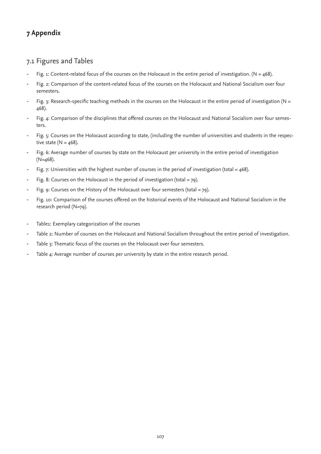# **7 Appendix**

## 7.1 Figures and Tables

- Fig. 1: Content-related focus of the courses on the Holocaust in the entire period of investigation. ( $N = 468$ ).
- Fig. 2: Comparison of the content-related focus of the courses on the Holocaust and National Socialism over four semesters.
- Fig. 3: Research-specific teaching methods in the courses on the Holocaust in the entire period of investigation (N = 468).
- Fig. 4: Comparison of the disciplines that offered courses on the Holocaust and National Socialism over four semesters.
- Fig. 5: Courses on the Holocaust according to state, (including the number of universities and students in the respective state ( $N = 468$ ).
- Fig. 6: Average number of courses by state on the Holocaust per university in the entire period of investigation (N=468).
- Fig. 7: Universities with the highest number of courses in the period of investigation (total =  $468$ ).
- Fig. 8: Courses on the Holocaust in the period of investigation (total = 79).
- Fig. 9: Courses on the History of the Holocaust over four semesters (total =  $79$ ).
- Fig. 10: Comparison of the courses offered on the historical events of the Holocaust and National Socialism in the research period (N=79).
- Table1: Exemplary categorization of the courses
- Table 2: Number of courses on the Holocaust and National Socialism throughout the entire period of investigation.
- Table 3: Thematic focus of the courses on the Holocaust over four semesters.
- Table 4: Average number of courses per university by state in the entire research period.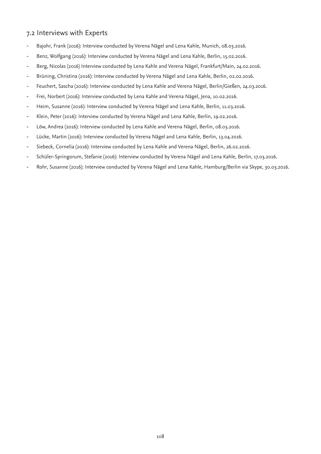## 7.2 Interviews with Experts

- Bajohr, Frank (2016): Interview conducted by Verena Nägel and Lena Kahle, Munich, 08.03.2016.
- Benz, Wolfgang (2016): Interview conducted by Verena Nägel and Lena Kahle, Berlin, 15.02.2016.
- Berg, Nicolas (2016) Interview conducted by Lena Kahle and Verena Nägel, Frankfurt/Main, 24.02.2016.
- Brüning, Christina (2016): Interview conducted by Verena Nägel and Lena Kahle, Berlin, 02.02.2016.
- Feuchert, Sascha (2016): Interview conducted by Lena Kahle and Verena Nägel, Berlin/Gießen, 24.03.2016.
- Frei, Norbert (2016): Interview conducted by Lena Kahle and Verena Nägel, Jena, 10.02.2016.
- Heim, Susanne (2016): Interview conducted by Verena Nägel and Lena Kahle, Berlin, 11.03.2016.
- Klein, Peter (2016): Interview conducted by Verena Nägel and Lena Kahle, Berlin, 19.02.2016.
- Löw, Andrea (2016): Interview conducted by Lena Kahle and Verena Nägel, Berlin, 08.03.2016.
- Lücke, Martin (2016): Interview conducted by Verena Nägel and Lena Kahle, Berlin, 13.04.2016.
- Siebeck, Cornelia (2016): Interview conducted by Lena Kahle and Verena Nägel, Berlin, 26.02.2016.
- Schüler-Springorum, Stefanie (2016): Interview conducted by Verena Nägel and Lena Kahle, Berlin, 17.03.2016.
- Rohr, Susanne (2016): Interview conducted by Verena Nägel and Lena Kahle, Hamburg/Berlin via Skype, 30.03.2016.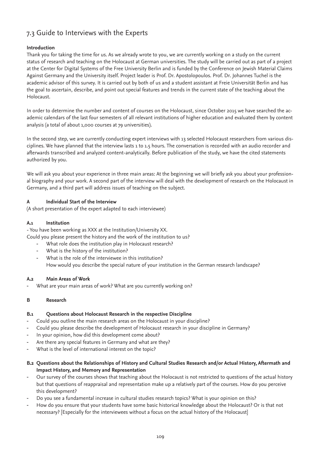### 7.3 Guide to Interviews with the Experts

#### **Introduction**

Thank you for taking the time for us. As we already wrote to you, we are currently working on a study on the current status of research and teaching on the Holocaust at German universities. The study will be carried out as part of a project at the Center for Digital Systems of the Free University Berlin and is funded by the Conference on Jewish Material Claims Against Germany and the University itself. Project leader is Prof. Dr. Apostolopoulos. Prof. Dr. Johannes Tuchel is the academic advisor of this survey. It is carried out by both of us and a student assistant at Freie Universität Berlin and has the goal to ascertain, describe, and point out special features and trends in the current state of the teaching about the Holocaust.

In order to determine the number and content of courses on the Holocaust, since October 2015 we have searched the academic calendars of the last four semesters of all relevant institutions of higher education and evaluated them by content analysis (a total of about 1,000 courses at 79 universities).

In the second step, we are currently conducting expert interviews with 13 selected Holocaust researchers from various disciplines. We have planned that the interview lasts 1 to 1.5 hours. The conversation is recorded with an audio recorder and afterwards transcribed and analyzed content-analytically. Before publication of the study, we have the cited statements authorized by you.

We will ask you about your experience in three main areas: At the beginning we will briefly ask you about your professional biography and your work. A second part of the interview will deal with the development of research on the Holocaust in Germany, and a third part will address issues of teaching on the subject.

#### **A Individual Start of the Interview**

(A short presentation of the expert adapted to each interviewee)

#### **A.1 Institution**

- You have been working as XXX at the Institution/University XX. Could you please present the history and the work of the institution to us?

- What role does the institution play in Holocaust research?
- What is the history of the institution?
- What is the role of the interviewee in this institution? How would you describe the special nature of your institution in the German research landscape?

#### **A.2 Main Areas of Work**

- What are your main areas of work? What are you currently working on?

#### **B Research**

#### **B.1 Questions about Holocaust Research in the respective Discipline**

- Could you outline the main research areas on the Holocaust in your discipline?
- Could you please describe the development of Holocaust research in your discipline in Germany?
- In your opinion, how did this development come about?
- Are there any special features in Germany and what are they?
- What is the level of international interest on the topic?
- **B.2 Questions about the Relationships of History and Cultural Studies Research and/or Actual History, Aftermath and Impact History, and Memory and Representation**
- Our survey of the courses shows that teaching about the Holocaust is not restricted to questions of the actual history but that questions of reappraisal and representation make up a relatively part of the courses. How do you perceive this development?
- Do you see a fundamental increase in cultural studies research topics? What is your opinion on this?
- How do you ensure that your students have some basic historical knowledge about the Holocaust? Or is that not necessary? [Especially for the interviewees without a focus on the actual history of the Holocaust]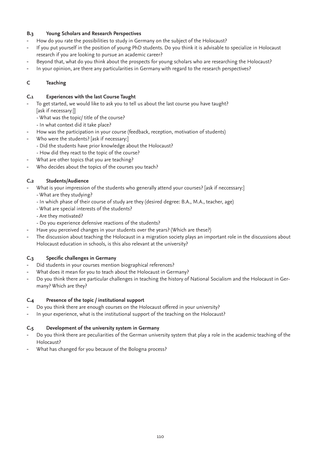#### **B.3 Young Scholars and Research Perspectives**

- How do you rate the possibilities to study in Germany on the subject of the Holocaust?
- If you put yourself in the position of young PhD students. Do you think it is advisable to specialize in Holocaust research if you are looking to pursue an academic career?
- Beyond that, what do you think about the prospects for young scholars who are researching the Holocaust?
- In your opinion, are there any particularities in Germany with regard to the research perspectives?

#### **C Teaching**

#### **C.1 Experiences with the last Course Taught**

- To get started, we would like to ask you to tell us about the last course you have taught? [ask if necessary:]]
	- What was the topic/ title of the course?
	- In what context did it take place?
- How was the participation in your course (feedback, reception, motivation of students)
- Who were the students? [ask if necessary:]
	- Did the students have prior knowledge about the Holocaust?
	- How did they react to the topic of the course?
- What are other topics that you are teaching?
- Who decides about the topics of the courses you teach?

#### **C.2 Students/Audience**

- What is your impression of the students who generally attend your courses? [ask if neccessary:]
- What are they studying?
- In which phase of their course of study are they (desired degree: B.A., M.A., teacher, age)
- What are special interests of the students?
- Are they motivated?
- Do you experience defensive reactions of the students?
- Have you perceived changes in your students over the years? (Which are these?)
- The discussion about teaching the Holocaust in a migration society plays an important role in the discussions about Holocaust education in schools, is this also relevant at the university?

#### **C.3 Specific challenges in Germany**

- Did students in your courses mention biographical references?
- What does it mean for you to teach about the Holocaust in Germany?
- Do you think there are particular challenges in teaching the history of National Socialism and the Holocaust in Germany? Which are they?

#### **C.4 Presence of the topic / institutional support**

- Do you think there are enough courses on the Holocaust offered in your university?
- In your experience, what is the institutional support of the teaching on the Holocaust?

#### **C.5 Development of the university system in Germany**

- Do you think there are peculiarities of the German university system that play a role in the academic teaching of the Holocaust?
- What has changed for you because of the Bologna process?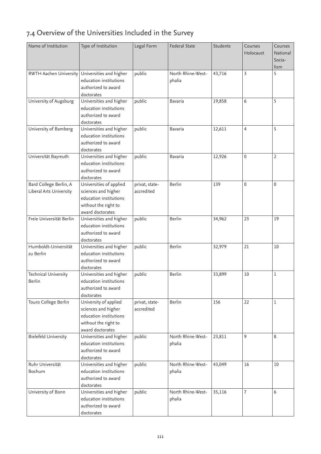## 7.4 Overview of the Universities Included in the Survey

| Name of Institution                               | Type of Institution                                                                                                  | Legal Form                   | <b>Federal State</b>        | Students | Courses<br>Holocaust | Courses<br>National<br>Socia-<br>lism |
|---------------------------------------------------|----------------------------------------------------------------------------------------------------------------------|------------------------------|-----------------------------|----------|----------------------|---------------------------------------|
| RWTH Aachen University                            | Universities and higher<br>education institutions<br>authorized to award<br>doctorates                               | public                       | North Rhine-West-<br>phalia | 43,716   | 3                    | 5                                     |
| University of Augsburg                            | Universities and higher<br>education institutions<br>authorized to award<br>doctorates                               | public                       | Bavaria                     | 19,858   | 6                    | 5                                     |
| University of Bamberg                             | Universities and higher<br>education institutions<br>authorized to award<br>doctorates                               | public                       | <b>Bavaria</b>              | 12,611   | 4                    | 5                                     |
| Universität Bayreuth                              | Universities and higher<br>education institutions<br>authorized to award<br>doctorates                               | public                       | Bavaria                     | 12,926   | 0                    | $\overline{2}$                        |
| Bard College Berlin, A<br>Liberal Arts University | Universities of applied<br>sciences and higher<br>education institutions<br>without the right to<br>award doctorates | privat, state-<br>accredited | Berlin                      | 139      | $\mathbf 0$          | 0                                     |
| Freie Universität Berlin                          | Universities and higher<br>education institutions<br>authorized to award<br>doctorates                               | public                       | Berlin                      | 34,962   | 23                   | 19                                    |
| Humboldt-Universität<br>zu Berlin                 | Universities and higher<br>education institutions<br>authorized to award<br>doctorates                               | public                       | Berlin                      | 32,979   | 21                   | 10                                    |
| Technical University<br>Berlin                    | Universities and higher<br>education institutions<br>authorized to award<br>doctorates                               | public                       | Berlin                      | 33,899   | 10                   | 1                                     |
| Touro College Berlin                              | University of applied<br>sciences and higher<br>education institutions<br>without the right to<br>award doctorates   | privat, state-<br>accredited | Berlin                      | 156      | 22                   | 1                                     |
| <b>Bielefeld University</b>                       | Universities and higher<br>education institutions<br>authorized to award<br>doctorates                               | public                       | North Rhine-West-<br>phalia | 23,811   | 9                    | 8                                     |
| Ruhr Universität<br>Bochum                        | Universities and higher<br>education institutions<br>authorized to award<br>doctorates                               | public                       | North Rhine-West-<br>phalia | 43,049   | 16                   | 10                                    |
| University of Bonn                                | Universities and higher<br>education institutions<br>authorized to award<br>doctorates                               | public                       | North Rhine-West-<br>phalia | 35,116   | 7                    | 6                                     |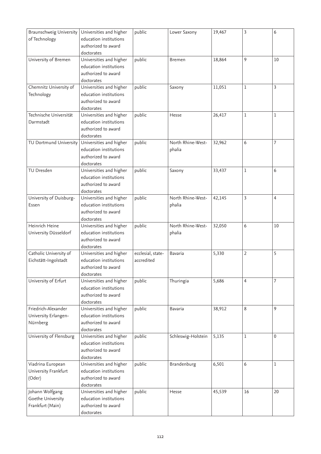| Braunschweig University<br>of Technology | Universities and higher<br>education institutions | public            | Lower Saxony       | 19,467 | 3              | 6           |
|------------------------------------------|---------------------------------------------------|-------------------|--------------------|--------|----------------|-------------|
|                                          | authorized to award<br>doctorates                 |                   |                    |        |                |             |
| University of Bremen                     | Universities and higher                           | public            | <b>Bremen</b>      | 18,864 | 9              | 10          |
|                                          | education institutions                            |                   |                    |        |                |             |
|                                          | authorized to award                               |                   |                    |        |                |             |
|                                          | doctorates                                        |                   |                    |        |                |             |
| Chemnitz University of                   | Universities and higher                           | public            | Saxony             | 11,051 | 1              | 3           |
| Technology                               | education institutions                            |                   |                    |        |                |             |
|                                          | authorized to award                               |                   |                    |        |                |             |
|                                          | doctorates                                        |                   |                    |        |                |             |
| Technische Universität                   | Universities and higher                           | public            | Hesse              | 26,417 | 1              | 1           |
| Darmstadt                                | education institutions                            |                   |                    |        |                |             |
|                                          | authorized to award                               |                   |                    |        |                |             |
|                                          | doctorates                                        |                   |                    |        |                |             |
| TU Dortmund University                   | Universities and higher                           | public            | North Rhine-West-  | 32,962 | 6              | 7           |
|                                          | education institutions                            |                   | phalia             |        |                |             |
|                                          | authorized to award                               |                   |                    |        |                |             |
|                                          | doctorates                                        |                   |                    |        |                |             |
| TU Dresden                               | Universities and higher                           | public            | Saxony             | 33,437 | 1              | 6           |
|                                          | education institutions                            |                   |                    |        |                |             |
|                                          | authorized to award                               |                   |                    |        |                |             |
|                                          | doctorates                                        |                   |                    |        |                |             |
| University of Duisburg-                  | Universities and higher                           | public            | North Rhine-West-  | 42,145 | 3              | 4           |
| Essen                                    | education institutions                            |                   | phalia             |        |                |             |
|                                          | authorized to award                               |                   |                    |        |                |             |
|                                          | doctorates                                        |                   |                    |        |                |             |
| Heinrich Heine                           | Universities and higher                           | public            | North Rhine-West-  | 32,050 | 6              | 10          |
| University Düsseldorf                    | education institutions                            |                   | phalia             |        |                |             |
|                                          | authorized to award                               |                   |                    |        |                |             |
|                                          | doctorates                                        |                   |                    |        |                |             |
| Catholic University of                   | Universities and higher                           | ecclesial, state- | Bavaria            | 5,330  | $\overline{2}$ | 5           |
| Eichstätt-Ingolstadt                     | education institutions                            | accredited        |                    |        |                |             |
|                                          | authorized to award                               |                   |                    |        |                |             |
|                                          | doctorates                                        |                   |                    |        |                |             |
| University of Erfurt                     | Universities and higher                           | public            | Thuringia          | 5,686  | $\overline{4}$ | 7           |
|                                          | education institutions                            |                   |                    |        |                |             |
|                                          | authorized to award                               |                   |                    |        |                |             |
|                                          | doctorates                                        |                   |                    |        |                |             |
| Friedrich-Alexander                      | Universities and higher                           | public            | Bavaria            | 38,912 | 8              | 9           |
| University Erlangen-                     | education institutions                            |                   |                    |        |                |             |
| Nürnberg                                 | authorized to award                               |                   |                    |        |                |             |
|                                          | doctorates                                        |                   |                    |        |                |             |
| University of Flensburg                  | Universities and higher                           | public            | Schleswig-Holstein | 5,135  | 1              | $\mathbf 0$ |
|                                          | education institutions                            |                   |                    |        |                |             |
|                                          | authorized to award                               |                   |                    |        |                |             |
| Viadrina European                        | doctorates<br>Universities and higher             | public            | Brandenburg        | 6,501  | 6              | 1           |
|                                          | education institutions                            |                   |                    |        |                |             |
| University Frankfurt                     | authorized to award                               |                   |                    |        |                |             |
| (Oder)                                   |                                                   |                   |                    |        |                |             |
| Johann Wolfgang                          | doctorates<br>Universities and higher             | public            | Hesse              | 45,539 | 16             | 20          |
| Goethe University                        | education institutions                            |                   |                    |        |                |             |
| Frankfurt (Main)                         | authorized to award                               |                   |                    |        |                |             |
|                                          |                                                   |                   |                    |        |                |             |
|                                          | doctorates                                        |                   |                    |        |                |             |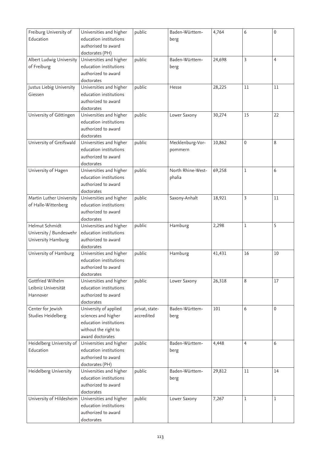| Freiburg University of   | Universities and higher | public         | Baden-Württem-    | 4,764  | 6  | $\mathbf{0}$   |
|--------------------------|-------------------------|----------------|-------------------|--------|----|----------------|
| Education                | education institutions  |                | berg              |        |    |                |
|                          | authorised to award     |                |                   |        |    |                |
|                          | doctorates (PH)         |                |                   |        |    |                |
| Albert Ludwig University | Universities and higher | public         | Baden-Württem-    | 24,698 | 3  | $\overline{4}$ |
| of Freiburg              | education institutions  |                | berg              |        |    |                |
|                          | authorized to award     |                |                   |        |    |                |
|                          | doctorates              |                |                   |        |    |                |
| Justus Liebig University | Universities and higher | public         | Hesse             | 28,225 | 11 | 11             |
| Giessen                  | education institutions  |                |                   |        |    |                |
|                          | authorized to award     |                |                   |        |    |                |
|                          | doctorates              |                |                   |        |    |                |
| University of Göttingen  | Universities and higher | public         | Lower Saxony      | 30,274 | 15 | 22             |
|                          | education institutions  |                |                   |        |    |                |
|                          |                         |                |                   |        |    |                |
|                          | authorized to award     |                |                   |        |    |                |
|                          | doctorates              |                |                   |        |    | 8              |
| University of Greifswald | Universities and higher | public         | Mecklenburg-Vor-  | 10,862 | 0  |                |
|                          | education institutions  |                | pommern           |        |    |                |
|                          | authorized to award     |                |                   |        |    |                |
|                          | doctorates              |                |                   |        |    |                |
| University of Hagen      | Universities and higher | public         | North Rhine-West- | 69,258 | 1  | 6              |
|                          | education institutions  |                | phalia            |        |    |                |
|                          | authorized to award     |                |                   |        |    |                |
|                          | doctorates              |                |                   |        |    |                |
| Martin Luther University | Universities and higher | public         | Saxony-Anhalt     | 18,921 | 3  | 11             |
| of Halle-Wittenberg      | education institutions  |                |                   |        |    |                |
|                          | authorized to award     |                |                   |        |    |                |
|                          | doctorates              |                |                   |        |    |                |
| Helmut Schmidt           | Universities and higher | public         | Hamburg           | 2,298  | 1  | 5              |
| University / Bundeswehr  | education institutions  |                |                   |        |    |                |
| University Hamburg       | authorized to award     |                |                   |        |    |                |
|                          | doctorates              |                |                   |        |    |                |
| University of Hamburg    | Universities and higher | public         | Hamburg           | 41,431 | 16 | 10             |
|                          | education institutions  |                |                   |        |    |                |
|                          | authorized to award     |                |                   |        |    |                |
|                          | doctorates              |                |                   |        |    |                |
| Gottfried Wilhelm        | Universities and higher | public         | Lower Saxony      | 26,318 | 8  | 17             |
| Leibniz Universität      | education institutions  |                |                   |        |    |                |
| Hannover                 | authorized to award     |                |                   |        |    |                |
|                          | doctorates              |                |                   |        |    |                |
| Center for Jewish        | University of applied   | privat, state- | Baden-Württem-    | 101    | 6  | 0              |
| Studies Heidelberg       | sciences and higher     | accredited     | berg              |        |    |                |
|                          | education institutions  |                |                   |        |    |                |
|                          | without the right to    |                |                   |        |    |                |
|                          | award doctorates        |                |                   |        |    |                |
| Heidelberg University of | Universities and higher | public         | Baden-Württem-    | 4,448  | 4  | 6              |
| Education                | education institutions  |                | berg              |        |    |                |
|                          | authorised to award     |                |                   |        |    |                |
|                          | doctorates (PH)         |                |                   |        |    |                |
| Heidelberg University    | Universities and higher | public         | Baden-Württem-    | 29,812 | 11 | 14             |
|                          | education institutions  |                | berg              |        |    |                |
|                          | authorized to award     |                |                   |        |    |                |
|                          | doctorates              |                |                   |        |    |                |
| University of Hildesheim | Universities and higher | public         | Lower Saxony      | 7,267  | 1  | 1              |
|                          | education institutions  |                |                   |        |    |                |
|                          | authorized to award     |                |                   |        |    |                |
|                          | doctorates              |                |                   |        |    |                |
|                          |                         |                |                   |        |    |                |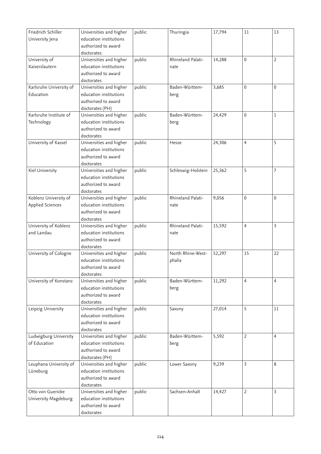| Friedrich Schiller      | Universities and higher           | public | Thuringia          | 17,794 | 11             | 13 |
|-------------------------|-----------------------------------|--------|--------------------|--------|----------------|----|
| University Jena         | education institutions            |        |                    |        |                |    |
|                         | authorized to award               |        |                    |        |                |    |
|                         | doctorates                        |        |                    |        |                |    |
| University of           | Universities and higher           | public | Rhineland Palati-  | 14,288 | $\mathbf 0$    | 2  |
| Kaiserslautern          | education institutions            |        | nate               |        |                |    |
|                         | authorized to award               |        |                    |        |                |    |
|                         | doctorates                        |        |                    |        |                |    |
| Karlsruhe University of | Universities and higher           | public | Baden-Württem-     | 3,685  | $\mathbf 0$    | 0  |
| Education               | education institutions            |        | berg               |        |                |    |
|                         | authorised to award               |        |                    |        |                |    |
|                         | doctorates (PH)                   |        |                    |        |                |    |
| Karlsruhe Institute of  | Universities and higher           | public | Baden-Württem-     | 24,429 | $\mathbf 0$    | 1  |
| Technology              | education institutions            |        | berg               |        |                |    |
|                         | authorized to award               |        |                    |        |                |    |
|                         | doctorates                        |        |                    |        |                |    |
| University of Kassel    | Universities and higher           | public | Hesse              | 24,306 | 4              | 5  |
|                         | education institutions            |        |                    |        |                |    |
|                         | authorized to award               |        |                    |        |                |    |
|                         | doctorates                        |        |                    |        |                |    |
| Kiel University         | Universities and higher           | public | Schleswig-Holstein | 25,362 | 5              | 7  |
|                         | education institutions            |        |                    |        |                |    |
|                         | authorized to award               |        |                    |        |                |    |
|                         | doctorates                        |        |                    |        |                |    |
| Koblenz University of   | Universities and higher           | public | Rhineland Palati-  | 9,056  | $\mathbf 0$    | 0  |
| Applied Sciences        | education institutions            |        | nate               |        |                |    |
|                         | authorized to award               |        |                    |        |                |    |
|                         | doctorates                        |        |                    |        |                |    |
|                         |                                   |        |                    |        |                | 3  |
| University of Koblenz   | Universities and higher           | public | Rhineland Palati-  | 15,592 | $\overline{4}$ |    |
| and Landau              | education institutions            |        | nate               |        |                |    |
|                         | authorized to award               |        |                    |        |                |    |
|                         | doctorates                        |        |                    |        |                |    |
| University of Cologne   | Universities and higher           | public | North Rhine-West-  | 52,297 | 15             | 22 |
|                         | education institutions            |        | phalia             |        |                |    |
|                         | authorized to award               |        |                    |        |                |    |
|                         | doctorates                        |        |                    |        |                |    |
| University of Konstanz  | Universities and higher           | public | Baden-Württem-     | 11,292 | $\overline{4}$ | 4  |
|                         | education institutions            |        | berg               |        |                |    |
|                         | authorized to award               |        |                    |        |                |    |
|                         | doctorates                        |        |                    |        |                |    |
| Leipzig University      | Universities and higher           | public | Saxony             | 27,014 | 5              | 11 |
|                         | education institutions            |        |                    |        |                |    |
|                         | authorized to award               |        |                    |        |                |    |
|                         | doctorates                        |        |                    |        |                |    |
| Ludwigburg University   | Universities and higher           | public | Baden-Württem-     | 5,592  | 2              | 4  |
| of Education            | education institutions            |        | berg               |        |                |    |
|                         | authorised to award               |        |                    |        |                |    |
|                         | doctorates (PH)                   |        |                    |        |                |    |
| Leuphana University of  | Universities and higher           | public | Lower Saxony       | 9,239  | 3              | 8  |
| Lüneburg                | education institutions            |        |                    |        |                |    |
|                         | authorized to award               |        |                    |        |                |    |
|                         | doctorates                        |        |                    |        |                |    |
| Otto von Guericke       | Universities and higher           | public | Sachsen-Anhalt     | 14,427 | $\overline{2}$ | 3  |
| University Magdeburg    | education institutions            |        |                    |        |                |    |
|                         | authorized to award<br>doctorates |        |                    |        |                |    |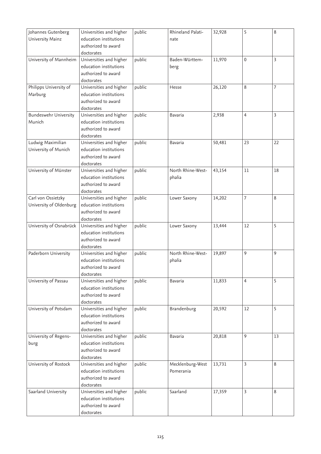| Johannes Gutenberg           | Universities and higher | public | Rhineland Palati- | 32,928 | 5              | 8  |
|------------------------------|-------------------------|--------|-------------------|--------|----------------|----|
| University Mainz             | education institutions  |        | nate              |        |                |    |
|                              | authorized to award     |        |                   |        |                |    |
|                              | doctorates              |        |                   |        |                |    |
| University of Mannheim       | Universities and higher | public | Baden-Württem-    | 11,970 | 0              | 3  |
|                              | education institutions  |        | berg              |        |                |    |
|                              | authorized to award     |        |                   |        |                |    |
|                              | doctorates              |        |                   |        |                |    |
| Philipps University of       | Universities and higher | public | Hesse             | 26,120 | 8              | 7  |
| Marburg                      | education institutions  |        |                   |        |                |    |
|                              | authorized to award     |        |                   |        |                |    |
|                              | doctorates              |        |                   |        |                |    |
| <b>Bundeswehr University</b> | Universities and higher | public | Bavaria           | 2,938  | 4              | 3  |
| Munich                       | education institutions  |        |                   |        |                |    |
|                              | authorized to award     |        |                   |        |                |    |
|                              | doctorates              |        |                   |        |                |    |
| Ludwig Maximilian            | Universities and higher | public | Bavaria           | 50,481 | 23             | 22 |
| University of Munich         | education institutions  |        |                   |        |                |    |
|                              | authorized to award     |        |                   |        |                |    |
|                              | doctorates              |        |                   |        |                |    |
| University of Münster        | Universities and higher | public | North Rhine-West- | 43,154 | 11             | 18 |
|                              | education institutions  |        | phalia            |        |                |    |
|                              | authorized to award     |        |                   |        |                |    |
|                              | doctorates              |        |                   |        |                |    |
| Carl von Ossietzky           | Universities and higher | public | Lower Saxony      | 14,202 | 7              | 8  |
| University of Oldenburg      | education institutions  |        |                   |        |                |    |
|                              | authorized to award     |        |                   |        |                |    |
|                              | doctorates              |        |                   |        |                |    |
| University of Osnabrück      | Universities and higher | public | Lower Saxony      | 13,444 | 12             | 5  |
|                              | education institutions  |        |                   |        |                |    |
|                              | authorized to award     |        |                   |        |                |    |
|                              | doctorates              |        |                   |        |                |    |
| Paderborn University         | Universities and higher | public | North Rhine-West- | 19,897 | 9              | 9  |
|                              | education institutions  |        | phalia            |        |                |    |
|                              | authorized to award     |        |                   |        |                |    |
|                              | doctorates              |        |                   |        |                |    |
| University of Passau         | Universities and higher | public | Bavaria           | 11,833 | $\overline{4}$ | 5  |
|                              | education institutions  |        |                   |        |                |    |
|                              | authorized to award     |        |                   |        |                |    |
|                              | doctorates              |        |                   |        |                |    |
| University of Potsdam        | Universities and higher | public | Brandenburg       | 20,592 | 12             | 5  |
|                              | education institutions  |        |                   |        |                |    |
|                              | authorized to award     |        |                   |        |                |    |
|                              | doctorates              |        |                   |        |                |    |
| University of Regens-        | Universities and higher | public | Bavaria           | 20,818 | 9              | 13 |
| burg                         | education institutions  |        |                   |        |                |    |
|                              | authorized to award     |        |                   |        |                |    |
|                              | doctorates              |        |                   |        |                |    |
| University of Rostock        | Universities and higher | public | Mecklenburg-West  | 13,731 | 3              | 8  |
|                              | education institutions  |        | Pomerania         |        |                |    |
|                              | authorized to award     |        |                   |        |                |    |
|                              | doctorates              |        |                   |        |                |    |
| Saarland University          | Universities and higher | public | Saarland          | 17,359 | 3              | 8  |
|                              | education institutions  |        |                   |        |                |    |
|                              | authorized to award     |        |                   |        |                |    |
|                              | doctorates              |        |                   |        |                |    |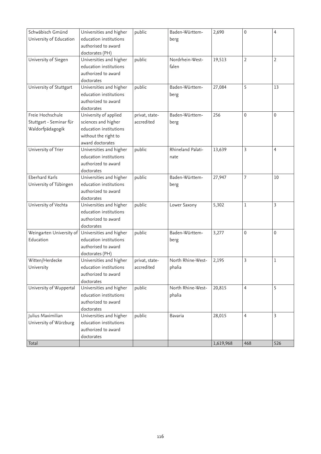| Schwäbisch Gmünd         | Universities and higher | public         | Baden-Württem-    | 2,690     | $\mathbf 0$ | $\overline{4}$ |
|--------------------------|-------------------------|----------------|-------------------|-----------|-------------|----------------|
| University of Education  | education institutions  |                | berg              |           |             |                |
|                          | authorised to award     |                |                   |           |             |                |
|                          | doctorates (PH)         |                |                   |           |             |                |
| University of Siegen     | Universities and higher | public         | Nordrhein-West-   | 19,513    | 2           | $\overline{2}$ |
|                          | education institutions  |                | falen             |           |             |                |
|                          | authorized to award     |                |                   |           |             |                |
|                          | doctorates              |                |                   |           |             |                |
| University of Stuttgart  | Universities and higher | public         | Baden-Württem-    | 27,084    | 5           | 13             |
|                          | education institutions  |                | berg              |           |             |                |
|                          | authorized to award     |                |                   |           |             |                |
|                          | doctorates              |                |                   |           |             |                |
| Freie Hochschule         | University of applied   | privat, state- | Baden-Württem-    | 256       | 0           | $\mathbf{0}$   |
| Stuttgart - Seminar für  | sciences and higher     | accredited     | berg              |           |             |                |
| Waldorfpädagogik         | education institutions  |                |                   |           |             |                |
|                          | without the right to    |                |                   |           |             |                |
|                          | award doctorates        |                |                   |           |             |                |
| University of Trier      | Universities and higher | public         | Rhineland Palati- | 13,639    | 3           | 4              |
|                          | education institutions  |                | nate              |           |             |                |
|                          | authorized to award     |                |                   |           |             |                |
|                          | doctorates              |                |                   |           |             |                |
| <b>Eberhard Karls</b>    | Universities and higher | public         | Baden-Württem-    | 27,947    | 7           | 10             |
| University of Tübingen   | education institutions  |                | berg              |           |             |                |
|                          | authorized to award     |                |                   |           |             |                |
|                          | doctorates              |                |                   |           |             |                |
| University of Vechta     | Universities and higher | public         | Lower Saxony      | 5,302     | 1           | 3              |
|                          | education institutions  |                |                   |           |             |                |
|                          | authorized to award     |                |                   |           |             |                |
|                          | doctorates              |                |                   |           |             |                |
| Weingarten University of | Universities and higher | public         | Baden-Württem-    | 3,277     | 0           | 0              |
| Education                | education institutions  |                | berg              |           |             |                |
|                          | authorised to award     |                |                   |           |             |                |
|                          | doctorates (PH)         |                |                   |           |             |                |
| Witten/Herdecke          | Universities and higher | privat, state- | North Rhine-West- | 2,195     | 3           | 1              |
| University               | education institutions  | accredited     | phalia            |           |             |                |
|                          | authorized to award     |                |                   |           |             |                |
|                          | doctorates              |                |                   |           |             |                |
| University of Wuppertal  | Universities and higher | public         | North Rhine-West- | 20,815    | 4           | 5              |
|                          | education institutions  |                | phalia            |           |             |                |
|                          | authorized to award     |                |                   |           |             |                |
|                          | doctorates              |                |                   |           |             |                |
| Julius Maximilian        | Universities and higher | public         | <b>Bavaria</b>    | 28,015    | 4           | 3              |
| University of Würzburg   | education institutions  |                |                   |           |             |                |
|                          | authorized to award     |                |                   |           |             |                |
|                          | doctorates              |                |                   |           |             |                |
| Total                    |                         |                |                   | 1,619,968 | 468         | 526            |